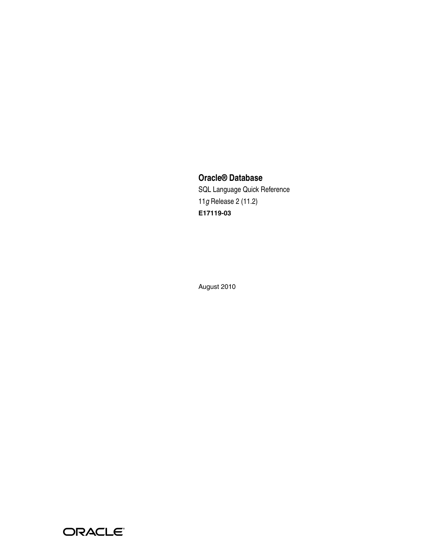# **Oracle® Database**

SQL Language Quick Reference 11*g* Release 2 (11.2) **E17119-03**

August 2010

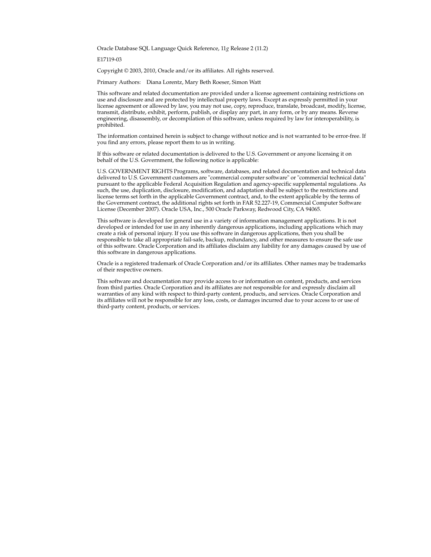Oracle Database SQL Language Quick Reference, 11*g* Release 2 (11.2)

E17119-03

Copyright © 2003, 2010, Oracle and/or its affiliates. All rights reserved.

Primary Authors: Diana Lorentz, Mary Beth Roeser, Simon Watt

This software and related documentation are provided under a license agreement containing restrictions on use and disclosure and are protected by intellectual property laws. Except as expressly permitted in your license agreement or allowed by law, you may not use, copy, reproduce, translate, broadcast, modify, license, transmit, distribute, exhibit, perform, publish, or display any part, in any form, or by any means. Reverse engineering, disassembly, or decompilation of this software, unless required by law for interoperability, is prohibited.

The information contained herein is subject to change without notice and is not warranted to be error-free. If you find any errors, please report them to us in writing.

If this software or related documentation is delivered to the U.S. Government or anyone licensing it on behalf of the U.S. Government, the following notice is applicable:

U.S. GOVERNMENT RIGHTS Programs, software, databases, and related documentation and technical data delivered to U.S. Government customers are "commercial computer software" or "commercial technical data" pursuant to the applicable Federal Acquisition Regulation and agency-specific supplemental regulations. As such, the use, duplication, disclosure, modification, and adaptation shall be subject to the restrictions and license terms set forth in the applicable Government contract, and, to the extent applicable by the terms of the Government contract, the additional rights set forth in FAR 52.227-19, Commercial Computer Software License (December 2007). Oracle USA, Inc., 500 Oracle Parkway, Redwood City, CA 94065.

This software is developed for general use in a variety of information management applications. It is not developed or intended for use in any inherently dangerous applications, including applications which may create a risk of personal injury. If you use this software in dangerous applications, then you shall be responsible to take all appropriate fail-safe, backup, redundancy, and other measures to ensure the safe use of this software. Oracle Corporation and its affiliates disclaim any liability for any damages caused by use of this software in dangerous applications.

Oracle is a registered trademark of Oracle Corporation and/or its affiliates. Other names may be trademarks of their respective owners.

This software and documentation may provide access to or information on content, products, and services from third parties. Oracle Corporation and its affiliates are not responsible for and expressly disclaim all warranties of any kind with respect to third-party content, products, and services. Oracle Corporation and its affiliates will not be responsible for any loss, costs, or damages incurred due to your access to or use of third-party content, products, or services.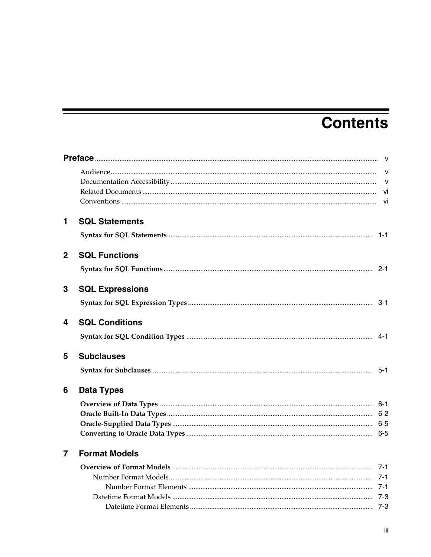# **Contents**

| $\mathbf{1}$   | <b>SQL Statements</b>  |  |
|----------------|------------------------|--|
|                |                        |  |
| $\mathbf{2}$   | <b>SQL Functions</b>   |  |
|                |                        |  |
| 3              | <b>SQL Expressions</b> |  |
|                |                        |  |
| 4              | <b>SQL Conditions</b>  |  |
|                |                        |  |
| 5              | <b>Subclauses</b>      |  |
|                |                        |  |
| 6              | <b>Data Types</b>      |  |
|                |                        |  |
|                |                        |  |
|                |                        |  |
|                |                        |  |
| $\overline{7}$ | <b>Format Models</b>   |  |
|                |                        |  |
|                |                        |  |
|                |                        |  |
|                |                        |  |
|                |                        |  |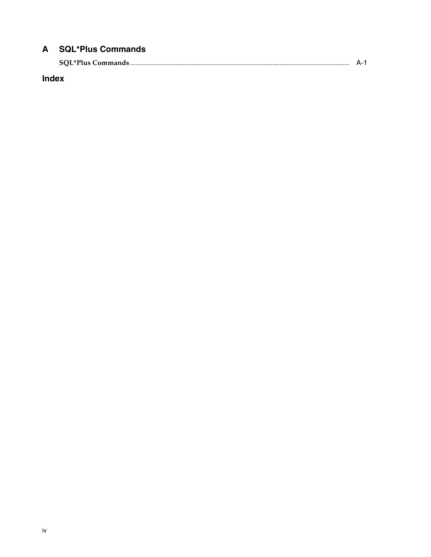# A SQL\*Plus Commands

| <b>SOL*Plus Commands</b> |  |
|--------------------------|--|
|--------------------------|--|

Index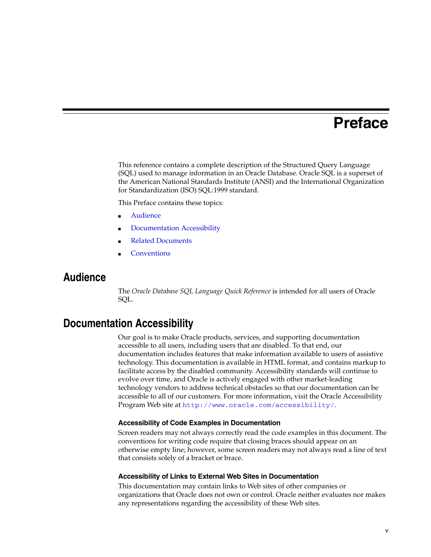# **Preface**

<span id="page-4-0"></span>This reference contains a complete description of the Structured Query Language (SQL) used to manage information in an Oracle Database. Oracle SQL is a superset of the American National Standards Institute (ANSI) and the International Organization for Standardization (ISO) SQL:1999 standard.

This Preface contains these topics:

- **[Audience](#page-4-1)**
- [Documentation Accessibility](#page-4-2)
- **[Related Documents](#page-5-0)**
- **[Conventions](#page-5-1)**

## <span id="page-4-1"></span>**Audience**

The *Oracle Database SQL Language Quick Reference* is intended for all users of Oracle SQL.

# <span id="page-4-2"></span>**Documentation Accessibility**

Our goal is to make Oracle products, services, and supporting documentation accessible to all users, including users that are disabled. To that end, our documentation includes features that make information available to users of assistive technology. This documentation is available in HTML format, and contains markup to facilitate access by the disabled community. Accessibility standards will continue to evolve over time, and Oracle is actively engaged with other market-leading technology vendors to address technical obstacles so that our documentation can be accessible to all of our customers. For more information, visit the Oracle Accessibility Program Web site at http://www.oracle.com/accessibility/.

#### **Accessibility of Code Examples in Documentation**

Screen readers may not always correctly read the code examples in this document. The conventions for writing code require that closing braces should appear on an otherwise empty line; however, some screen readers may not always read a line of text that consists solely of a bracket or brace.

#### **Accessibility of Links to External Web Sites in Documentation**

This documentation may contain links to Web sites of other companies or organizations that Oracle does not own or control. Oracle neither evaluates nor makes any representations regarding the accessibility of these Web sites.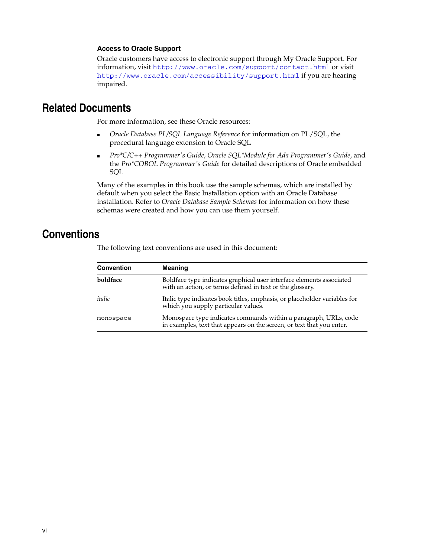#### **Access to Oracle Support**

Oracle customers have access to electronic support through My Oracle Support. For information, visit http://www.oracle.com/support/contact.html or visit http://www.oracle.com/accessibility/support.html if you are hearing impaired.

# <span id="page-5-0"></span>**Related Documents**

For more information, see these Oracle resources:

- *Oracle Database PL/SQL Language Reference* for information on PL/SQL, the procedural language extension to Oracle SQL
- *Pro\*C/C++ Programmer's Guide*, *Oracle SQL\*Module for Ada Programmer's Guide*, and the *Pro\*COBOL Programmer's Guide* for detailed descriptions of Oracle embedded SQL

Many of the examples in this book use the sample schemas, which are installed by default when you select the Basic Installation option with an Oracle Database installation. Refer to *Oracle Database Sample Schemas* for information on how these schemas were created and how you can use them yourself.

# <span id="page-5-1"></span>**Conventions**

| <b>Convention</b> | <b>Meaning</b>                                                                                                                            |
|-------------------|-------------------------------------------------------------------------------------------------------------------------------------------|
| boldface          | Boldface type indicates graphical user interface elements associated<br>with an action, or terms defined in text or the glossary.         |
| italic            | Italic type indicates book titles, emphasis, or placeholder variables for<br>which you supply particular values.                          |
| monospace         | Monospace type indicates commands within a paragraph, URLs, code<br>in examples, text that appears on the screen, or text that you enter. |

The following text conventions are used in this document: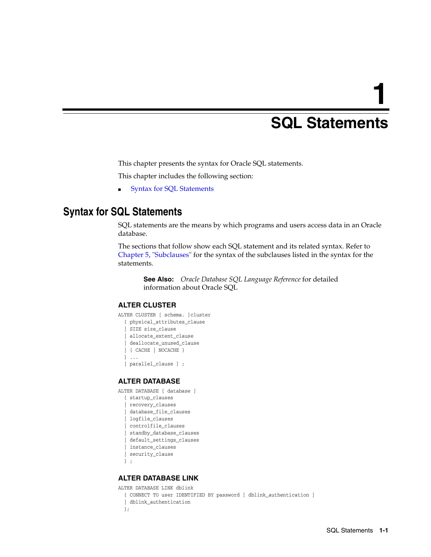# **1**

# <sup>1</sup> **SQL Statements**

<span id="page-6-0"></span>This chapter presents the syntax for Oracle SQL statements.

This chapter includes the following section:

■ [Syntax for SQL Statements](#page-6-1)

# <span id="page-6-1"></span>**Syntax for SQL Statements**

SQL statements are the means by which programs and users access data in an Oracle database.

The sections that follow show each SQL statement and its related syntax. Refer to [Chapter 5, "Subclauses"](#page-52-2) for the syntax of the subclauses listed in the syntax for the statements.

**See Also:** *Oracle Database SQL Language Reference* for detailed information about Oracle SQL

#### **ALTER CLUSTER**

```
ALTER CLUSTER [ schema. ]cluster
  { physical_attributes_clause
   | SIZE size_clause
   | allocate_extent_clause
   | deallocate_unused_clause
   | { CACHE | NOCACHE }
  } ...
   [ parallel_clause ] ;
```
#### **ALTER DATABASE**

```
ALTER DATABASE [ database ]
  { startup_clauses
   | recovery_clauses
   | database_file_clauses
   | logfile_clauses
   | controlfile_clauses
   | standby_database_clauses
   | default_settings_clauses
   | instance_clauses
   | security_clause
  } ;
```
#### **ALTER DATABASE LINK**

```
ALTER DATABASE LINK dblink
  { CONNECT TO user IDENTIFIED BY password [ dblink_authentication ]
   | dblink_authentication
  };
```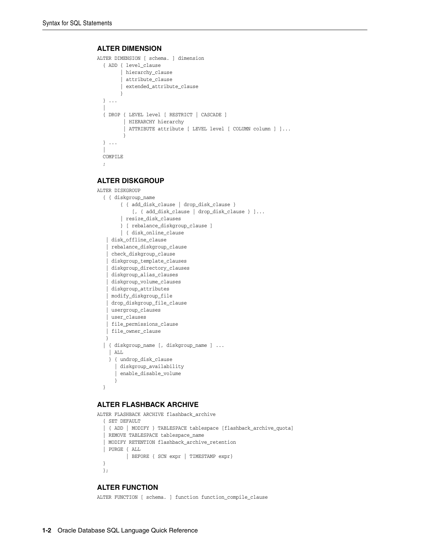#### **ALTER DIMENSION**

```
ALTER DIMENSION [ schema. ] dimension
   { ADD { level_clause
         | hierarchy_clause
         | attribute_clause
         | extended_attribute_clause
 }
   } ...
\blacksquare { DROP { LEVEL level [ RESTRICT | CASCADE ]
          | HIERARCHY hierarchy
          | ATTRIBUTE attribute [ LEVEL level [ COLUMN column ] ]...
          }
  } \, . . .
\blacksquare COMPILE
   ;
ALTER DISKGROUP
ALTER DISKGROUP
   { { diskgroup_name
         { { add_disk_clause | drop_disk_clause }
              [, { add_disk_clause | drop_disk_clause } ]...
         | resize_disk_clauses
         } [ rebalance_diskgroup_clause ]
         | { disk_online_clause
    | disk_offline_clause
    | rebalance_diskgroup_clause
    | check_diskgroup_clause
    | diskgroup_template_clauses
    | diskgroup_directory_clauses
    | diskgroup_alias_clauses
     | diskgroup_volume_clauses
    | diskgroup_attributes
    | modify_diskgroup_file
    | drop_diskgroup_file_clause
    | usergroup_clauses
    | user_clauses
    | file_permissions_clause
    | file_owner_clause
    }
   | { diskgroup_name [, diskgroup_name ] ...
     | ALL
     } { undrop_disk_clause
```
 | diskgroup\_availability | enable\_disable\_volume }

}

#### **ALTER FLASHBACK ARCHIVE**

```
ALTER FLASHBACK ARCHIVE flashback_archive
  { SET DEFAULT
   | { ADD | MODIFY } TABLESPACE tablespace [flashback_archive_quota]
   | REMOVE TABLESPACE tablespace_name
   | MODIFY RETENTION flashback_archive_retention
   | PURGE { ALL
           | BEFORE { SCN expr | TIMESTAMP expr}
  }
  };
```
#### **ALTER FUNCTION**

ALTER FUNCTION [ schema. ] function function\_compile\_clause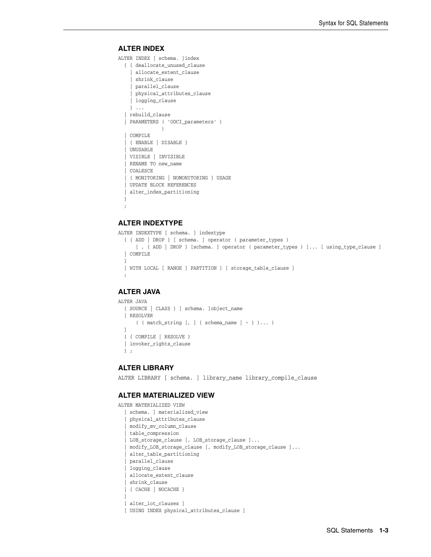#### **ALTER INDEX**

ALTER INDEX [ schema. ]index

```
 { { deallocate_unused_clause
     | allocate_extent_clause
     | shrink_clause
     | parallel_clause
     | physical_attributes_clause
     | logging_clause
    } ...
  | rebuild_clause
  | PARAMETERS ( 'ODCI_parameters' )
\overline{\phantom{a}} | COMPILE
   | { ENABLE | DISABLE }
   | UNUSABLE
   | VISIBLE | INVISIBLE
    | RENAME TO new_name
    | COALESCE
    | { MONITORING | NOMONITORING } USAGE
   | UPDATE BLOCK REFERENCES
   | alter_index_partitioning
  }
```
#### **ALTER INDEXTYPE**

;

```
ALTER INDEXTYPE [ schema. ] indextype
  { { ADD | DROP } [ schema. ] operator ( parameter_types ) 
       [ , { ADD | DROP } [schema. ] operator ( parameter_types ) ]... [ using_type_clause ]
  | COMPILE
  }
  [ WITH LOCAL [ RANGE ] PARTITION ] [ storage_table_clause ]
  ;
```
#### **ALTER JAVA**

```
ALTER JAVA
  { SOURCE | CLASS } [ schema. ]object_name 
  [ RESOLVER 
      ( ( match_string [, ] { schema_name |- } )... )
  ]
  { { COMPILE | RESOLVE }
  | invoker_rights_clause
  } ;
```
#### **ALTER LIBRARY**

ALTER LIBRARY [ schema. ] library\_name library\_compile\_clause

#### **ALTER MATERIALIZED VIEW**

```
ALTER MATERIALIZED VIEW
  [ schema. ] materialized_view
   [ physical_attributes_clause
   | modify_mv_column_clause
   | table_compression
   | LOB_storage_clause [, LOB_storage_clause ]...
    | modify_LOB_storage_clause [, modify_LOB_storage_clause ]...
   | alter_table_partitioning
    | parallel_clause
    | logging_clause
    | allocate_extent_clause
    | shrink_clause
   | { CACHE | NOCACHE }
 ]
   [ alter_iot_clauses ]
   [ USING INDEX physical_attributes_clause ]
```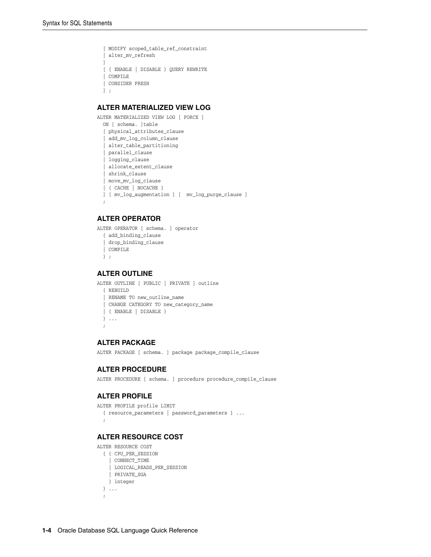```
 [ MODIFY scoped_table_ref_constraint
  | alter_mv_refresh
\Box [ { ENABLE | DISABLE } QUERY REWRITE
  | COMPILE
  | CONSIDER FRESH
  ] ;
```
#### **ALTER MATERIALIZED VIEW LOG**

```
ALTER MATERIALIZED VIEW LOG [ FORCE ]
  ON [ schema. ]table
   [ physical_attributes_clause
   | add_mv_log_column_clause
   | alter_table_partitioning
   | parallel_clause
    | logging_clause
   | allocate_extent_clause
   | shrink_clause
   | move_mv_log_clause
   | { CACHE | NOCACHE }
  ] [ mv_log_augmentation ] [ mv_log_purge_clause ]
\cdot;
```
#### **ALTER OPERATOR**

```
ALTER OPERATOR [ schema. ] operator
  { add_binding_clause
   | drop_binding_clause
   | COMPILE
  } ;
```
#### **ALTER OUTLINE**

```
ALTER OUTLINE [ PUBLIC | PRIVATE ] outline
  { REBUILD
   | RENAME TO new_outline_name
   | CHANGE CATEGORY TO new_category_name
   | { ENABLE | DISABLE }
  } ...
  ;
```
#### **ALTER PACKAGE**

ALTER PACKAGE [ schema. ] package package\_compile\_clause

#### **ALTER PROCEDURE**

ALTER PROCEDURE [ schema. ] procedure procedure\_compile\_clause

#### **ALTER PROFILE**

```
ALTER PROFILE profile LIMIT
   { resource_parameters | password_parameters } ...
   ;
```
### **ALTER RESOURCE COST**

ALTER RESOURCE COST

```
 { { CPU_PER_SESSION
    | CONNECT_TIME
    | LOGICAL_READS_PER_SESSION
   | PRIVATE_SGA
   } integer
 } ...
 ;
```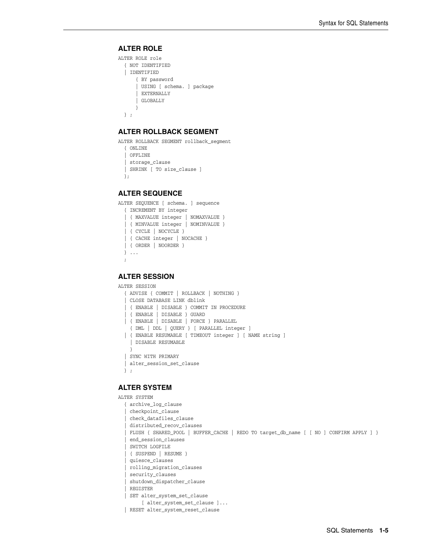#### **ALTER ROLE**

```
ALTER ROLE role
   { NOT IDENTIFIED
   | IDENTIFIED
       { BY password
       | USING [ schema. ] package
        | EXTERNALLY
       | GLOBALLY
       }
   } ;
```
#### **ALTER ROLLBACK SEGMENT**

```
ALTER ROLLBACK SEGMENT rollback_segment
  { ONLINE
   | OFFLINE
   | storage_clause
  | SHRINK [ TO size_clause ]
  };
```
#### **ALTER SEQUENCE**

```
ALTER SEQUENCE [ schema. ] sequence
  { INCREMENT BY integer
   | { MAXVALUE integer | NOMAXVALUE }
  | { MINVALUE integer | NOMINVALUE }
  | { CYCLE | NOCYCLE }
   | { CACHE integer | NOCACHE }
  | { ORDER | NOORDER }
  } ...
   ;
```
#### **ALTER SESSION**

ALTER SESSION

```
 { ADVISE { COMMIT | ROLLBACK | NOTHING }
 | CLOSE DATABASE LINK dblink
 | { ENABLE | DISABLE } COMMIT IN PROCEDURE
 | { ENABLE | DISABLE } GUARD
 | { ENABLE | DISABLE | FORCE } PARALLEL
  { DML | DDL | QUERY } [ PARALLEL integer ]
 | { ENABLE RESUMABLE [ TIMEOUT integer ] [ NAME string ]
   | DISABLE RESUMABLE
   }
 | SYNC WITH PRIMARY 
 | alter_session_set_clause
 } ;
```
#### **ALTER SYSTEM**

```
ALTER SYSTEM
```

```
 { archive_log_clause
| checkpoint_clause
 | check_datafiles_clause
 | distributed_recov_clauses
 | FLUSH { SHARED_POOL | BUFFER_CACHE | REDO TO target_db_name [ [ NO ] CONFIRM APPLY ] }
  | end_session_clauses
  | SWITCH LOGFILE
   | { SUSPEND | RESUME }
   | quiesce_clauses
   | rolling_migration_clauses
   | security_clauses
  | shutdown_dispatcher_clause
  | REGISTER
 | SET alter_system_set_clause
      [ alter_system_set_clause ]...
 | RESET alter_system_reset_clause
```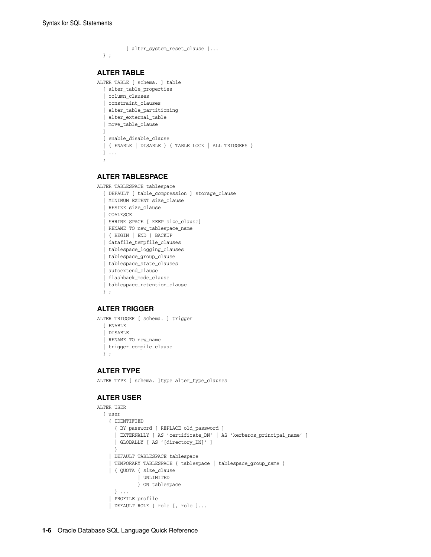```
 [ alter_system_reset_clause ]...
  } ;
ALTER TABLE
ALTER TABLE [ schema. ] table
  [ alter_table_properties
   | column_clauses
   | constraint_clauses
   | alter_table_partitioning
   | alter_external_table
   | move_table_clause
 ]
   [ enable_disable_clause
   | { ENABLE | DISABLE } { TABLE LOCK | ALL TRIGGERS }
   ] ...
   ;
```
#### **ALTER TABLESPACE**

```
ALTER TABLESPACE tablespace
   { DEFAULT [ table_compression ] storage_clause
```

```
 | MINIMUM EXTENT size_clause
 | RESIZE size_clause
 | COALESCE
 | SHRINK SPACE [ KEEP size_clause]
 | RENAME TO new_tablespace_name
 | { BEGIN | END } BACKUP
  | datafile_tempfile_clauses
 | tablespace_logging_clauses
  | tablespace_group_clause
  | tablespace_state_clauses
 | autoextend_clause
 | flashback_mode_clause
 | tablespace_retention_clause
 } ;
```
#### **ALTER TRIGGER**

ALTER TRIGGER [ schema. ] trigger { ENABLE | DISABLE | RENAME TO new\_name | trigger\_compile\_clause } ;

#### **ALTER TYPE**

ALTER TYPE [ schema. ]type alter\_type\_clauses

#### **ALTER USER**

```
ALTER USER
   { user
     { IDENTIFIED
       { BY password [ REPLACE old_password ]
       | EXTERNALLY [ AS 'certificate_DN' | AS 'kerberos_principal_name' ]
       | GLOBALLY [ AS '[directory_DN]' ]
 }
     | DEFAULT TABLESPACE tablespace
     | TEMPORARY TABLESPACE { tablespace | tablespace_group_name }
     | { QUOTA { size_clause
               | UNLIMITED
               } ON tablespace
       } ...
     | PROFILE profile
     | DEFAULT ROLE { role [, role ]...
```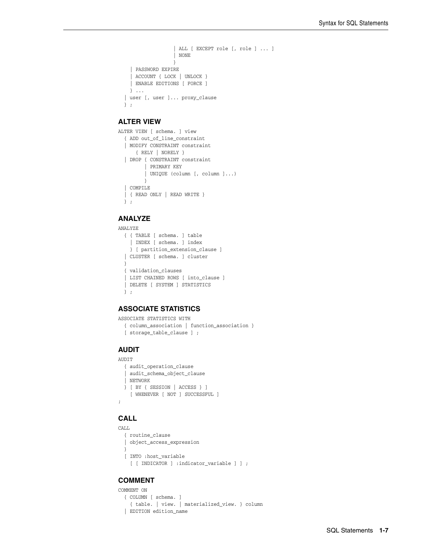```
 | ALL [ EXCEPT role [, role ] ... ]
                   | NONE
 }
    | PASSWORD EXPIRE
    | ACCOUNT { LOCK | UNLOCK }
    | ENABLE EDITIONS [ FORCE ]
   } ...
  | user [, user ]... proxy_clause
  } ;
```
#### **ALTER VIEW**

```
ALTER VIEW [ schema. ] view
  { ADD out_of_line_constraint
   | MODIFY CONSTRAINT constraint
      { RELY | NORELY }
   | DROP { CONSTRAINT constraint
          | PRIMARY KEY
          | UNIQUE (column [, column ]...)
         }
   | COMPILE
  | { READ ONLY | READ WRITE }
  } ;
```
#### **ANALYZE**

```
ANALYZE
```

```
 { { TABLE [ schema. ] table
  | INDEX [ schema. ] index
  } [ partition_extension_clause ]
 | CLUSTER [ schema. ] cluster
 }
 { validation_clauses
 | LIST CHAINED ROWS [ into_clause ]
 | DELETE [ SYSTEM ] STATISTICS
 } ;
```
#### **ASSOCIATE STATISTICS**

```
ASSOCIATE STATISTICS WITH
  { column_association | function_association }
   [ storage_table_clause ] ;
```
## **AUDIT**

```
AUDIT
  { audit_operation_clause
  | audit_schema_object_clause
  | NETWORK
  } [ BY { SESSION | ACCESS } ]
    [ WHENEVER [ NOT ] SUCCESSFUL ]
;
```
#### **CALL**

```
CALL.
  { routine_clause
  | object_access_expression
  }
  [ INTO :host_variable
     [ [ INDICATOR ] :indicator_variable ] ] ;
```
#### **COMMENT**

COMMENT ON

```
 { COLUMN [ schema. ]
   { table. | view. | materialized_view. } column
 | EDITION edition_name
```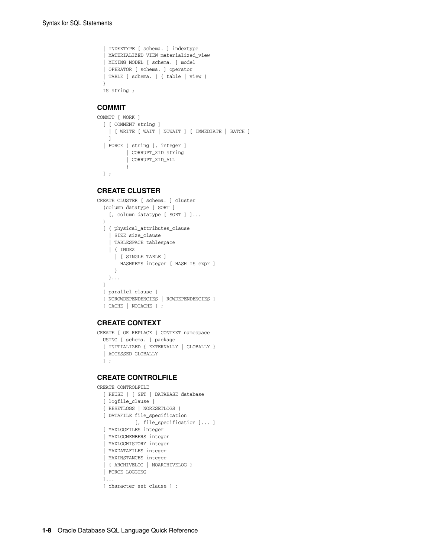```
 | INDEXTYPE [ schema. ] indextype
 | MATERIALIZED VIEW materialized_view
 | MINING MODEL [ schema. ] model
 | OPERATOR [ schema. ] operator
 | TABLE [ schema. ] { table | view }
 }
 IS string ;
```
#### **COMMIT**

```
COMMIT [ WORK ]
   [ [ COMMENT string ]
    | [ WRITE [ WAIT | NOWAIT ] [ IMMEDIATE | BATCH ]
    ]
   | FORCE { string [, integer ]
           | CORRUPT_XID string
           | CORRUPT_XID_ALL
           }
  ] ;
```
#### **CREATE CLUSTER**

```
CREATE CLUSTER [ schema. ] cluster
   (column datatype [ SORT ]
    [, column datatype [ SORT ] ]...
   )
  [ { physical_attributes_clause
     | SIZE size_clause
     | TABLESPACE tablespace
     | { INDEX
       | [ SINGLE TABLE ]
        HASHKEYS integer [ HASH IS expr ]
      }
    }...
  ]
 [ parallel clause ]
  [ NOROWDEPENDENCIES | ROWDEPENDENCIES ]
   [ CACHE | NOCACHE ] ;
```
#### **CREATE CONTEXT**

```
CREATE [ OR REPLACE ] CONTEXT namespace
  USING [ schema. ] package
   [ INITIALIZED { EXTERNALLY | GLOBALLY }
   | ACCESSED GLOBALLY
  ] ;
```
#### **CREATE CONTROLFILE**

```
CREATE CONTROLFILE
  [ REUSE ] [ SET ] DATABASE database
   [ logfile_clause ]
   { RESETLOGS | NORESETLOGS }
   [ DATAFILE file_specification
           [, file_specification ]... ]
   [ MAXLOGFILES integer
   | MAXLOGMEMBERS integer
   | MAXLOGHISTORY integer
   | MAXDATAFILES integer
   | MAXINSTANCES integer
   | { ARCHIVELOG | NOARCHIVELOG }
   | FORCE LOGGING
   ]...
   [ character_set_clause ] ;
```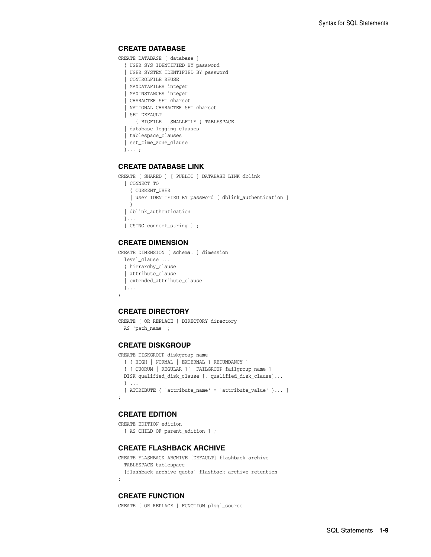#### **CREATE DATABASE**

```
CREATE DATABASE [ database ]
  { USER SYS IDENTIFIED BY password
   | USER SYSTEM IDENTIFIED BY password
   | CONTROLFILE REUSE
   | MAXDATAFILES integer
   | MAXINSTANCES integer
    | CHARACTER SET charset
   | NATIONAL CHARACTER SET charset
   | SET DEFAULT
      { BIGFILE | SMALLFILE } TABLESPACE
   | database_logging_clauses
   | tablespace_clauses
   | set_time_zone_clause
  }... ;
```
#### **CREATE DATABASE LINK**

```
CREATE [ SHARED ] [ PUBLIC ] DATABASE LINK dblink
  [ CONNECT TO
    { CURRENT_USER
     | user IDENTIFIED BY password [ dblink_authentication ]
     }
   | dblink_authentication
  ]...
  [ USING connect_string ] ;
```
#### **CREATE DIMENSION**

```
CREATE DIMENSION [ schema. ] dimension
  level_clause ...
  { hierarchy_clause
   | attribute_clause
   | extended_attribute_clause
  }...
;
```
#### **CREATE DIRECTORY**

```
CREATE [ OR REPLACE ] DIRECTORY directory
  AS 'path_name' ;
```
#### **CREATE DISKGROUP**

CREATE DISKGROUP diskgroup\_name

```
 [ { HIGH | NORMAL | EXTERNAL } REDUNDANCY ]
 { [ QUORUM | REGULAR ][ FAILGROUP failgroup_name ]
 DISK qualified_disk_clause [, qualified_disk_clause]...
 } ...
 [ ATTRIBUTE { 'attribute_name' = 'attribute_value' }... ]
```
#### **CREATE EDITION**

;

```
CREATE EDITION edition
 [ AS CHILD OF parent edition ] ;
```
#### **CREATE FLASHBACK ARCHIVE**

```
CREATE FLASHBACK ARCHIVE [DEFAULT] flashback_archive
  TABLESPACE tablespace
  [flashback_archive_quota] flashback_archive_retention
;
```
#### **CREATE FUNCTION**

CREATE [ OR REPLACE ] FUNCTION plsql\_source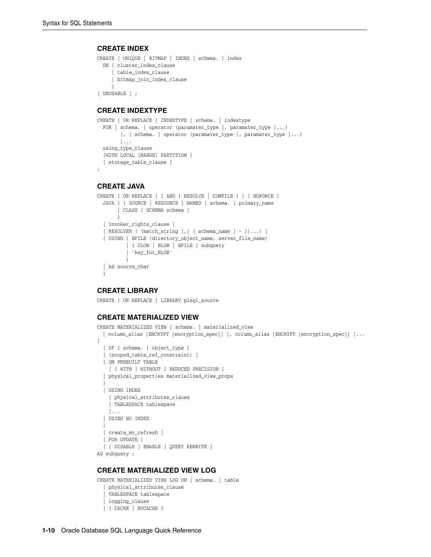#### **CREATE INDEX**

```
CREATE [ UNIQUE | BITMAP ] INDEX [ schema. ] index
  ON { cluster_index_clause
      | table_index_clause
      | bitmap_join_index_clause
      }
[ UNUSABLE ] ;
```
#### **CREATE INDEXTYPE**

```
CREATE [ OR REPLACE ] INDEXTYPE [ schema. ] indextype
   FOR [ schema. ] operator (paramater_type [, paramater_type ]...)
        [, [ schema. ] operator (paramater_type [, paramater_type ]...)
         ]...
   using_type_clause
   [WITH LOCAL [RANGE] PARTITION ]
   [ storage_table_clause ]
;
```
#### **CREATE JAVA**

```
CREATE [ OR REPLACE ] [ AND { RESOLVE | COMPILE } ] [ NOFORCE ]
   JAVA { { SOURCE | RESOURCE } NAMED [ schema. ] primary_name
        | CLASS [ SCHEMA schema ]
        }
   [ invoker_rights_clause ]
   [ RESOLVER ( (match_string [,] { schema_name | - })...) ]
   { USING { BFILE (directory_object_name, server_file_name)
           | { CLOB | BLOB | BFILE } subquery
           | 'key_for_BLOB'
           }
   | AS source_char
   }
```
#### **CREATE LIBRARY**

CREATE [ OR REPLACE ] LIBRARY plsql\_source

#### **CREATE MATERIALIZED VIEW**

```
CREATE MATERIALIZED VIEW [ schema. ] materialized_view
  [ column_alias [ENCRYPT [encryption_spec]] [, column_alias [ENCRYPT [encryption_spec]] ]... 
\, \, [ OF [ schema. ] object_type ]
   [ (scoped_table_ref_constraint) ]
   { ON PREBUILT TABLE
    [ { WITH | WITHOUT } REDUCED PRECISION ]
   | physical_properties materialized_view_props
   }
   [ USING INDEX
     [ physical_attributes_clause
     | TABLESPACE tablespace
     ]...
   | USING NO INDEX
  ]
  [ create_mv_refresh ]
  [ FOR UPDATE ]
  [ { DISABLE | ENABLE } QUERY REWRITE ]
AS subquery ;
```
#### **CREATE MATERIALIZED VIEW LOG**

```
CREATE MATERIALIZED VIEW LOG ON [ schema. ] table
   [ physical_attributes_clause
   | TABLESPACE tablespace
    | logging_clause
   | { CACHE | NOCACHE }
```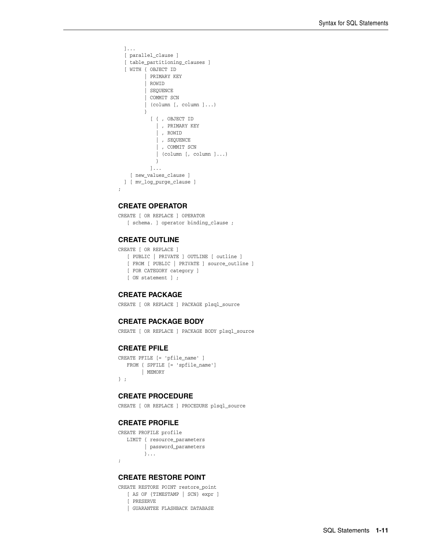```
 ]...
   [ parallel_clause ]
   [ table_partitioning_clauses ]
  [ WITH { OBJECT ID
          | PRIMARY KEY
          | ROWID
          | SEQUENCE
          | COMMIT SCN
          | (column [, column ]...)
 }
            [ { , OBJECT ID
              | , PRIMARY KEY
              | , ROWID
              | , SEQUENCE
              | , COMMIT SCN
              | (column [, column ]...)
 }
           ]...
    [ new_values_clause ]
  ] [ mv_log_purge_clause ] 
;
```
#### **CREATE OPERATOR**

CREATE [ OR REPLACE ] OPERATOR [ schema. ] operator binding\_clause ;

#### **CREATE OUTLINE**

CREATE [ OR REPLACE ] [ PUBLIC | PRIVATE ] OUTLINE [ outline ] [ FROM [ PUBLIC | PRIVATE ] source\_outline ] [ FOR CATEGORY category ] [ ON statement ] ;

#### **CREATE PACKAGE**

CREATE [ OR REPLACE ] PACKAGE plsql\_source

#### **CREATE PACKAGE BODY**

CREATE [ OR REPLACE ] PACKAGE BODY plsql\_source

#### **CREATE PFILE**

```
CREATE PFILE [= 'pfile_name' ]
   FROM { SPFILE [= 'spfile_name']
        | MEMORY
} ;
```
#### **CREATE PROCEDURE**

CREATE [ OR REPLACE ] PROCEDURE plsql\_source

#### **CREATE PROFILE**

```
CREATE PROFILE profile
   LIMIT { resource_parameters
         | password_parameters
         }...
;
```
#### **CREATE RESTORE POINT**

CREATE RESTORE POINT restore\_point

```
 [ AS OF {TIMESTAMP | SCN} expr ]
 [ PRESERVE
```
| GUARANTEE FLASHBACK DATABASE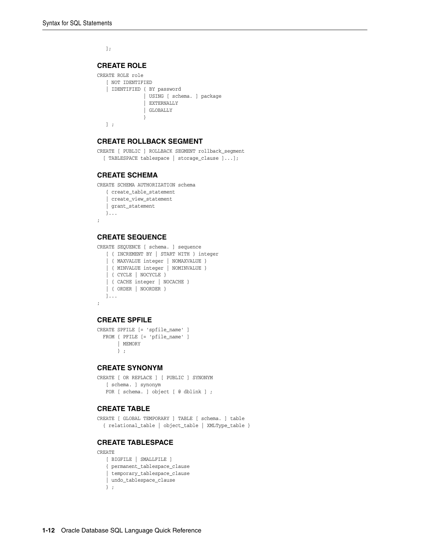];

#### **CREATE ROLE**

```
CREATE ROLE role
   [ NOT IDENTIFIED
    | IDENTIFIED { BY password
                | USING [ schema. ] package
                | EXTERNALLY
                | GLOBALLY
 }
   ] ;
```
#### **CREATE ROLLBACK SEGMENT**

CREATE [ PUBLIC ] ROLLBACK SEGMENT rollback\_segment [ TABLESPACE tablespace | storage\_clause ]...];

#### **CREATE SCHEMA**

CREATE SCHEMA AUTHORIZATION schema

```
 { create_table_statement
 | create_view_statement
 | grant_statement
 }...
```
#### **CREATE SEQUENCE**

;

CREATE SEQUENCE [ schema. ] sequence

```
 [ { INCREMENT BY | START WITH } integer
   | { MAXVALUE integer | NOMAXVALUE }
    | { MINVALUE integer | NOMINVALUE }
    | { CYCLE | NOCYCLE }
   | { CACHE integer | NOCACHE }
   | { ORDER | NOORDER }
   ]...
;
```
#### **CREATE SPFILE**

CREATE SPFILE [= 'spfile\_name' ] FROM { PFILE [= 'pfile\_name' ] | MEMORY } ;

#### **CREATE SYNONYM**

```
CREATE [ OR REPLACE ] [ PUBLIC ] SYNONYM
   [ schema. ] synonym
  FOR [ schema. ] object [ @ dblink ] ;
```
#### **CREATE TABLE**

CREATE [ GLOBAL TEMPORARY ] TABLE [ schema. ] table { relational\_table | object\_table | XMLType\_table }

#### **CREATE TABLESPACE**

CREATE

```
 [ BIGFILE | SMALLFILE ]
 { permanent_tablespace_clause
 | temporary_tablespace_clause
 | undo_tablespace_clause
 } ;
```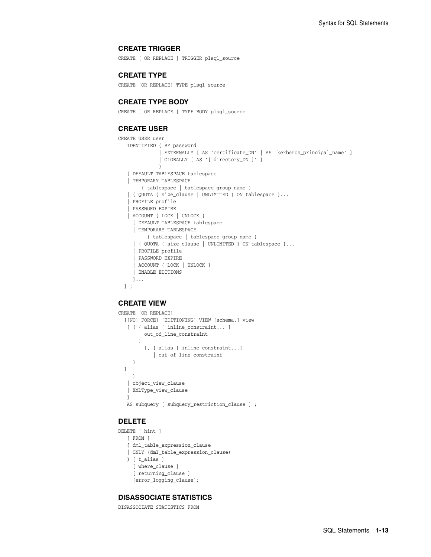#### **CREATE TRIGGER**

CREATE [ OR REPLACE ] TRIGGER plsql\_source

#### **CREATE TYPE**

CREATE [OR REPLACE] TYPE plsql\_source

#### **CREATE TYPE BODY**

CREATE [ OR REPLACE ] TYPE BODY plsql\_source

#### **CREATE USER**

```
CREATE USER user
   IDENTIFIED { BY password
               | EXTERNALLY [ AS 'certificate_DN' | AS 'kerberos_principal_name' ]
               | GLOBALLY [ AS '[ directory_DN ]' ]
 }
    [ DEFAULT TABLESPACE tablespace
    | TEMPORARY TABLESPACE
        { tablespace | tablespace_group_name }
    | { QUOTA { size_clause | UNLIMITED } ON tablespace }...
    | PROFILE profile
    | PASSWORD EXPIRE
    | ACCOUNT { LOCK | UNLOCK }
      [ DEFAULT TABLESPACE tablespace
      | TEMPORARY TABLESPACE
          { tablespace | tablespace_group_name }
      | { QUOTA { size_clause | UNLIMITED } ON tablespace }...
      | PROFILE profile
      | PASSWORD EXPIRE
      | ACCOUNT { LOCK | UNLOCK }
      | ENABLE EDITIONS
     ]...
  ] ;
```
#### **CREATE VIEW**

```
CREATE [OR REPLACE]
  [[NO] FORCE] [EDITIONING] VIEW [schema.] view
    [ ( { alias [ inline_constraint... ]
        | out_of_line_constraint
        }
          [, { alias [ inline_constraint...]
             | out_of_line_constraint
      }
  ]
     )
    | object_view_clause
    | XMLType_view_clause
 ]
   AS subquery [ subquery_restriction_clause ] ;
```
#### **DELETE**

```
DELETE [ hint ]
   [ FROM ]
    { dml_table_expression_clause
    | ONLY (dml_table_expression_clause)
    } [ t_alias ]
      [ where_clause ]
      [ returning_clause ]
      [error_logging_clause];
```
#### **DISASSOCIATE STATISTICS**

DISASSOCIATE STATISTICS FROM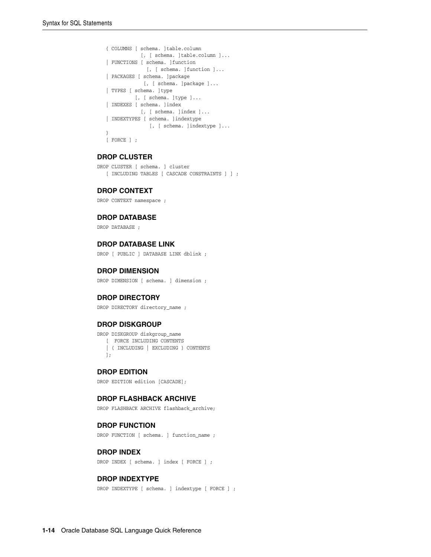```
 { COLUMNS [ schema. ]table.column
           [, [ schema. ]table.column ]...
 | FUNCTIONS [ schema. ]function
             [, [ schema. ]function ]...
 | PACKAGES [ schema. ]package
             [, [ schema. ]package ]...
 | TYPES [ schema. ]type
         [, [ schema. ]type ]...
 | INDEXES [ schema. ]index
           [, [ schema. ]index ]...
 | INDEXTYPES [ schema. ]indextype
              [, [ schema. ]indextype ]...
 }
[ FORCE ] ;
```
#### **DROP CLUSTER**

DROP CLUSTER [ schema. ] cluster [ INCLUDING TABLES [ CASCADE CONSTRAINTS ] ] ;

#### **DROP CONTEXT**

DROP CONTEXT namespace ;

#### **DROP DATABASE**

DROP DATABASE ;

#### **DROP DATABASE LINK**

DROP [ PUBLIC ] DATABASE LINK dblink ;

#### **DROP DIMENSION**

DROP DIMENSION [ schema. ] dimension ;

#### **DROP DIRECTORY**

DROP DIRECTORY directory\_name ;

#### **DROP DISKGROUP**

DROP DISKGROUP diskgroup\_name [ FORCE INCLUDING CONTENTS | { INCLUDING | EXCLUDING } CONTENTS ];

#### **DROP EDITION**

DROP EDITION edition [CASCADE];

#### **DROP FLASHBACK ARCHIVE**

DROP FLASHBACK ARCHIVE flashback\_archive;

#### **DROP FUNCTION**

DROP FUNCTION [ schema. ] function name ;

#### **DROP INDEX**

DROP INDEX [ schema. ] index [ FORCE ] ;

#### **DROP INDEXTYPE**

DROP INDEXTYPE [ schema. ] indextype [ FORCE ] ;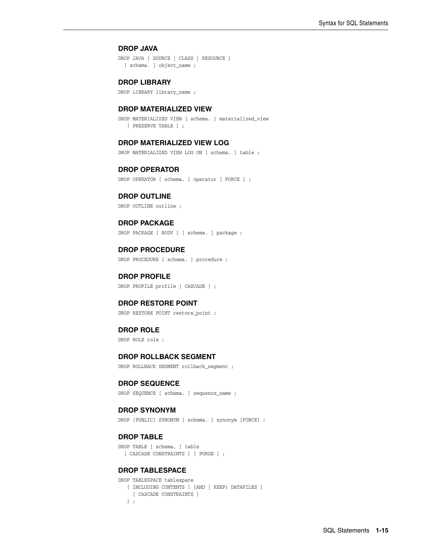#### **DROP JAVA**

DROP JAVA { SOURCE | CLASS | RESOURCE } [ schema. ] object\_name ;

#### **DROP LIBRARY**

DROP LIBRARY library\_name ;

#### **DROP MATERIALIZED VIEW**

DROP MATERIALIZED VIEW [ schema. ] materialized\_view [ PRESERVE TABLE ] ;

#### **DROP MATERIALIZED VIEW LOG**

DROP MATERIALIZED VIEW LOG ON [ schema. ] table ;

#### **DROP OPERATOR**

DROP OPERATOR [ schema. ] operator [ FORCE ] ;

#### **DROP OUTLINE**

DROP OUTLINE outline ;

#### **DROP PACKAGE**

DROP PACKAGE [ BODY ] [ schema. ] package ;

#### **DROP PROCEDURE**

DROP PROCEDURE [ schema. ] procedure ;

#### **DROP PROFILE** DROP PROFILE profile [ CASCADE ] ;

#### **DROP RESTORE POINT**

DROP RESTORE POINT restore\_point ;

#### **DROP ROLE**

DROP ROLE role ;

#### **DROP ROLLBACK SEGMENT**

DROP ROLLBACK SEGMENT rollback\_segment ;

#### **DROP SEQUENCE**

DROP SEQUENCE [ schema. ] sequence\_name ;

#### **DROP SYNONYM**

DROP [PUBLIC] SYNONYM [ schema. ] synonym [FORCE] ;

#### **DROP TABLE**

DROP TABLE [ schema. ] table [ CASCADE CONSTRAINTS ] [ PURGE ] ;

#### **DROP TABLESPACE**

```
DROP TABLESPACE tablespace 
   [ INCLUDING CONTENTS [ {AND | KEEP} DATAFILES ]
    [ CASCADE CONSTRAINTS ]
    ] ;
```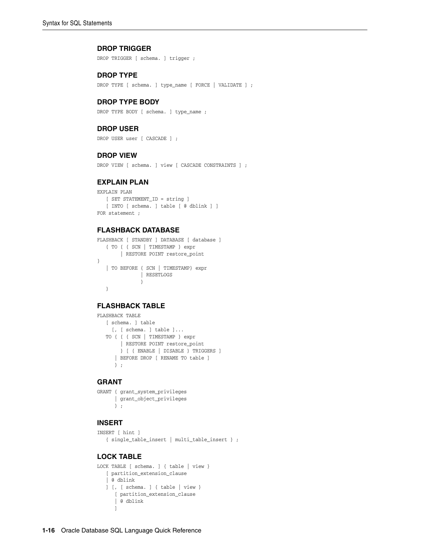#### **DROP TRIGGER**

DROP TRIGGER [ schema. ] trigger ;

#### **DROP TYPE**

DROP TYPE [ schema. ] type\_name [ FORCE | VALIDATE ] ;

#### **DROP TYPE BODY**

DROP TYPE BODY [ schema. ] type\_name ;

#### **DROP USER**

DROP USER user [ CASCADE ] ;

#### **DROP VIEW**

DROP VIEW [ schema. ] view [ CASCADE CONSTRAINTS ] ;

#### **EXPLAIN PLAN**

```
EXPLAIN PLAN
   [ SET STATEMENT_ID = string ]
   [ INTO [ schema. ] table [ @ dblink ] ]
FOR statement ;
```
#### **FLASHBACK DATABASE**

```
FLASHBACK [ STANDBY ] DATABASE [ database ]
   { TO { { SCN | TIMESTAMP } expr
        | RESTORE POINT restore_point
}
   | TO BEFORE { SCN | TIMESTAMP} expr
            | RESETLOGS 
                }
   }
```
#### **FLASHBACK TABLE**

```
FLASHBACK TABLE
    [ schema. ] table
     [, [ schema. ] table ]...
    TO { { { SCN | TIMESTAMP } expr
        | RESTORE POINT restore_point
       } [ { ENABLE | DISABLE } TRIGGERS ]
       | BEFORE DROP [ RENAME TO table ]
       } ;
```
#### **GRANT**

```
GRANT { grant_system_privileges
      | grant_object_privileges
      } ;
```
#### **INSERT**

```
INSERT [ hint ]
   { single_table_insert | multi_table_insert } ;
```
#### **LOCK TABLE**

```
LOCK TABLE [ schema. ] { table | view }
   [ partition_extension_clause
    | @ dblink
    ] [, [ schema. ] { table | view }
      [ partition_extension_clause
       | @ dblink
       ]
```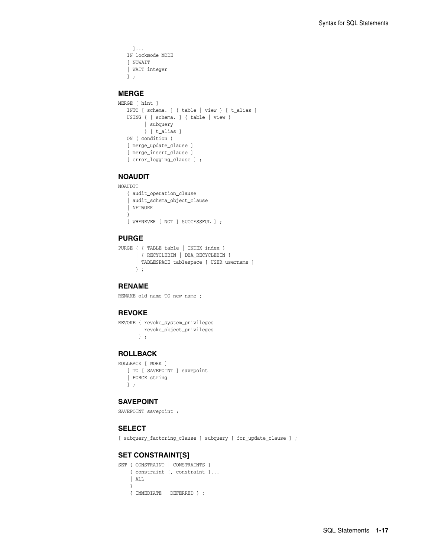```
 ]...
 IN lockmode MODE
 [ NOWAIT 
 | WAIT integer
 ] ;
```
#### **MERGE**

```
MERGE [ hint ]
   INTO [ schema. ] { table | view } [ t_alias ]
    USING { [ schema. ] { table | view }
        | subquery 
         } [ t_alias ]
    ON ( condition )
    [ merge_update_clause ]
   [ merge insert clause ]
    [ error_logging_clause ] ;
```
#### **NOAUDIT**

```
NOAUDIT
```

```
 { audit_operation_clause
  | audit_schema_object_clause
 | NETWORK
 }
 [ WHENEVER [ NOT ] SUCCESSFUL ] ;
```
#### **PURGE**

```
PURGE { { TABLE table | INDEX index }
      | { RECYCLEBIN | DBA_RECYCLEBIN }
       | TABLESPACE tablespace [ USER username ]
      } ;
```
#### **RENAME**

RENAME old name TO new name ;

#### **REVOKE**

```
REVOKE { revoke_system_privileges
       | revoke_object_privileges
       } ;
```
#### **ROLLBACK**

ROLLBACK [ WORK ] [ TO [ SAVEPOINT ] savepoint | FORCE string ] ;

#### **SAVEPOINT**

```
SAVEPOINT savepoint ;
```
#### **SELECT**

[ subquery\_factoring\_clause ] subquery [ for\_update\_clause ] ;

#### **SET CONSTRAINT[S]**

```
SET { CONSTRAINT | CONSTRAINTS }
    { constraint [, constraint ]...
     | ALL
    }
    { IMMEDIATE | DEFERRED } ;
```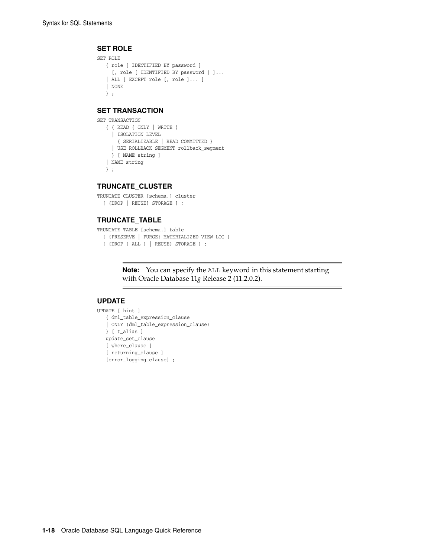#### **SET ROLE**

```
SET ROLE
   { role [ IDENTIFIED BY password ]
     [, role [ IDENTIFIED BY password ] ]...
    | ALL [ EXCEPT role [, role ]... ]
    | NONE
    } ;
```
#### **SET TRANSACTION**

```
SET TRANSACTION
```

```
 { { READ { ONLY | WRITE }
  | ISOLATION LEVEL
     { SERIALIZABLE | READ COMMITTED }
   | USE ROLLBACK SEGMENT rollback_segment
   } [ NAME string ]
 | NAME string
```
} ;

#### **TRUNCATE\_CLUSTER**

```
TRUNCATE CLUSTER [schema.] cluster
   [ {DROP | REUSE} STORAGE ] ;
```
#### **TRUNCATE\_TABLE**

```
TRUNCATE TABLE [schema.] table
   [ {PRESERVE | PURGE} MATERIALIZED VIEW LOG ]
   [ {DROP [ ALL ] | REUSE} STORAGE ] ;
```
**Note:** You can specify the ALL keyword in this statement starting with Oracle Database 11*g* Release 2 (11.2.0.2).

#### **UPDATE**

```
UPDATE [ hint ]
   { dml_table_expression_clause
    | ONLY (dml_table_expression_clause)
    } [ t_alias ]
   update_set_clause
    [ where_clause ]
    [ returning_clause ]
    [error_logging_clause] ;
```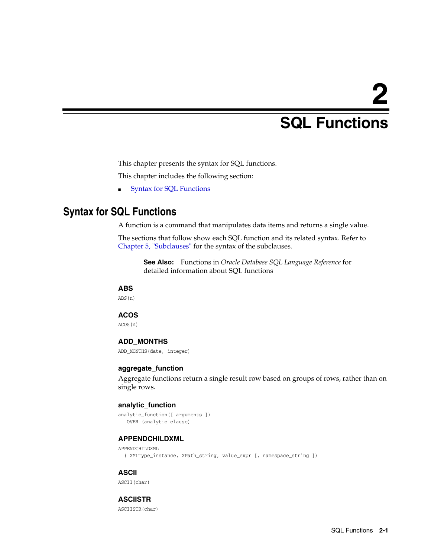# **2**

# <sup>2</sup> **SQL Functions**

<span id="page-24-0"></span>This chapter presents the syntax for SQL functions.

This chapter includes the following section:

■ [Syntax for SQL Functions](#page-24-1)

# <span id="page-24-1"></span>**Syntax for SQL Functions**

A function is a command that manipulates data items and returns a single value.

The sections that follow show each SQL function and its related syntax. Refer to [Chapter 5, "Subclauses"](#page-52-2) for the syntax of the subclauses.

**See Also:** Functions in *Oracle Database SQL Language Reference* for detailed information about SQL functions

#### **ABS**

ABS(n)

#### **ACOS**

ACOS(n)

#### **ADD\_MONTHS**

ADD\_MONTHS(date, integer)

#### **aggregate\_function**

Aggregate functions return a single result row based on groups of rows, rather than on single rows.

#### **analytic\_function**

```
analytic_function([ arguments ])
   OVER (analytic_clause)
```
#### **APPENDCHILDXML**

APPENDCHILDXML

( XMLType\_instance, XPath\_string, value\_expr [, namespace\_string ])

#### **ASCII**

ASCII(char)

#### **ASCIISTR**

ASCIISTR(char)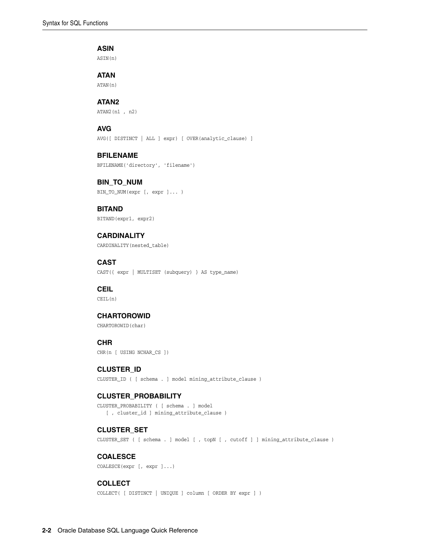#### **ASIN**

ASIN(n)

#### **ATAN**

ATAN(n)

#### **ATAN2**

ATAN2(n1 , n2)

#### **AVG**

AVG([ DISTINCT | ALL ] expr) [ OVER(analytic\_clause) ]

#### **BFILENAME**

BFILENAME('directory', 'filename')

# **BIN\_TO\_NUM**

BIN\_TO\_NUM(expr [, expr ]... )

#### **BITAND** BITAND(expr1, expr2)

#### **CARDINALITY**

CARDINALITY(nested\_table)

#### **CAST** CAST({ expr | MULTISET (subquery) } AS type\_name)

#### **CEIL**

CEIL(n)

#### **CHARTOROWID**

CHARTOROWID(char)

#### **CHR**

CHR(n [ USING NCHAR\_CS ])

#### **CLUSTER\_ID**

CLUSTER\_ID ( [ schema . ] model mining\_attribute\_clause )

#### **CLUSTER\_PROBABILITY**

CLUSTER\_PROBABILITY ( [ schema . ] model [ , cluster\_id ] mining\_attribute\_clause )

#### **CLUSTER\_SET**

CLUSTER\_SET ( [ schema . ] model [ , topN [ , cutoff ] ] mining\_attribute\_clause )

#### **COALESCE**

COALESCE(expr [, expr ]...)

#### **COLLECT**

COLLECT( [ DISTINCT | UNIQUE ] column [ ORDER BY expr ] )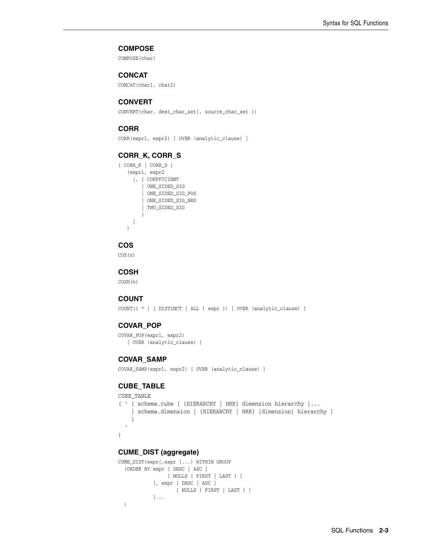#### **COMPOSE**

COMPOSE(char)

#### **CONCAT**

CONCAT(char1, char2)

#### **CONVERT**

CONVERT(char, dest\_char\_set[, source\_char\_set ])

#### **CORR**

CORR(expr1, expr2) [ OVER (analytic\_clause) ]

#### **CORR\_K, CORR\_S**

```
{ CORR_K | CORR_S }
    (expr1, expr2
     [, { COEFFICIENT
         | ONE_SIDED_SIG
         | ONE_SIDED_SIG_POS
         | ONE_SIDED_SIG_NEG
         | TWO_SIDED_SIG
         }
      ]
    )
```
#### **COS**

COS(n)

#### **COSH**

COSH(n)

#### **COUNT**

COUNT({ \* | [ DISTINCT | ALL ] expr }) [ OVER (analytic\_clause) ]

#### **COVAR\_POP**

```
COVAR_POP(expr1, expr2)
    [ OVER (analytic_clause) ]
```
#### **COVAR\_SAMP**

COVAR\_SAMP(expr1, expr2) [ OVER (analytic\_clause) ]

#### **CUBE\_TABLE**

```
CUBE_TABLE
```

```
( ' { schema.cube [ {HIERARCHY | HRR} dimension hierarchy ]...
     | schema.dimension [ {HIERARCHY | HRR} [dimension] hierarchy ]
     }
  \overline{1})
```
#### **CUME\_DIST (aggregate)**

```
CUME_DIST(expr[,expr ]...) WITHIN GROUP
   (ORDER BY expr [ DESC | ASC ]
                 [ NULLS { FIRST | LAST } ] 
             [, expr [ DESC | ASC ]
                     [ NULLS { FIRST | LAST } ]
             ]...
   )
```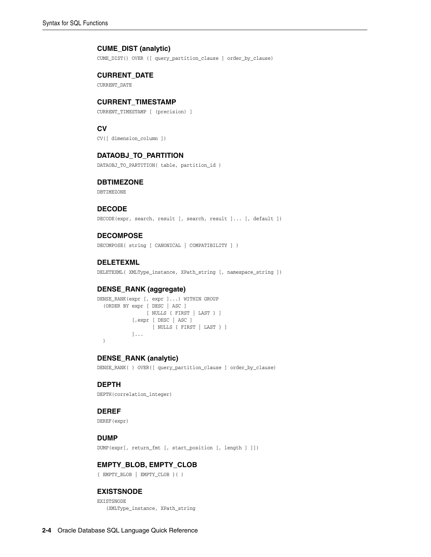#### **CUME\_DIST (analytic)**

CUME\_DIST() OVER ([ query\_partition\_clause ] order\_by\_clause)

#### **CURRENT\_DATE**

CURRENT\_DATE

#### **CURRENT\_TIMESTAMP**

CURRENT\_TIMESTAMP [ (precision) ]

#### **CV**

CV([ dimension\_column ])

#### **DATAOBJ\_TO\_PARTITION**

DATAOBJ\_TO\_PARTITION( table, partition\_id )

#### **DBTIMEZONE**

DBTIMEZONE

#### **DECODE**

DECODE(expr, search, result [, search, result ]... [, default ])

#### **DECOMPOSE**

DECOMPOSE( string [ CANONICAL | COMPATIBILITY ] )

#### **DELETEXML**

DELETEXML( XMLType\_instance, XPath\_string [, namespace\_string ])

#### **DENSE\_RANK (aggregate)**

```
DENSE_RANK(expr [, expr ]...) WITHIN GROUP
   (ORDER BY expr [ DESC | ASC ]
                [ NULLS { FIRST | LAST } ]
            [,expr [ DESC | ASC ]
                  [ NULLS { FIRST | LAST } ]
             ]...
  )
```
#### **DENSE\_RANK (analytic)**

DENSE\_RANK( ) OVER([ query\_partition\_clause ] order\_by\_clause)

#### **DEPTH**

DEPTH(correlation\_integer)

#### **DEREF**

DEREF(expr)

#### **DUMP**

DUMP(expr[, return\_fmt [, start\_position [, length ] ]])

#### **EMPTY\_BLOB, EMPTY\_CLOB**

{ EMPTY\_BLOB | EMPTY\_CLOB }( )

#### **EXISTSNODE**

EXISTSNODE (XMLType\_instance, XPath\_string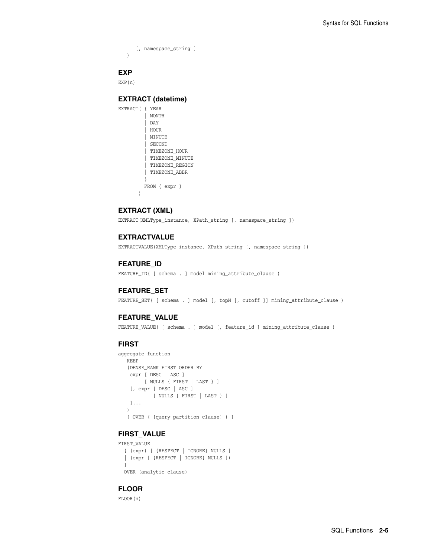```
 [, namespace_string ]
\lambda
```
#### **EXP**

EXP(n)

#### **EXTRACT (datetime)**

```
EXTRACT( { YEAR
            | MONTH
            | DAY
            | HOUR
            | MINUTE
           | SECOND
           | TIMEZONE_HOUR
           | TIMEZONE_MINUTE
          | TIMEZONE_REGION
          | TIMEZONE_ABBR
 }
          FROM { expr }
        )
```
#### **EXTRACT (XML)**

EXTRACT(XMLType\_instance, XPath\_string [, namespace\_string ])

#### **EXTRACTVALUE**

EXTRACTVALUE(XMLType\_instance, XPath\_string [, namespace\_string ])

#### **FEATURE\_ID**

FEATURE\_ID( [ schema . ] model mining\_attribute\_clause )

#### **FEATURE\_SET**

FEATURE\_SET( [ schema . ] model [, topN [, cutoff ]] mining\_attribute\_clause )

#### **FEATURE\_VALUE**

FEATURE\_VALUE( [ schema . ] model [, feature\_id ] mining\_attribute\_clause )

#### **FIRST**

```
aggregate_function
   KEEP
    (DENSE_RANK FIRST ORDER BY
    expr [ DESC | ASC ]
         [ NULLS { FIRST | LAST } ]
    [, expr [ DESC | ASC ]
            [ NULLS { FIRST | LAST } ]
    ]...
    )
    [ OVER ( [query_partition_clause] ) ]
```
#### **FIRST\_VALUE**

```
FIRST_VALUE 
   { (expr) [ {RESPECT | IGNORE} NULLS ]
   | (expr [ {RESPECT | IGNORE} NULLS ])
   }
  OVER (analytic_clause)
```
#### **FLOOR**

FLOOR(n)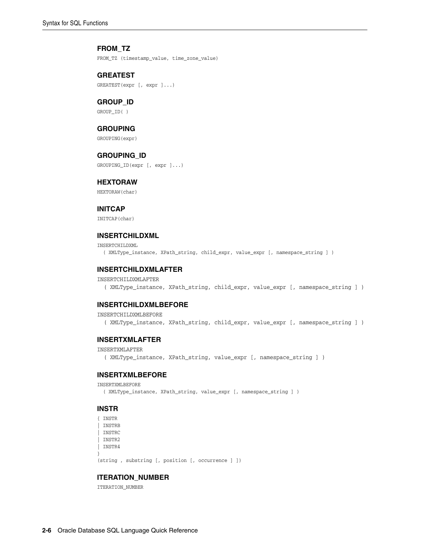#### **FROM\_TZ**

FROM\_TZ (timestamp\_value, time\_zone\_value)

#### **GREATEST**

GREATEST(expr [, expr ]...)

#### **GROUP\_ID**

GROUP\_ID( )

#### **GROUPING**

GROUPING(expr)

#### **GROUPING\_ID**

GROUPING\_ID(expr [, expr ]...)

#### **HEXTORAW**

HEXTORAW(char)

#### **INITCAP**

INITCAP(char)

#### **INSERTCHILDXML**

INSERTCHILDXML ( XMLType\_instance, XPath\_string, child\_expr, value\_expr [, namespace\_string ] )

#### **INSERTCHILDXMLAFTER**

#### INSERTCHILDXMLAFTER ( XMLType\_instance, XPath\_string, child\_expr, value\_expr [, namespace\_string ] )

#### **INSERTCHILDXMLBEFORE**

#### INSERTCHILDXMLBEFORE

( XMLType\_instance, XPath\_string, child\_expr, value\_expr [, namespace\_string ] )

#### **INSERTXMLAFTER**

#### INSERTXMLAFTER

( XMLType\_instance, XPath\_string, value\_expr [, namespace\_string ] )

#### **INSERTXMLBEFORE**

```
INSERTXMLBEFORE
```

```
 ( XMLType_instance, XPath_string, value_expr [, namespace_string ] )
```
#### **INSTR**

```
{ INSTR
| INSTRB
| INSTRC
| INSTR2
| INSTR4
}
```
(string , substring [, position [, occurrence ] ])

#### **ITERATION\_NUMBER**

ITERATION\_NUMBER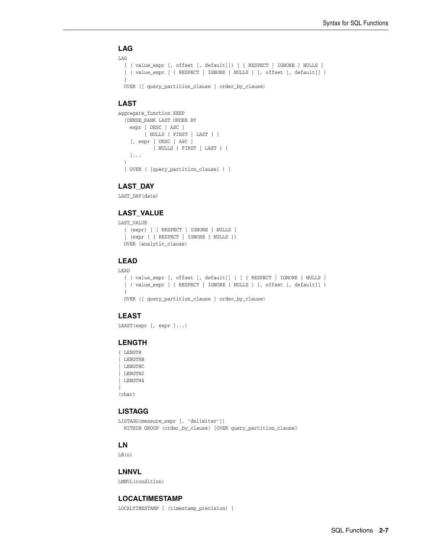#### **LAG**

```
LAG
   { ( value_expr [, offset [, default]]) [ { RESPECT | IGNORE } NULLS ] 
   | ( value_expr [ { RESPECT | IGNORE } NULLS ] [, offset [, default]] )
  }
  OVER ([ query_partition_clause ] order_by_clause)
```
#### **LAST**

```
aggregate_function KEEP
  (DENSE_RANK LAST ORDER BY
    expr [ DESC | ASC ]
        [ NULLS { FIRST | LAST } ]
     [, expr [ DESC | ASC ]
            [ NULLS { FIRST | LAST } ]
     ]...
  )
  [ OVER ( [query_partition_clause] ) ]
```
#### **LAST\_DAY**

LAST\_DAY(date)

#### **LAST\_VALUE**

```
LAST_VALUE
   { (expr) [ { RESPECT | IGNORE } NULLS ]
   | (expr [ { RESPECT | IGNORE } NULLS ])
  OVER (analytic_clause)
```
#### **LEAD**

```
LEAD
   { ( value_expr [, offset [, default]] ) [ { RESPECT | IGNORE } NULLS ] 
  | ( value_expr [ { RESPECT | IGNORE } NULLS ] [, offset [, default]] )
   }
  OVER ([ query_partition_clause ] order_by_clause)
```
#### **LEAST**

```
LEAST(expr [, expr ]...)
```
#### **LENGTH**

```
{ LENGTH
| LENGTHB
| LENGTHC
| LENGTH2
| LENGTH4
}
```
(char)

#### **LISTAGG**

```
LISTAGG(measure_expr [, 'delimiter'])
  WITHIN GROUP (order_by_clause) [OVER query_partition_clause]
```
#### **LN**

 $LN(n)$ 

#### **LNNVL**

LNNVL(condition)

#### **LOCALTIMESTAMP**

LOCALTIMESTAMP [ (timestamp\_precision) ]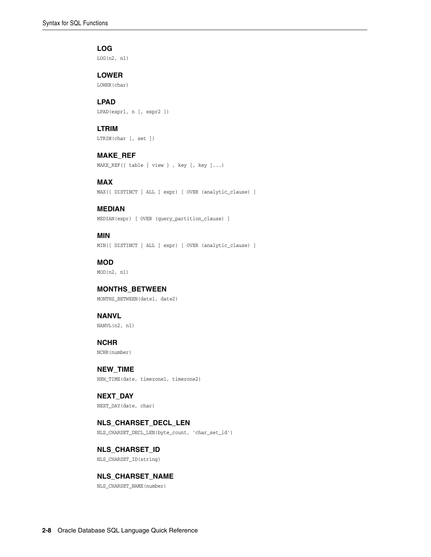#### **LOG**

LOG(n2, n1)

#### **LOWER**

LOWER(char)

#### **LPAD**

LPAD(expr1, n [, expr2 ])

#### **LTRIM**

LTRIM(char [, set ])

#### **MAKE\_REF**

MAKE\_REF({ table | view } , key [, key ]...)

#### **MAX**

MAX([ DISTINCT | ALL ] expr) [ OVER (analytic\_clause) ]

#### **MEDIAN**

MEDIAN(expr) [ OVER (query\_partition\_clause) ]

#### **MIN**

MIN([ DISTINCT | ALL ] expr) [ OVER (analytic\_clause) ]

## **MOD**

MOD(n2, n1)

#### **MONTHS\_BETWEEN**

MONTHS\_BETWEEN(date1, date2)

## **NANVL**

NANVL(n2, n1)

#### **NCHR** NCHR(number)

**NEW\_TIME** NEW\_TIME(date, timezone1, timezone2)

#### **NEXT\_DAY** NEXT\_DAY(date, char)

#### **NLS\_CHARSET\_DECL\_LEN**

NLS\_CHARSET\_DECL\_LEN(byte\_count, 'char\_set\_id')

#### **NLS\_CHARSET\_ID** NLS\_CHARSET\_ID(string)

#### **NLS\_CHARSET\_NAME**

NLS\_CHARSET\_NAME(number)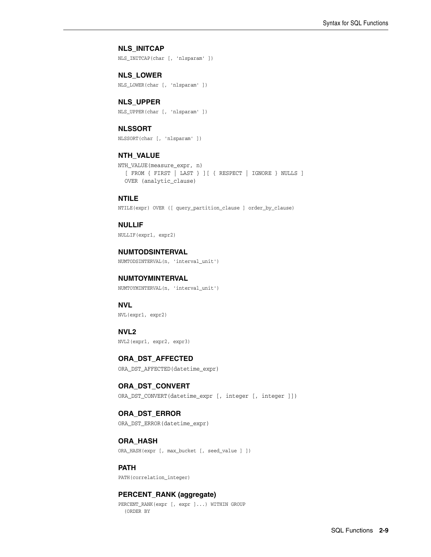#### **NLS\_INITCAP**

NLS\_INITCAP(char [, 'nlsparam' ])

**NLS\_LOWER** NLS\_LOWER(char [, 'nlsparam' ])

#### **NLS\_UPPER**

NLS\_UPPER(char [, 'nlsparam' ])

#### **NLSSORT**

NLSSORT(char [, 'nlsparam' ])

#### **NTH\_VALUE**

```
NTH_VALUE(measure_expr, n)
   [ FROM { FIRST | LAST } ][ { RESPECT | IGNORE } NULLS ] 
  OVER (analytic_clause)
```
#### **NTILE**

NTILE(expr) OVER ([ query\_partition\_clause ] order\_by\_clause)

#### **NULLIF**

NULLIF(expr1, expr2)

### **NUMTODSINTERVAL**

NUMTODSINTERVAL(n, 'interval\_unit')

#### **NUMTOYMINTERVAL**

NUMTOYMINTERVAL(n, 'interval\_unit')

#### **NVL**

NVL(expr1, expr2)

#### **NVL2**

NVL2(expr1, expr2, expr3)

#### **ORA\_DST\_AFFECTED**

ORA\_DST\_AFFECTED(datetime\_expr)

#### **ORA\_DST\_CONVERT**

ORA\_DST\_CONVERT(datetime\_expr [, integer [, integer ]])

#### **ORA\_DST\_ERROR**

ORA\_DST\_ERROR(datetime\_expr)

#### **ORA\_HASH**

ORA\_HASH(expr [, max\_bucket [, seed\_value ] ])

#### **PATH**

PATH(correlation integer)

#### **PERCENT\_RANK (aggregate)**

PERCENT\_RANK(expr [, expr ]...) WITHIN GROUP (ORDER BY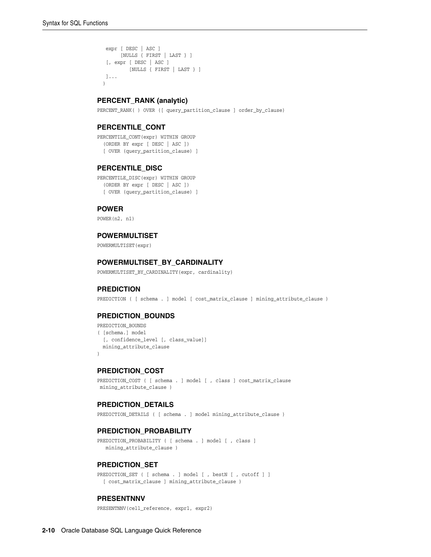```
 expr [ DESC | ASC ]
      [NULLS { FIRST | LAST } ]
  [, expr [ DESC | ASC ]
        [NULLS { FIRST | LAST } ]
 ]...
 )
```
#### **PERCENT\_RANK (analytic)**

PERCENT\_RANK( ) OVER ([ query\_partition\_clause ] order\_by\_clause)

#### **PERCENTILE\_CONT**

PERCENTILE\_CONT(expr) WITHIN GROUP (ORDER BY expr [ DESC | ASC ]) [ OVER (query\_partition\_clause) ]

#### **PERCENTILE\_DISC**

PERCENTILE\_DISC(expr) WITHIN GROUP (ORDER BY expr [ DESC | ASC ]) [ OVER (query\_partition\_clause) ]

#### **POWER**

POWER(n2, n1)

#### **POWERMULTISET**

POWERMULTISET(expr)

#### **POWERMULTISET\_BY\_CARDINALITY**

POWERMULTISET\_BY\_CARDINALITY(expr, cardinality)

#### **PREDICTION**

PREDICTION ( [ schema . ] model [ cost\_matrix\_clause ] mining\_attribute\_clause )

#### **PREDICTION\_BOUNDS**

```
PREDICTION BOUNDS
( [schema.] model
  [, confidence_level [, class_value]]
  mining_attribute_clause
\lambda
```
#### **PREDICTION\_COST**

PREDICTION\_COST ( [ schema . ] model [ , class ] cost\_matrix\_clause mining\_attribute\_clause )

#### **PREDICTION\_DETAILS**

PREDICTION\_DETAILS ( [ schema . ] model mining\_attribute\_clause )

#### **PREDICTION\_PROBABILITY**

PREDICTION\_PROBABILITY ( [ schema . ] model [ , class ] mining\_attribute\_clause )

#### **PREDICTION\_SET**

PREDICTION\_SET ( [ schema . ] model [ , bestN [ , cutoff ] ] [ cost\_matrix\_clause ] mining\_attribute\_clause )

#### **PRESENTNNV**

PRESENTNNV(cell\_reference, expr1, expr2)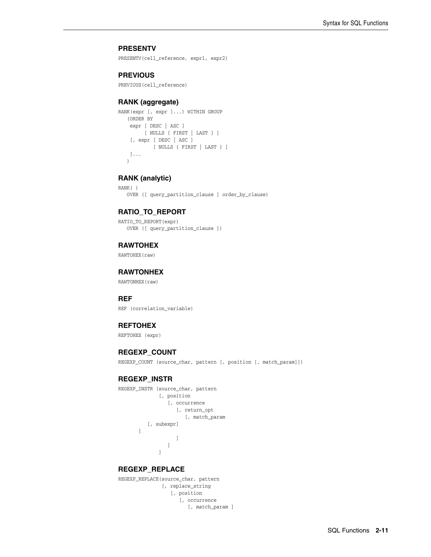#### **PRESENTV**

PRESENTV(cell\_reference, expr1, expr2)

#### **PREVIOUS**

PREVIOUS(cell\_reference)

#### **RANK (aggregate)**

```
RANK(expr [, expr ]...) WITHIN GROUP
    (ORDER BY
    expr [ DESC | ASC ]
        [ NULLS { FIRST | LAST } ]
     [, expr [ DESC | ASC ]
            [ NULLS { FIRST | LAST } ]
    ]...
    )
```
#### **RANK (analytic)**

RANK( ) OVER ([ query\_partition\_clause ] order\_by\_clause)

#### **RATIO\_TO\_REPORT**

RATIO\_TO\_REPORT(expr) OVER ([ query\_partition\_clause ])

#### **RAWTOHEX**

RAWTOHEX(raw)

#### **RAWTONHEX**

RAWTONHEX(raw)

#### **REF**

REF (correlation variable)

#### **REFTOHEX**

REFTOHEX (expr)

#### **REGEXP\_COUNT**

REGEXP\_COUNT (source\_char, pattern [, position [, match\_param]])

#### **REGEXP\_INSTR**

```
REGEXP_INSTR (source_char, pattern
                               [, position
                                    [, occurrence
                                          [, return_opt
                                                 [, match_param
                      [, subexpr]
               ]
  ]
 \sim 100 \sim 100 \sim 100 \sim 100 \sim 100 \sim 100 \sim 100 \sim 100 \sim 100 \sim 100 \sim 100 \sim 100 \sim 100 \sim 100 \sim 100 \sim 100 \sim 100 \sim 100 \sim 100 \sim 100 \sim 100 \sim 100 \sim 100 \sim 100 \sim 
  ]
```
#### **REGEXP\_REPLACE**

```
REGEXP_REPLACE(source_char, pattern
                [, replace_string
                   [, position
                      [, occurrence
                        [, match_param ]
```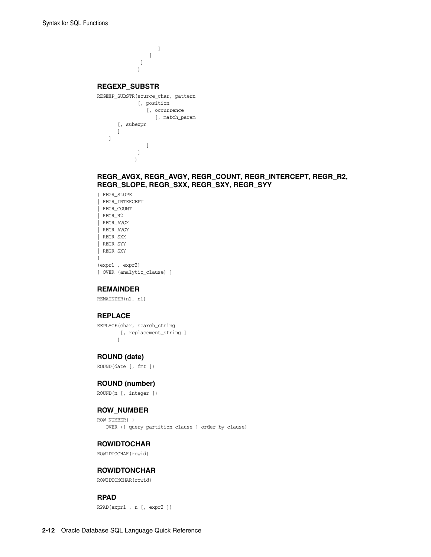```
\sim 100 \sim 100 \sim 100 \sim 100 \sim 100 \sim 100 \sim 100 \sim 100 \sim 100 \sim 100 \sim 100 \sim 100 \sim 100 \sim 100 \sim 100 \sim 100 \sim 100 \sim 100 \sim 100 \sim 100 \sim 100 \sim 100 \sim 100 \sim 100 \sim 
                                       ]
                                  ]
 \overline{\phantom{a}}REGEXP_SUBSTR
REGEXP_SUBSTR(source_char, pattern
                               [, position
                                    [, occurrence
                                        [, match_param
                [, subexpr
               \mathbf{I} ]
                                  \blacksquare ]
                              )
```
#### **REGR\_AVGX, REGR\_AVGY, REGR\_COUNT, REGR\_INTERCEPT, REGR\_R2, REGR\_SLOPE, REGR\_SXX, REGR\_SXY, REGR\_SYY**

{ REGR\_SLOPE | REGR\_INTERCEPT | REGR\_COUNT | REGR\_R2 | REGR\_AVGX | REGR\_AVGY | REGR\_SXX | REGR\_SYY | REGR\_SXY } (expr1 , expr2) [ OVER (analytic\_clause) ]

#### **REMAINDER**

REMAINDER(n2, n1)

#### **REPLACE**

REPLACE(char, search\_string [, replacement\_string ] )

#### **ROUND (date)**

ROUND(date [, fmt ])

#### **ROUND (number)**

ROUND(n [, integer ])

#### **ROW\_NUMBER**

ROW\_NUMBER( ) OVER ([ query\_partition\_clause ] order\_by\_clause)

#### **ROWIDTOCHAR**

ROWIDTOCHAR(rowid)

#### **ROWIDTONCHAR**

ROWIDTONCHAR(rowid)

#### **RPAD**

RPAD(expr1 , n [, expr2 ])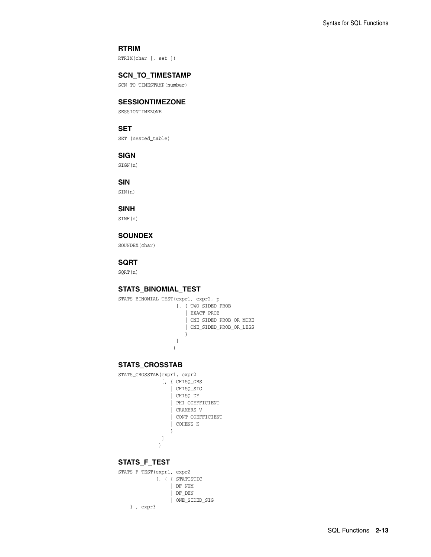## **RTRIM**

RTRIM(char [, set ])

#### **SCN\_TO\_TIMESTAMP**

SCN\_TO\_TIMESTAMP(number)

### **SESSIONTIMEZONE**

SESSIONTIMEZONE

## **SET**

SET (nested\_table)

#### **SIGN**

SIGN(n)

#### **SIN**

SIN(n)

## **SINH**

SINH(n)

## **SOUNDEX**

SOUNDEX(char)

## **SQRT**

SQRT(n)

## **STATS\_BINOMIAL\_TEST**

```
STATS_BINOMIAL_TEST(expr1, expr2, p
               [, { TWO_SIDED_PROB
                 | EXACT_PROB
                 | ONE_SIDED_PROB_OR_MORE
                 | ONE_SIDED_PROB_OR_LESS
 }
 ]
)
```
# **STATS\_CROSSTAB**

STATS\_CROSSTAB(expr1, expr2 [, { CHISQ\_OBS | CHISQ\_SIG | CHISQ\_DF | PHI\_COEFFICIENT | CRAMERS\_V | CONT\_COEFFICIENT | COHENS\_K } ]

)

#### **STATS\_F\_TEST**

STATS\_F\_TEST(expr1, expr2 [, { { STATISTIC | DF\_NUM | DF\_DEN | ONE\_SIDED\_SIG } , expr3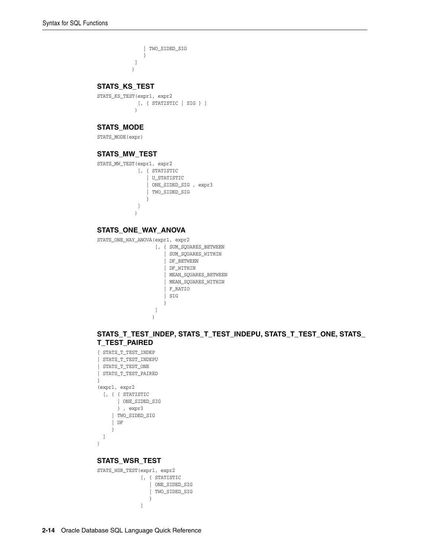```
 | TWO_SIDED_SIG
 }
         \, ]
         )
```
## **STATS\_KS\_TEST**

STATS\_KS\_TEST(expr1, expr2 [, { STATISTIC | SIG } ]  $)$ 

## **STATS\_MODE**

STATS\_MODE(expr)

## **STATS\_MW\_TEST**

STATS\_MW\_TEST(expr1, expr2

 [, { STATISTIC | U\_STATISTIC | ONE\_SIDED\_SIG , expr3 | TWO\_SIDED\_SIG } ] )

## **STATS\_ONE\_WAY\_ANOVA**

STATS\_ONE\_WAY\_ANOVA(expr1, expr2

```
 [, { SUM_SQUARES_BETWEEN
                                          | SUM_SQUARES_WITHIN
                                           | DF_BETWEEN
                                           | DF_WITHIN
                                           | MEAN_SQUARES_BETWEEN
                                           | MEAN_SQUARES_WITHIN
                                           | F_RATIO
                                          | SIG
 }
\sim 100 \sim 100 \sim 100 \sim 100 \sim 100 \sim 100 \sim 100 \sim 100 \sim 100 \sim 100 \sim 100 \sim 100 \sim 100 \sim 100 \sim 100 \sim 100 \sim 100 \sim 100 \sim 100 \sim 100 \sim 100 \sim 100 \sim 100 \sim 100 \sim 
)
```
## **STATS\_T\_TEST\_INDEP, STATS\_T\_TEST\_INDEPU, STATS\_T\_TEST\_ONE, STATS\_ T\_TEST\_PAIRED**

```
{ STATS_T_TEST_INDEP
| STATS_T_TEST_INDEPU
| STATS_T_TEST_ONE
| STATS_T_TEST_PAIRED
}
(expr1, expr2
 [ ,\ \{ \ \{ \ \text{STATISTIC} | ONE_SIDED_SIG
        } , expr3
      | TWO_SIDED_SIG
      | DF
      }
  ]
)
```
## **STATS\_WSR\_TEST**

```
STATS_WSR_TEST(expr1, expr2
           [, { STATISTIC
              | ONE_SIDED_SIG
              | TWO_SIDED_SIG
 }
 ]
```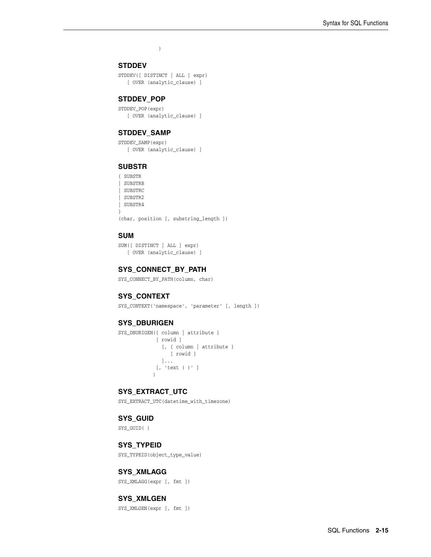$\overline{\phantom{a}}$ 

# **STDDEV**

STDDEV([ DISTINCT | ALL ] expr) [ OVER (analytic\_clause) ]

## **STDDEV\_POP**

STDDEV\_POP(expr) [ OVER (analytic\_clause) ]

## **STDDEV\_SAMP**

STDDEV\_SAMP(expr) [ OVER (analytic\_clause) ]

## **SUBSTR**

{ SUBSTR | SUBSTRB | SUBSTRC | SUBSTR2 | SUBSTR4 }

(char, position [, substring\_length ])

## **SUM**

SUM([ DISTINCT | ALL ] expr) [ OVER (analytic\_clause) ]

## **SYS\_CONNECT\_BY\_PATH**

SYS\_CONNECT\_BY\_PATH(column, char)

## **SYS\_CONTEXT**

SYS\_CONTEXT('namespace', 'parameter' [, length ])

#### **SYS\_DBURIGEN**

```
SYS_DBURIGEN({ column | attribute }
              [ rowid ]
               [, { column | attribute }
                  [ rowid ]
                ]...
              [, 'text ( )' ]
             )
```
## **SYS\_EXTRACT\_UTC**

SYS\_EXTRACT\_UTC(datetime\_with\_timezone)

## **SYS\_GUID**

SYS\_GUID( )

## **SYS\_TYPEID**

SYS\_TYPEID(object\_type\_value)

#### **SYS\_XMLAGG**

SYS\_XMLAGG(expr [, fmt ])

## **SYS\_XMLGEN**

SYS\_XMLGEN(expr [, fmt ])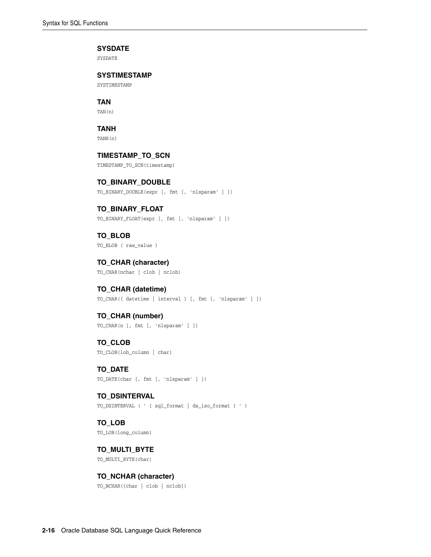#### **SYSDATE**

SYSDATE

## **SYSTIMESTAMP**

SYSTIMESTAMP

**TAN**

TAN(n)

# **TANH**

TANH(n)

# **TIMESTAMP\_TO\_SCN**

TIMESTAMP\_TO\_SCN(timestamp)

## **TO\_BINARY\_DOUBLE** TO\_BINARY\_DOUBLE(expr [, fmt [, 'nlsparam' ] ])

**TO\_BINARY\_FLOAT** TO\_BINARY\_FLOAT(expr [, fmt [, 'nlsparam' ] ])

**TO\_BLOB**  TO\_BLOB ( raw\_value )

**TO\_CHAR (character)** TO\_CHAR(nchar | clob | nclob)

**TO\_CHAR (datetime)** TO\_CHAR({ datetime | interval } [, fmt [, 'nlsparam' ] ])

## **TO\_CHAR (number)** TO\_CHAR(n [, fmt [, 'nlsparam' ] ])

**TO\_CLOB** TO\_CLOB(lob\_column | char)

**TO\_DATE** TO\_DATE(char [, fmt [, 'nlsparam' ] ])

**TO\_DSINTERVAL** TO\_DSINTERVAL ( ' { sql\_format | ds\_iso\_format } ' )

**TO\_LOB** TO\_LOB(long\_column)

**TO\_MULTI\_BYTE** TO\_MULTI\_BYTE(char)

## **TO\_NCHAR (character)**

TO\_NCHAR({char | clob | nclob})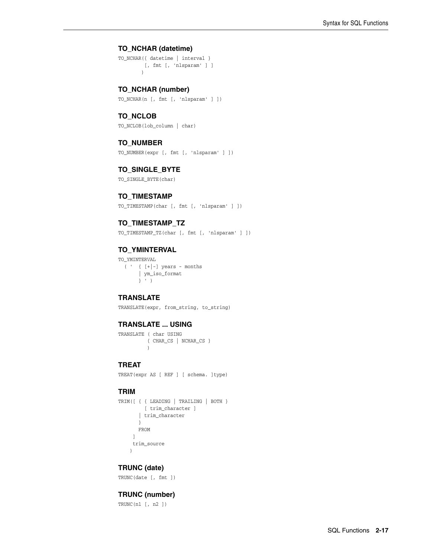# **TO\_NCHAR (datetime)**

TO\_NCHAR({ datetime | interval } [, fmt [, 'nlsparam' ] ] )

**TO\_NCHAR (number)**

TO\_NCHAR(n [, fmt [, 'nlsparam' ] ])

## **TO\_NCLOB**

TO\_NCLOB(lob\_column | char)

## **TO\_NUMBER**

TO\_NUMBER(expr [, fmt [, 'nlsparam' ] ])

## **TO\_SINGLE\_BYTE**

TO\_SINGLE\_BYTE(char)

## **TO\_TIMESTAMP**

TO\_TIMESTAMP(char [, fmt [, 'nlsparam' ] ])

## **TO\_TIMESTAMP\_TZ**

TO\_TIMESTAMP\_TZ(char [, fmt [, 'nlsparam' ] ])

## **TO\_YMINTERVAL**

TO\_YMINTERVAL  $( ' \t { [+|-] \text{ years - months} }$  | ym\_iso\_format } ' )

# **TRANSLATE**

TRANSLATE(expr, from\_string, to\_string)

## **TRANSLATE ... USING**

```
TRANSLATE ( char USING
         { CHAR_CS | NCHAR_CS }
           )
```
## **TREAT**

TREAT(expr AS [ REF ] [ schema. ]type)

## **TRIM**

```
TRIM([ { { LEADING | TRAILING | BOTH }
        [ trim_character ]
        | trim_character
       }
      FROM 
      ]
      trim_source
     )
```
## **TRUNC (date)**

TRUNC(date [, fmt ])

## **TRUNC (number)**

TRUNC(n1 [, n2 ])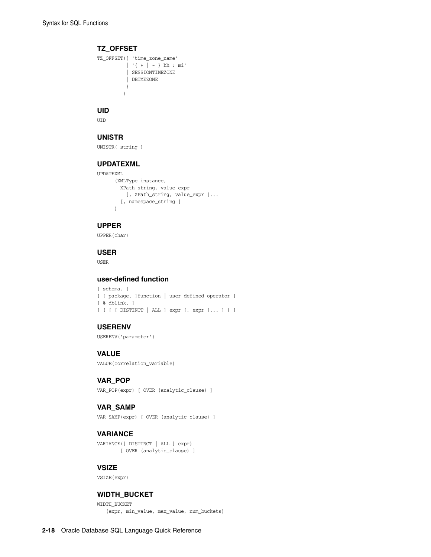## **TZ\_OFFSET**

```
TZ_OFFSET({ 'time_zone_name'
           | '{ + | - } hh : mi'
           | SESSIONTIMEZONE
           | DBTMEZONE
           }
          )
```
# **UID**

UID

## **UNISTR**

UNISTR( string )

## **UPDATEXML**

```
UPDATEXML
      (XMLType_instance,
       XPath_string, value_expr
         [, XPath_string, value_expr ]...
        [, namespace_string ]
       )
```
# **UPPER**

UPPER(char)

## **USER**

USER

# **user-defined function**

[ schema. ] { [ package. ]function | user\_defined\_operator } [ @ dblink. ] [ ( [ [ DISTINCT | ALL ] expr [, expr ]... ] ) ]

## **USERENV**

USERENV('parameter')

## **VALUE**

VALUE(correlation\_variable)

## **VAR\_POP**

VAR\_POP(expr) [ OVER (analytic\_clause) ]

## **VAR\_SAMP**

VAR\_SAMP(expr) [ OVER (analytic\_clause) ]

## **VARIANCE**

VARIANCE([ DISTINCT | ALL ] expr) [ OVER (analytic\_clause) ]

## **VSIZE**

VSIZE(expr)

## **WIDTH\_BUCKET**

WIDTH\_BUCKET (expr, min\_value, max\_value, num\_buckets)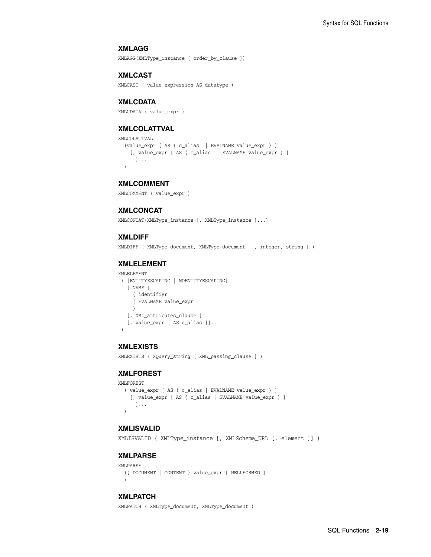## **XMLAGG**

XMLAGG(XMLType\_instance [ order\_by\_clause ])

#### **XMLCAST**

XMLCAST ( value\_expression AS datatype )

#### **XMLCDATA**

XMLCDATA ( value\_expr )

## **XMLCOLATTVAL**

```
XMLCOLATTVAL
   (value_expr [ AS { c_alias | EVALNAME value_expr } ]
    [, value_expr [ AS { c_alias | EVALNAME value_expr } ]
       ]...
   )
```
#### **XMLCOMMENT**

XMLCOMMENT ( value\_expr )

## **XMLCONCAT**

XMLCONCAT(XMLType\_instance [, XMLType\_instance ]...)

#### **XMLDIFF**

XMLDIFF ( XMLType\_document, XMLType\_document [ , integer, string ] )

## **XMLELEMENT**

```
XMLELEMENT
  ( [ENTITYESCAPING | NOENTITYESCAPING]
    [ NAME ]
      { identifier
      | EVALNAME value_expr
      }
    [, XML_attributes_clause ]
    [, value_expr [ AS c_alias ]]...
 \lambda
```
#### **XMLEXISTS**

XMLEXISTS ( XQuery\_string [ XML\_passing\_clause ] )

## **XMLFOREST**

```
XMLFOREST
   ( value_expr [ AS { c_alias | EVALNAME value_expr } ]
     [, value_expr [ AS { c_alias | EVALNAME value_expr } ]
       ]...
   )
```
#### **XMLISVALID**

XMLISVALID ( XMLType\_instance [, XMLSchema\_URL [, element ]] )

## **XMLPARSE**

```
XMLPARSE
  ({ DOCUMENT | CONTENT } value_expr [ WELLFORMED ]
  )
```
#### **XMLPATCH**

XMLPATCH ( XMLType\_document, XMLType\_document )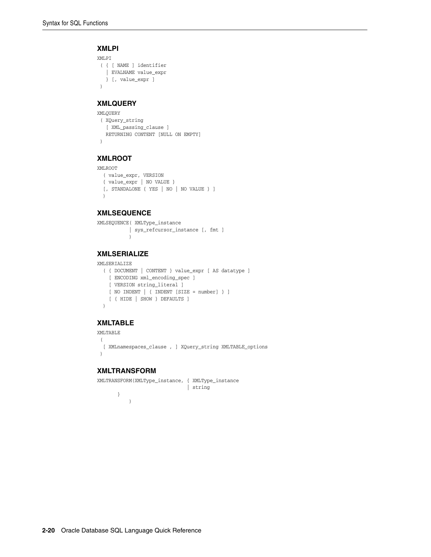## **XMLPI**

```
XMLPI
 ( { [ NAME ] identifier
   | EVALNAME value_expr
   } [, value_expr ]
 )
```
## **XMLQUERY**

```
XMLQUERY
 ( XQuery_string 
  [ XML_passing_clause ] 
   RETURNING CONTENT [NULL ON EMPTY] 
 )
```
# **XMLROOT**

```
XMLROOT
```

```
 ( value_expr, VERSION 
 { value_expr | NO VALUE }
 [, STANDALONE { YES | NO | NO VALUE } ]
 )
```
## **XMLSEQUENCE**

```
XMLSEQUENCE( XMLType_instance
           | sys_refcursor_instance [, fmt ]
            )
```
# **XMLSERIALIZE**

```
XMLSERIALIZE
```

```
 ( { DOCUMENT | CONTENT } value_expr [ AS datatype ]
   [ ENCODING xml_encoding_spec ]
  [ VERSION string_literal ]
  [ NO INDENT | { INDENT [SIZE = number] } ]
   [ { HIDE | SHOW } DEFAULTS ]
 )
```
## **XMLTABLE**

```
XMLTABLE
 ( 
  [ XMLnamespaces_clause , ] XQuery_string XMLTABLE_options 
 )
```
# **XMLTRANSFORM**

```
XMLTRANSFORM(XMLType_instance, { XMLType_instance
                              | string
       }
           )
```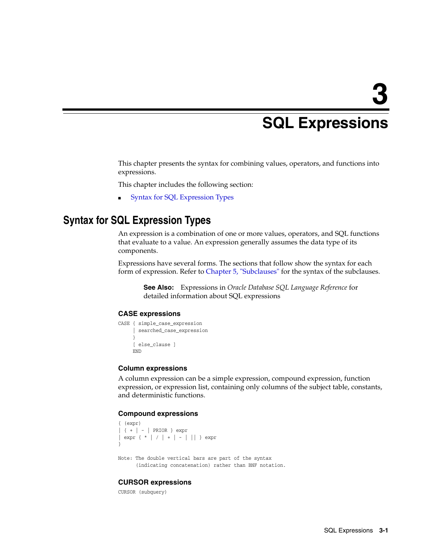# <span id="page-44-1"></span><sup>3</sup> **SQL Expressions**

This chapter presents the syntax for combining values, operators, and functions into expressions.

This chapter includes the following section:

[Syntax for SQL Expression Types](#page-44-0)

# <span id="page-44-0"></span>**Syntax for SQL Expression Types**

An expression is a combination of one or more values, operators, and SQL functions that evaluate to a value. An expression generally assumes the data type of its components.

Expressions have several forms. The sections that follow show the syntax for each form of expression. Refer to [Chapter 5, "Subclauses"](#page-52-0) for the syntax of the subclauses.

**See Also:** Expressions in *Oracle Database SQL Language Reference* for detailed information about SQL expressions

## **CASE expressions**

```
CASE { simple_case_expression
      | searched_case_expression
 }
      [ else_clause ]
      END
```
#### **Column expressions**

A column expression can be a simple expression, compound expression, function expression, or expression list, containing only columns of the subject table, constants, and deterministic functions.

## **Compound expressions**

```
{ (expr)
| { + | - | PRIOR } expr
| expr { * | / | + | - | || } expr
}
```
Note: The double vertical bars are part of the syntax (indicating concatenation) rather than BNF notation.

## **CURSOR expressions**

CURSOR (subquery)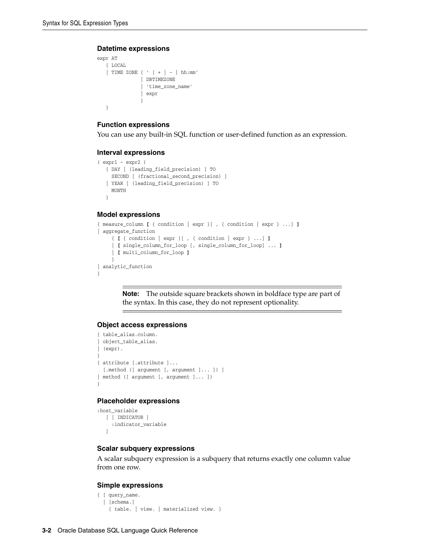#### **Datetime expressions**

```
expr AT
   { LOCAL
   | TIME ZONE { ' [ + | - ] hh:mm'
             | DBTIMEZONE
               | 'time_zone_name'
               | expr
 }
   }
```
## **Function expressions**

You can use any built-in SQL function or user-defined function as an expression.

#### **Interval expressions**

```
( expr1 - expr2 )
   { DAY [ (leading_field_precision) ] TO
     SECOND [ (fractional_second_precision) ]
   | YEAR [ (leading_field_precision) ] TO
     MONTH
   }
```
#### **Model expressions**

```
{ measure_column [ { condition | expr }[ , { condition | expr } ...] ]
| aggregate_function 
      { [ { condition | expr }[ , { condition | expr } ...] ]
      | [ single_column_for_loop [, single_column_for_loop] ... ]
      | [ multi_column_for_loop ]
 }
| analytic_function
}
```
**Note:** The outside square brackets shown in boldface type are part of the syntax. In this case, they do not represent optionality.

## **Object access expressions**

```
{ table_alias.column.
 | object_table_alias.
| (expr).
}
{ attribute [.attribute ]...
 [.method ([ argument [, argument ]... ]) ]
| method ([ argument [, argument ]... ])
}
```
## **Placeholder expressions**

```
:host_variable
   [ [ INDICATOR ]
     :indicator_variable
   ]
```
## **Scalar subquery expressions**

A scalar subquery expression is a subquery that returns exactly one column value from one row.

#### **Simple expressions**

```
{ [ query_name.
  | [schema.]
     { table. | view. | materialized view. }
```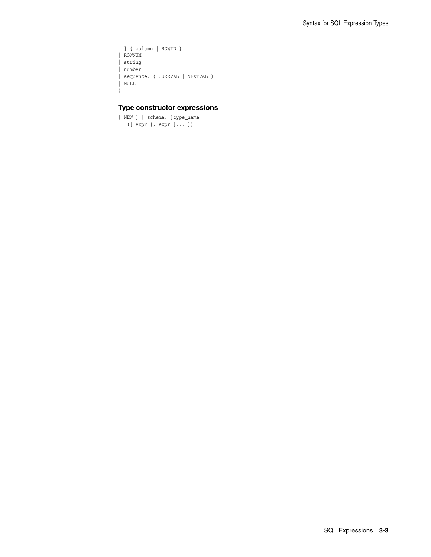```
 ] { column | ROWID }
| ROWNUM
| string
| number
| sequence. { CURRVAL | NEXTVAL }
| NULL
}
```
## **Type constructor expressions**

[ NEW ] [ schema. ]type\_name ([ expr [, expr ]... ])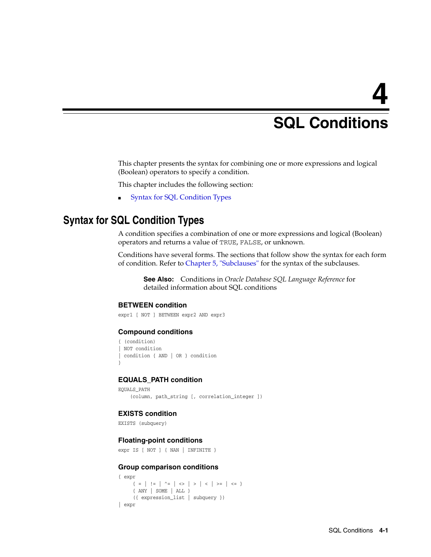# <span id="page-48-1"></span><sup>4</sup> **SQL Conditions**

This chapter presents the syntax for combining one or more expressions and logical (Boolean) operators to specify a condition.

This chapter includes the following section:

[Syntax for SQL Condition Types](#page-48-0)

# <span id="page-48-0"></span>**Syntax for SQL Condition Types**

A condition specifies a combination of one or more expressions and logical (Boolean) operators and returns a value of TRUE, FALSE, or unknown.

Conditions have several forms. The sections that follow show the syntax for each form of condition. Refer to [Chapter 5, "Subclauses"](#page-52-0) for the syntax of the subclauses.

**See Also:** Conditions in *Oracle Database SQL Language Reference* for detailed information about SQL conditions

## **BETWEEN condition**

expr1 [ NOT ] BETWEEN expr2 AND expr3

#### **Compound conditions**

```
{ (condition)
 NOT condition
| condition { AND | OR } condition
}
```
#### **EQUALS\_PATH condition**

```
EQUALS_PATH
     (column, path_string [, correlation_integer ])
```
## **EXISTS condition**

```
EXISTS (subquery)
```
## **Floating-point conditions**

```
expr IS [ NOT ] { NAN | INFINITE }
```
## **Group comparison conditions**

```
{ expr
                  \{ \begin{array}{c|c|c|c|c|c|c|c} & \mbox{\rm i}= & \mbox{\rm i}= & \mbox{\rm i}= & \mbox{\rm i} & \mbox{\rm i} & \mbox{\rm i} & \mbox{\rm i} & \mbox{\rm i} & \mbox{\rm i} & \mbox{\rm i} & \mbox{\rm i} & \mbox{\rm i} & \mbox{\rm i} & \mbox{\rm i} & \mbox{\rm i} & \mbox{\rm i} & \mbox{\rm i} & \mbox{\rm i} & \mbox{\rm i} & \mbox{\rm i} & \mbox{\rm i} & \mbox{\rm i} & \mbox{\rm i} & \mbox{\rm i} & \mbox{\ { ANY | SOME | ALL }
                     ({ expression_list | subquery })
| expr
```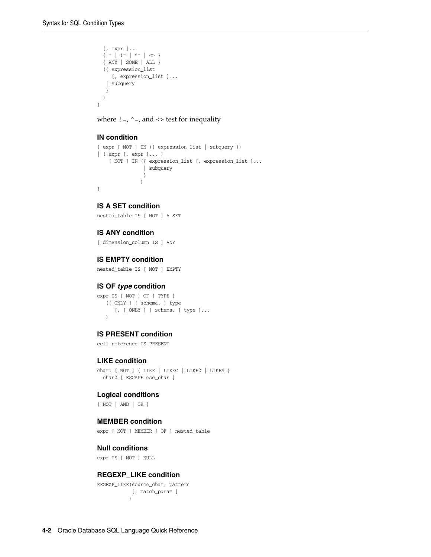```
 [, expr ]...
{ = | : = | ^ - = | \le > } { ANY | SOME | ALL }
 ({ expression_list
   [, expression_list ]...
  | subquery
  }
 )
```
where  $!=, \sim=$ , and  $\lt$  test for inequality

### **IN condition**

}

```
{ expr [ NOT ] IN ({ expression_list | subquery })
| ( expr [, expr ]... )
     [ NOT ] IN ({ expression_list [, expression_list ]...
                | subquery
                 }
\overline{\phantom{a}}}
```
## **IS A SET condition**

nested\_table IS [ NOT ] A SET

## **IS ANY condition**

[ dimension\_column IS ] ANY

## **IS EMPTY condition**

nested\_table IS [ NOT ] EMPTY

## **IS OF** *type* **condition**

expr IS [ NOT ] OF [ TYPE ] ([ ONLY ] [ schema. ] type [, [ ONLY ] [ schema. ] type ]... )

## **IS PRESENT condition**

cell\_reference IS PRESENT

## **LIKE condition**

```
char1 [ NOT ] { LIKE | LIKEC | LIKE2 | LIKE4 }
  char2 [ ESCAPE esc_char ]
```
#### **Logical conditions**

{ NOT | AND | OR }

## **MEMBER condition**

expr [ NOT ] MEMBER [ OF ] nested table

## **Null conditions**

expr IS [ NOT ] NULL

## **REGEXP\_LIKE condition**

REGEXP\_LIKE(source\_char, pattern [, match\_param ] )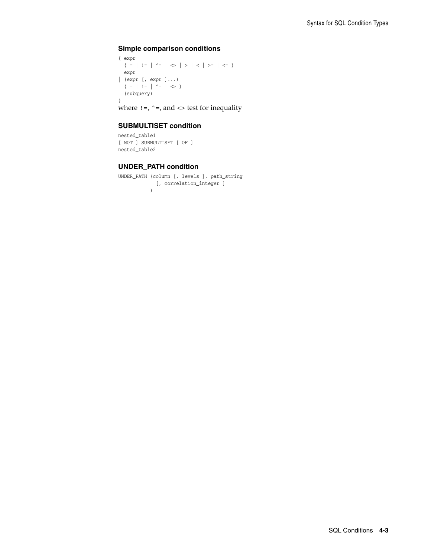## **Simple comparison conditions**

```
{ expr 
        \{ \begin{array}{c|c|c|c|c|c|c|c} \hline \end{array} \; \left| \begin{array}{c|c|c|c} 1 & \mbox{!s}& \mbox{!s}& \mbox{!s}& \mbox{!s}& \mbox{!s}& \mbox{!s}& \mbox{!s}& \mbox{!s}& \mbox{!s}& \mbox{!s}& \mbox{!s}& \mbox{!s}& \mbox{!s}& \mbox{!s}& \mbox{!s}& \mbox{!s}& \mbox{!s}& \mbox{!s}& \mbox{!s}& \mbox{!s}& \mbox{!s}& \mbox{!s}& \mbox{!s}& \mbox{!s}& expr
| (expr [, expr ]...)
         \{ \begin{array}{c|c|c|c|c} = & | & | = & | & \hat{\hspace{1ex}} = & | & \diamondsuit > \end{array} \} (subquery)
}
```
where  $!=,$  ^=, and <> test for inequality

## **SUBMULTISET condition**

```
nested_table1
[ NOT ] SUBMULTISET [ OF ]
nested_table2
```
## **UNDER\_PATH condition**

```
UNDER_PATH (column [, levels ], path_string
            [, correlation_integer ]
           )
```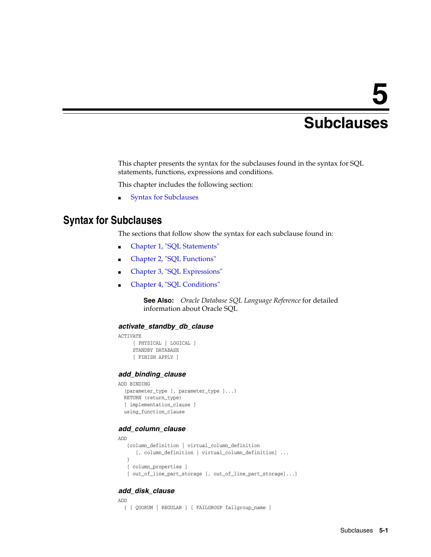# <span id="page-52-0"></span><sup>5</sup> **Subclauses**

This chapter presents the syntax for the subclauses found in the syntax for SQL statements, functions, expressions and conditions.

This chapter includes the following section:

**[Syntax for Subclauses](#page-52-1)** 

# <span id="page-52-1"></span>**Syntax for Subclauses**

The sections that follow show the syntax for each subclause found in:

- [Chapter 1, "SQL Statements"](#page-6-0)
- [Chapter 2, "SQL Functions"](#page-24-0)
- [Chapter 3, "SQL Expressions"](#page-44-1)
- [Chapter 4, "SQL Conditions"](#page-48-1)

**See Also:** *Oracle Database SQL Language Reference* for detailed information about Oracle SQL

#### *activate\_standby\_db\_clause*

```
ACTIVATE
      [ PHYSICAL | LOGICAL ]
      STANDBY DATABASE
      [ FINISH APPLY ]
```
#### *add\_binding\_clause*

```
ADD BINDING
   (parameter_type [, parameter_type ]...)
  RETURN (return_type)
   [ implementation_clause ]
  using_function_clause
```
## *add\_column\_clause*

```
ADD
    {column_definition | virtual_column_definition
       [, column_definition | virtual_column_definition] ...
    }
   [ column_properties ]
    [ out_of_line_part_storage [, out_of_line_part_storage]...]
```
## *add\_disk\_clause*

```
ADD
  { [ QUORUM | REGULAR ] [ FAILGROUP failgroup_name ]
```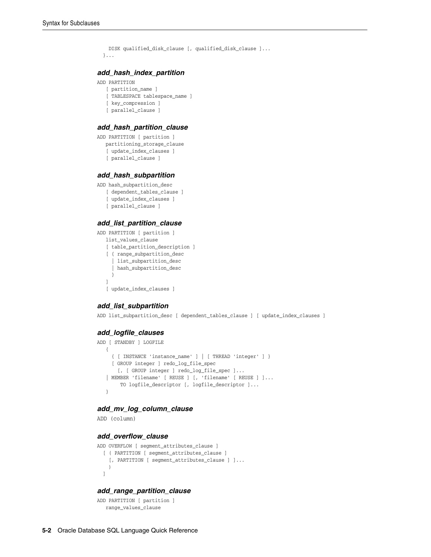```
 DISK qualified_disk_clause [, qualified_disk_clause ]...
 }...
```
# *add\_hash\_index\_partition*

```
ADD PARTITION
```

```
 [ partition_name ]
 [ TABLESPACE tablespace_name ]
 [ key_compression ]
```
[ parallel\_clause ]

#### *add\_hash\_partition\_clause*

```
ADD PARTITION [ partition ]
   partitioning_storage_clause
    [ update_index_clauses ]
    [ parallel_clause ]
```
#### *add\_hash\_subpartition*

```
ADD hash_subpartition_desc
    [ dependent_tables_clause ]
   [ update index clauses ]
    [ parallel_clause ]
```
## *add\_list\_partition\_clause*

```
ADD PARTITION [ partition ]
   list_values_clause
    [ table_partition_description ]
    [ { range_subpartition_desc
      | list_subpartition_desc
      | hash_subpartition_desc
      }
    ]
    [ update_index_clauses ]
```
## *add\_list\_subpartition*

ADD list\_subpartition\_desc [ dependent\_tables\_clause ] [ update\_index\_clauses ]

#### *add\_logfile\_clauses*

```
ADD [ STANDBY ] LOGFILE
    { 
      { [ INSTANCE 'instance_name' ] | [ THREAD 'integer' ] }
      [ GROUP integer ] redo_log_file_spec
       [, [ GROUP integer ] redo_log_file_spec ]...
    | MEMBER 'filename' [ REUSE ] [, 'filename' [ REUSE ] ]...
        TO logfile descriptor [, logfile descriptor ]...
    }
```
## *add\_mv\_log\_column\_clause*

ADD (column)

# *add\_overflow\_clause*

```
ADD OVERFLOW [ segment_attributes_clause ]
   [ ( PARTITION [ segment_attributes_clause ]
     [, PARTITION [ segment_attributes_clause ] ]...
    \lambda ]
```
#### *add\_range\_partition\_clause*

```
ADD PARTITION [ partition ]
   range_values_clause
```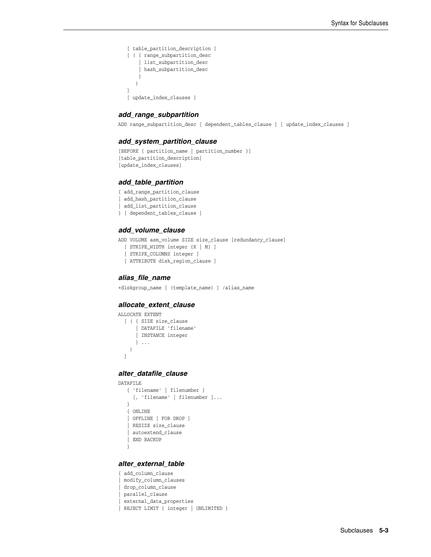```
 [ table_partition_description ]
 [ ( { range_subpartition_desc
       | list_subpartition_desc
     | hash_subpartition_desc
     }
    )
 ]
 [ update_index_clauses ]
```
## *add\_range\_subpartition*

ADD range\_subpartition\_desc [ dependent\_tables\_clause ] [ update\_index\_clauses ]

#### *add\_system\_partition\_clause*

```
[BEFORE { partition_name | partition_number }]
[table_partition_description]
[update_index_clauses]
```
#### *add\_table\_partition*

- { add\_range\_partition\_clause
- | add hash partition clause
- | add\_list\_partition\_clause
- } [ dependent\_tables\_clause ]

#### *add\_volume\_clause*

ADD VOLUME asm\_volume SIZE size\_clause [redundancy\_clause]

- [ STRIPE\_WIDTH integer {K | M} ]
- [ STRIPE\_COLUMNS integer ]
- [ ATTRIBUTE disk\_region\_clause ]

#### *alias\_file\_name*

+diskgroup\_name [ (template\_name) ] /alias\_name

#### *allocate\_extent\_clause*

```
ALLOCATE EXTENT
   [ ( { SIZE size_clause
       | DATAFILE 'filename'
       | INSTANCE integer
       } ...
     )
   ]
```
#### *alter\_datafile\_clause*

```
DATAFILE
    { 'filename' | filenumber }
     [, 'filename' | filenumber ]...
    }
   { ONLINE
    | OFFLINE [ FOR DROP ]
    | RESIZE size_clause
    | autoextend_clause
    | END BACKUP
    }
```
## *alter\_external\_table*

```
{ add_column_clause
| modify_column_clauses
 | drop_column_clause
 | parallel_clause
 | external_data_properties
 REJECT LIMIT { integer | UNLIMITED }
```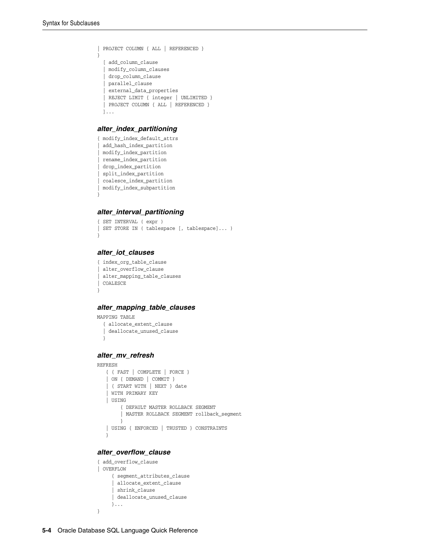```
| PROJECT COLUMN { ALL | REFERENCED }
}
   [ add_column_clause
   | modify_column_clauses
   | drop_column_clause
   | parallel_clause
   | external_data_properties
   | REJECT LIMIT { integer | UNLIMITED }
   | PROJECT COLUMN { ALL | REFERENCED }
  ]...
```
#### *alter\_index\_partitioning*

```
{ modify_index_default_attrs
 | add_hash_index_partition
 modify index partition
 | rename_index_partition
 | drop_index_partition
| split_index_partition
| coalesce_index_partition
| modify_index_subpartition
```
## *alter\_interval\_partitioning*

```
{ SET INTERVAL ( expr )
| SET STORE IN ( tablespace [, tablespace]... )
}
```
## *alter\_iot\_clauses*

}

```
{ index_org_table_clause
| alter_overflow_clause
| alter_mapping_table_clauses
| COALESCE
}
```
#### *alter\_mapping\_table\_clauses*

```
MAPPING TABLE
   { allocate_extent_clause
   | deallocate_unused_clause
   }
```
## *alter\_mv\_refresh*

```
REFRESH
   { { FAST | COMPLETE | FORCE }
    | ON { DEMAND | COMMIT }
     | { START WITH | NEXT } date
    | WITH PRIMARY KEY
    | USING
        { DEFAULT MASTER ROLLBACK SEGMENT
         | MASTER ROLLBACK SEGMENT rollback_segment
        }
    | USING { ENFORCED | TRUSTED } CONSTRAINTS
    }
```
## *alter\_overflow\_clause*

```
{ add_overflow_clause
| OVERFLOW
      { segment_attributes_clause
      | allocate_extent_clause
      | shrink_clause
      | deallocate_unused_clause
      }...
}
```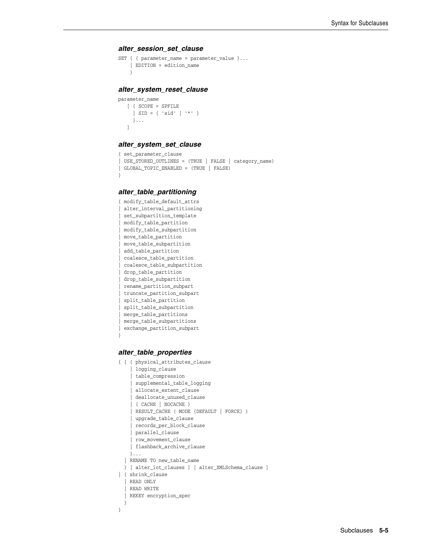#### *alter\_session\_set\_clause*

```
SET { { parameter_name = parameter_value }...
    | EDITION = edition_name
     }
```
#### *alter\_system\_reset\_clause*

```
parameter_name
    [ { SCOPE = SPFILE 
     | SID = { 'sid' | '*' }
      }...
    ]
```
#### *alter\_system\_set\_clause*

```
{ set_parameter_clause
| USE_STORED_OUTLINES = (TRUE | FALSE | category_name)
| GLOBAL_TOPIC_ENABLED = (TRUE | FALSE)
```
#### *alter\_table\_partitioning*

}

```
{ modify_table_default_attrs
| alter_interval_partitioning
 | set_subpartition_template
 | modify_table_partition
 | modify_table_subpartition
 | move_table_partition
 | move_table_subpartition
 | add_table_partition
| coalesce_table_partition
 | coalesce_table_subpartition
 | drop_table_partition
 | drop_table_subpartition
 | rename_partition_subpart
 | truncate_partition_subpart
 | split_table_partition
 | split_table_subpartition
 | merge_table_partitions
| merge_table_subpartitions
| exchange_partition_subpart
}
```
## *alter\_table\_properties*

```
{ { { physical_attributes_clause
       | logging_clause
       | table_compression
       | supplemental_table_logging
       | allocate_extent_clause
       | deallocate_unused_clause
      | { CACHE | NOCACHE }
     | RESULT_CACHE ( MODE {DEFAULT | FORCE} )
     | upgrade_table_clause
     | records_per_block_clause
     | parallel_clause
     | row_movement_clause
     | flashback_archive_clause
     }...
   | RENAME TO new_table_name
   } [ alter_iot_clauses ] [ alter_XMLSchema_clause ]
| { shrink_clause 
   | READ ONLY 
   | READ WRITE 
   | REKEY encryption_spec 
 }
}
```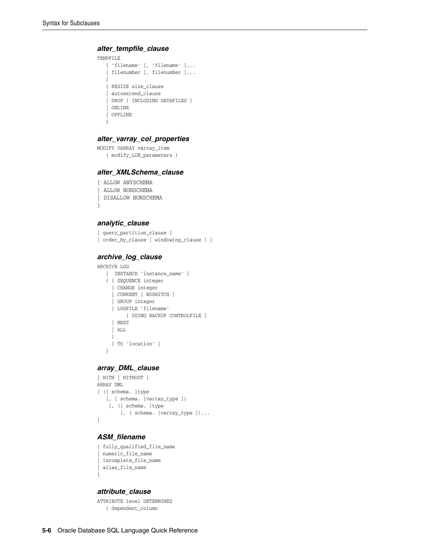### *alter\_tempfile\_clause*

```
TEMPFILE
   { 'filename' [, 'filename' ]...
    | filenumber [, filenumber ]...
   }
   { RESIZE size_clause
    | autoextend_clause
    | DROP [ INCLUDING DATAFILES ]
    | ONLINE
   | OFFLINE
   }
```
#### *alter\_varray\_col\_properties*

```
MODIFY VARRAY varray_item
   ( modify_LOB_parameters )
```
## *alter\_XMLSchema\_clause*

```
{ ALLOW ANYSCHEMA
| ALLOW NONSCHEMA
| DISALLOW NONSCHEMA
}
```
### *analytic\_clause*

[ query\_partition\_clause ] [ order\_by\_clause [ windowing\_clause ] ]

#### *archive\_log\_clause*

```
ARCHIVE LOG
```

```
 [ INSTANCE 'instance_name' ]
 { { SEQUENCE integer
   | CHANGE integer
   | CURRENT [ NOSWITCH ]
   | GROUP integer
   | LOGFILE 'filename'
        [ USING BACKUP CONTROLFILE ]
   | NEXT
   | ALL
   }
   [ TO 'location' ]
 }
```
## *array\_DML\_clause*

```
[ WITH | WITHOUT ]
ARRAY DML
[ ([ schema. ]type
   [, [ schema. ]varray_type ])
   [, ([ schema. ]type
        [, [ schema. ]varray_type ])...
]
```
## *ASM\_filename*

```
{ fully_qualified_file_name
 | numeric_file_name
 | incomplete_file_name
| alias_file_name
}
```
#### *attribute\_clause*

ATTRIBUTE level DETERMINES { dependent\_column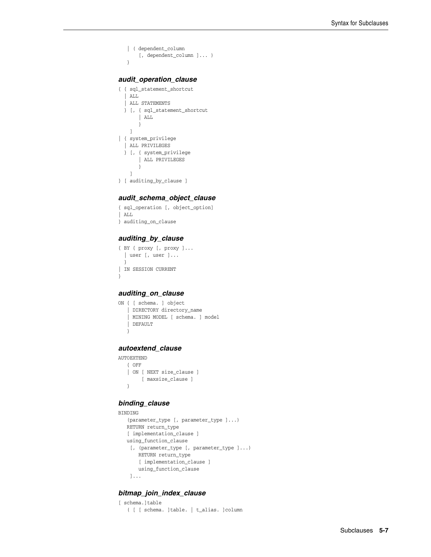```
 | ( dependent_column
     [, dependent_column ]... )
 }
```
#### *audit\_operation\_clause*

```
{ { sql_statement_shortcut
   | ALL
   | ALL STATEMENTS
  } [, { sql_statement_shortcut
        | ALL
        }
    ]
| { system_privilege
   | ALL PRIVILEGES
  } [, { system_privilege
        | ALL PRIVILEGES
        }
    ]
} [ auditing_by_clause ]
```
## *audit\_schema\_object\_clause*

```
{ sql_operation [, object_option]
| ALL
} auditing_on_clause
```
## *auditing\_by\_clause*

```
{ BY { proxy [, proxy ]...
  | user [, user ]...
  }
| IN SESSION CURRENT
}
```
## *auditing\_on\_clause*

```
ON { [ schema. ] object
    | DIRECTORY directory_name
    | MINING MODEL [ schema. ] model
   | DEFAULT
    }
```
#### *autoextend\_clause*

```
AUTOEXTEND
   { OFF
    | ON [ NEXT size_clause ]
        [ maxsize_clause ]
    }
```
## *binding\_clause*

```
BINDING
    (parameter_type [, parameter_type ]...)
   RETURN return_type
    [ implementation_clause ]
   using_function_clause
    [, (parameter_type [, parameter_type ]...)
       RETURN return_type
       [ implementation_clause ]
       using_function_clause
    ]...
```
## *bitmap\_join\_index\_clause*

```
[ schema.]table
    ( [ [ schema. ]table. | t_alias. ]column
```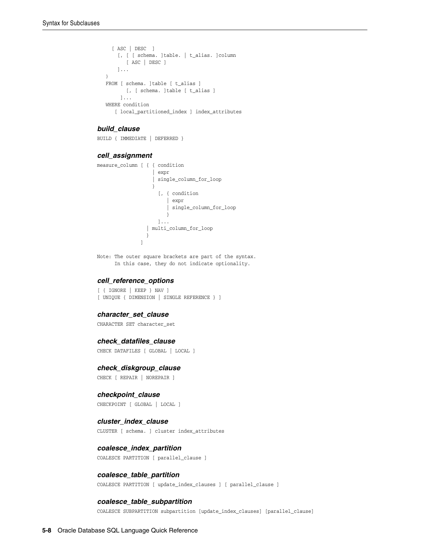```
 [ ASC | DESC ]
    [, [ [ schema. ]table. | t_alias. ]column
        [ ASC | DESC ]
     ]...
\lambda FROM [ schema. ]table [ t_alias ]
      [, [ schema. ]table [ t_alias ]
     ]...
 WHERE condition
    [ local_partitioned_index ] index_attributes
```
#### *build\_clause*

BUILD { IMMEDIATE | DEFERRED }

## *cell\_assignment*

```
measure_column [ { { condition
               | expr
               | single_column_for_loop
 }
               [, { condition
                   | expr
                  | single_column_for_loop
 }
               ]...
             | multi_column_for_loop
 }
 ]
```
Note: The outer square brackets are part of the syntax. In this case, they do not indicate optionality.

#### *cell\_reference\_options*

```
[ { IGNORE | KEEP } NAV ]
[ UNIQUE { DIMENSION | SINGLE REFERENCE } ]
```
#### *character\_set\_clause*

CHARACTER SET character\_set

#### *check\_datafiles\_clause*

CHECK DATAFILES [ GLOBAL | LOCAL ]

## *check\_diskgroup\_clause*

CHECK [ REPAIR | NOREPAIR ]

#### *checkpoint\_clause*

CHECKPOINT [ GLOBAL | LOCAL ]

#### *cluster\_index\_clause*

CLUSTER [ schema. ] cluster index\_attributes

## *coalesce\_index\_partition*

COALESCE PARTITION [ parallel\_clause ]

#### *coalesce\_table\_partition*

COALESCE PARTITION [ update\_index\_clauses ] [ parallel\_clause ]

### *coalesce\_table\_subpartition*

COALESCE SUBPARTITION subpartition [update\_index\_clauses] [parallel\_clause]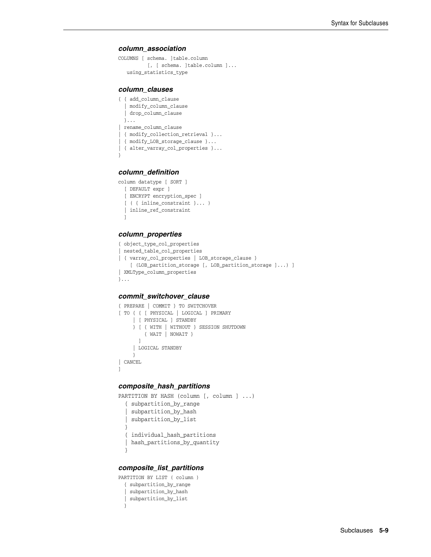#### *column\_association*

```
COLUMNS [ schema. ]table.column
          [, [ schema. ]table.column ]...
    using_statistics_type
```
#### *column\_clauses*

```
{ { add_column_clause
   | modify_column_clause
   | drop_column_clause
  }...
| rename_column_clause
| { modify_collection_retrieval }...
| { modify_LOB_storage_clause }...
| { alter_varray_col_properties }...
}
```
#### *column\_definition*

```
column datatype [ SORT ]
  [ DEFAULT expr ]
  [ ENCRYPT encryption_spec ]
  [ ( { inline_constraint }... )
  | inline_ref_constraint
  ]
```
## *column\_properties*

```
{ object_type_col_properties
| nested_table_col_properties
| { varray_col_properties | LOB_storage_clause }
    [ (LOB_partition_storage [, LOB_partition_storage ]...) ]
| XMLType_column_properties
}...
```
## *commit\_switchover\_clause*

```
{ PREPARE | COMMIT } TO SWITCHOVER
[ TO { { [ PHYSICAL | LOGICAL ] PRIMARY
     | [ PHYSICAL ] STANDBY
     } [ { WITH | WITHOUT } SESSION SHUTDOWN
         { WAIT | NOWAIT }
        ]
     | LOGICAL STANDBY
     }
| CANCEL
]
```
## *composite\_hash\_partitions*

```
PARTITION BY HASH (column [, column ] ...)
   { subpartition_by_range
   | subpartition_by_hash
   | subpartition_by_list
   }
   { individual_hash_partitions
   | hash_partitions_by_quantity
   }
```
## *composite\_list\_partitions*

```
PARTITION BY LIST ( column )
  { subpartition_by_range
  | subpartition_by_hash
  | subpartition_by_list
  }
```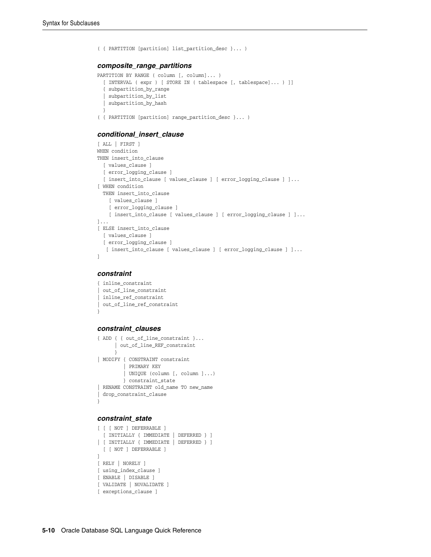```
( { PARTITION [partition] list_partition_desc }... )
composite_range_partitions
PARTITION BY RANGE ( column [, column]... )
   [ INTERVAL ( expr ) [ STORE IN ( tablespace [, tablespace]... ) ]]
   { subpartition_by_range
     | subpartition_by_list
```

```
 | subpartition_by_hash
```

```
 }
```

```
( { PARTITION [partition] range_partition_desc }... )
```
## *conditional\_insert\_clause*

```
[ ALL | FIRST ]
WHEN condition
THEN insert_into_clause
  [ values_clause ]
  [ error_logging_clause ]
  [ insert_into_clause [ values_clause ] [ error_logging_clause ] ]...
[ WHEN condition
  THEN insert_into_clause
    [ values_clause ]
     [ error_logging_clause ]
    [ insert_into_clause [ values_clause ] [ error_logging_clause ] ]...
]...
[ ELSE insert_into_clause
  [ values_clause ]
   [ error_logging_clause ]
   [ insert_into_clause [ values_clause ] [ error_logging_clause ] ]...
]
```
#### *constraint*

```
{ inline_constraint
| out_of_line_constraint
 | inline_ref_constraint
| out_of_line_ref_constraint
}
```
## *constraint\_clauses*

```
{ ADD { { out of line constraint }...
       | out_of_line_REF_constraint
       }
| MODIFY { CONSTRAINT constraint
          | PRIMARY KEY
          | UNIQUE (column [, column ]...)
         } constraint_state
| RENAME CONSTRAINT old_name TO new_name
| drop_constraint_clause
}
```
#### *constraint\_state*

```
[ [ [ NOT ] DEFERRABLE ]
  [ INITIALLY { IMMEDIATE | DEFERRED } ]
| [ INITIALLY { IMMEDIATE | DEFERRED } ]
  [ [ NOT ] DEFERRABLE ]
]
[ RELY | NORELY ]
[ using_index_clause ]
[ ENABLE | DISABLE ]
[ VALIDATE | NOVALIDATE ]
[ exceptions_clause ]
```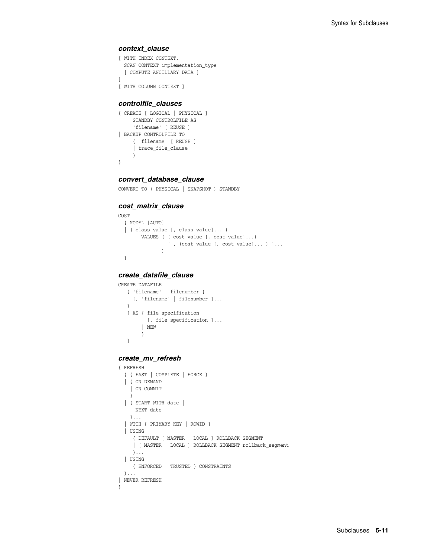#### *context\_clause*

```
[ WITH INDEX CONTEXT,
  SCAN CONTEXT implementation_type
   [ COMPUTE ANCILLARY DATA ]
]
[ WITH COLUMN CONTEXT ]
```
## *controlfile\_clauses*

```
{ CREATE [ LOGICAL | PHYSICAL ]
      STANDBY CONTROLFILE AS
      'filename' [ REUSE ]
| BACKUP CONTROLFILE TO
     { 'filename' [ REUSE ]
      | trace_file_clause
      }
}
```
## *convert\_database\_clause*

```
CONVERT TO ( PHYSICAL | SNAPSHOT ) STANDBY
```
## *cost\_matrix\_clause*

```
COST
  { MODEL [AUTO]
   | ( class_value [, class_value]... )
         VALUES ( ( cost_value [, cost_value]...) 
                 [ , (cost_value [, cost_value]... ) ]...
\overline{\phantom{a}} }
```
## *create\_datafile\_clause*

```
CREATE DATAFILE
   { 'filename' | filenumber }
     [, 'filename' | filenumber ]...
    }
    [ AS { file_specification
         [, file_specification ]...
         | NEW
         }
    ]
```
## *create\_mv\_refresh*

```
{ REFRESH
  { { FAST | COMPLETE | FORCE }
  | { ON DEMAND 
    | ON COMMIT 
    }
  | { START WITH date |
      NEXT date 
    }...
   | WITH { PRIMARY KEY | ROWID }
   | USING
     { DEFAULT [ MASTER | LOCAL ] ROLLBACK SEGMENT
      | [ MASTER | LOCAL ] ROLLBACK SEGMENT rollback_segment
     }...
  | USING
     { ENFORCED | TRUSTED } CONSTRAINTS
  }...
| NEVER REFRESH
}
```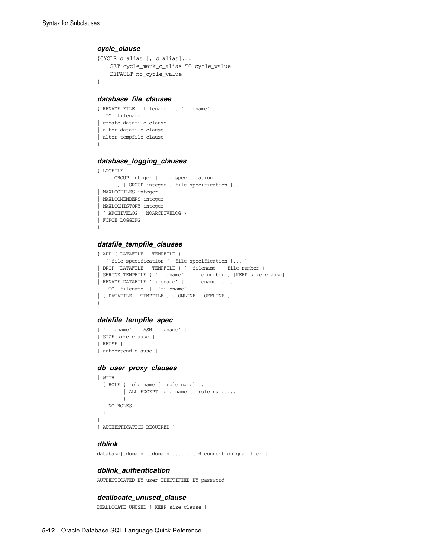#### *cycle\_clause*

```
{CYCLE c_alias [, c_alias]...
     SET cycle_mark_c_alias TO cycle_value
     DEFAULT no_cycle_value
}
```
#### *database\_file\_clauses*

```
{ RENAME FILE 'filename' [, 'filename' ]...
   TO 'filename'
| create_datafile_clause
| alter_datafile_clause
| alter_tempfile_clause
}
```
## *database\_logging\_clauses*

```
{ LOGFILE
    [ GROUP integer ] file_specification
      [, [ GROUP integer ] file_specification ]...
| MAXLOGFILES integer
| MAXLOGMEMBERS integer
| MAXLOGHISTORY integer
| { ARCHIVELOG | NOARCHIVELOG }
| FORCE LOGGING
}
```
#### *datafile\_tempfile\_clauses*

```
{ ADD { DATAFILE | TEMPFILE }
   [ file_specification [, file_specification ]... ]
| DROP {DATAFILE | TEMPFILE } { 'filename' | file_number }
 | SHRINK TEMPFILE { 'filename' | file_number } [KEEP size_clause]
| RENAME DATAFILE 'filename' [, 'filename' ]...
    TO 'filename' [, 'filename' ]...
| { DATAFILE | TEMPFILE } { ONLINE | OFFLINE }
}
```
#### *datafile\_tempfile\_spec*

```
[ 'filename' | 'ASM_filename' ]
[ SIZE size_clause ]
[ REUSE ]
[ autoextend_clause ]
```
#### *db\_user\_proxy\_clauses*

```
[ WITH
   { ROLE { role_name [, role_name]...
        | ALL EXCEPT role_name [, role_name]...
         }
   | NO ROLES
  }
]
[ AUTHENTICATION REQUIRED ]
```
#### *dblink*

database[.domain [.domain ]... ] [ @ connection\_qualifier ]

#### *dblink\_authentication*

AUTHENTICATED BY user IDENTIFIED BY password

#### *deallocate\_unused\_clause*

DEALLOCATE UNUSED [ KEEP size\_clause ]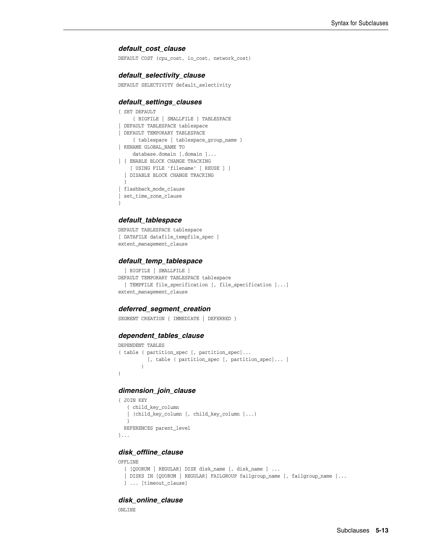#### *default\_cost\_clause*

DEFAULT COST (cpu\_cost, io\_cost, network\_cost)

#### *default\_selectivity\_clause*

DEFAULT SELECTIVITY default\_selectivity

#### *default\_settings\_clauses*

```
{ SET DEFAULT
     { BIGFILE | SMALLFILE } TABLESPACE
 DEFAULT TABLESPACE tablespace
| DEFAULT TEMPORARY TABLESPACE
     { tablespace | tablespace_group_name }
| RENAME GLOBAL_NAME TO
     database.domain [.domain ]...
| { ENABLE BLOCK CHANGE TRACKING
    [ USING FILE 'filename' [ REUSE ] ]
   | DISABLE BLOCK CHANGE TRACKING
   }
| flashback_mode_clause
 | set_time_zone_clause
}
```
## *default\_tablespace*

DEFAULT TABLESPACE tablespace [ DATAFILE datafile\_tempfile\_spec ] extent\_management\_clause

#### *default\_temp\_tablespace*

```
 [ BIGFILE | SMALLFILE ]
DEFAULT TEMPORARY TABLESPACE tablespace
  [ TEMPFILE file_specification [, file_specification ]...]
extent management clause
```
#### *deferred\_segment\_creation*

SEGMENT CREATION { IMMEDIATE | DEFERRED }

#### *dependent\_tables\_clause*

```
DEPENDENT TABLES
( table ( partition_spec [, partition_spec]... 
          [, table ( partition_spec [, partition_spec]... ]
         )
)
```
## *dimension\_join\_clause*

```
{ JOIN KEY
   { child_key_column
    | (child_key_column [, child_key_column ]...)
   }
  REFERENCES parent_level
}...
```
## *disk\_offline\_clause*

```
OFFLINE
  { [QUORUM | REGULAR] DISK disk_name [, disk_name ] ...
  | DISKS IN [QUORUM | REGULAR] FAILGROUP failgroup_name [, failgroup_name ]...
  } ... [timeout_clause]
```
## *disk\_online\_clause*

ONLINE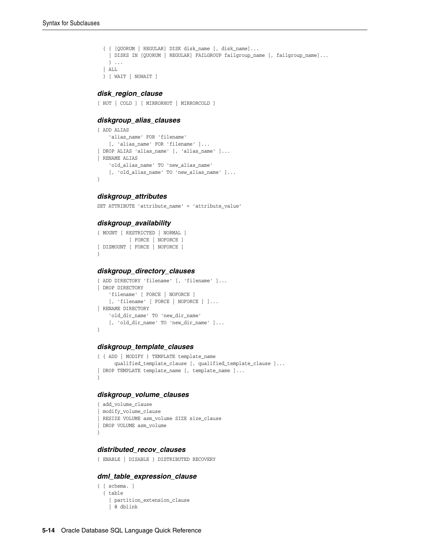```
 { { [QUORUM | REGULAR] DISK disk_name [, disk_name]...
   | DISKS IN [QUORUM | REGULAR] FAILGROUP failgroup_name [, failgroup_name]...
  } ...
 | ALL
 } [ WAIT | NOWAIT ]
```
#### *disk\_region\_clause*

[ HOT | COLD ] [ MIRRORHOT | MIRRORCOLD ]

#### *diskgroup\_alias\_clauses*

```
{ ADD ALIAS
     'alias_name' FOR 'filename'
     [, 'alias_name' FOR 'filename' ]...
| DROP ALIAS 'alias_name' [, 'alias_name' ]...
| RENAME ALIAS
    'old_alias_name' TO 'new_alias_name'
    [, 'old_alias_name' TO 'new_alias_name' ]...
}
```
## *diskgroup\_attributes*

SET ATTRIBUTE 'attribute\_name' = 'attribute\_value'

### *diskgroup\_availability*

```
{ MOUNT [ RESTRICTED | NORMAL ] 
         [ FORCE | NOFORCE ]
| DISMOUNT [ FORCE | NOFORCE ]
}
```
### *diskgroup\_directory\_clauses*

```
{ ADD DIRECTORY 'filename' [, 'filename' ]...
| DROP DIRECTORY
     'filename' [ FORCE | NOFORCE ]
     [, 'filename' [ FORCE | NOFORCE ] ]...
| RENAME DIRECTORY
     'old_dir_name' TO 'new_dir_name'
     [, 'old_dir_name' TO 'new_dir_name' ]...
}
```
## *diskgroup\_template\_clauses*

```
{ { ADD | MODIFY } TEMPLATE template_name
      qualified_template_clause [, qualified_template_clause ]...
| DROP TEMPLATE template_name [, template_name ]...
}
```
#### *diskgroup\_volume\_clauses*

```
{ add_volume_clause
| modify_volume_clause
| RESIZE VOLUME asm_volume SIZE size_clause
| DROP VOLUME asm_volume
}
```
## *distributed\_recov\_clauses*

```
{ ENABLE | DISABLE } DISTRIBUTED RECOVERY
```
#### *dml\_table\_expression\_clause*

```
{ [ schema. ]
  { table
     [ partition_extension_clause
     | @ dblink
```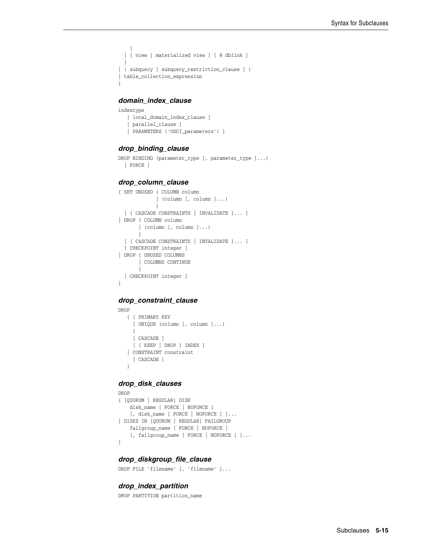```
 ]
   | { view | materialized view } [ @ dblink ]
  }
| ( subquery [ subquery_restriction_clause ] )
| table_collection_expression
}
```
## *domain\_index\_clause*

```
indextype
   [ local_domain_index_clause ]
   [ parallel_clause ]
   [ PARAMETERS ('ODCI_parameters') ]
```
#### *drop\_binding\_clause*

```
DROP BINDING (parameter_type [, parameter_type ]...)
  [ FORCE ]
```
#### *drop\_column\_clause*

```
{ SET UNUSED { COLUMN column
            | (column [, column ]...)
             }
  [ { CASCADE CONSTRAINTS | INVALIDATE }... ]
| DROP { COLUMN column
       | (column [, column ]...)
        }
  [ { CASCADE CONSTRAINTS | INVALIDATE }... ]
  [ CHECKPOINT integer ]
| DROP { UNUSED COLUMNS
       | COLUMNS CONTINUE
       }
  [ CHECKPOINT integer ]
}
```
## *drop\_constraint\_clause*

```
DROP
   { { PRIMARY KEY
     | UNIQUE (column [, column ]...)
      }
     [ CASCADE ]
      [ { KEEP | DROP } INDEX ]
    | CONSTRAINT constraint
      [ CASCADE ]
    }
```
#### *drop\_disk\_clauses*

```
DROP
{ [QUORUM | REGULAR] DISK
    disk_name [ FORCE | NOFORCE ]
    [, disk_name [ FORCE | NOFORCE ] ]...
| DISKS IN [QUORUM | REGULAR] FAILGROUP
    failgroup_name [ FORCE | NOFORCE ]
   [, failgroup_name [ FORCE | NOFORCE ] ]...
}
```
## *drop\_diskgroup\_file\_clause*

DROP FILE 'filename' [, 'filename' ]...

#### *drop\_index\_partition*

DROP PARTITION partition\_name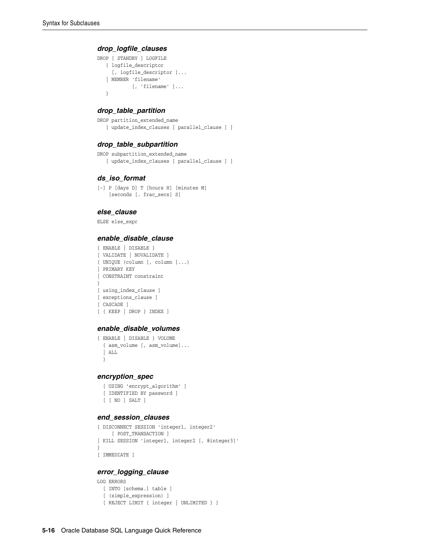#### *drop\_logfile\_clauses*

```
DROP [ STANDBY ] LOGFILE
   { logfile_descriptor
     [, logfile_descriptor ]...
    | MEMBER 'filename'
           [, 'filename' ]...
    }
```
#### *drop\_table\_partition*

DROP partition\_extended\_name [ update\_index\_clauses [ parallel\_clause ] ]

#### *drop\_table\_subpartition*

```
DROP subpartition_extended_name
    [ update_index_clauses [ parallel_clause ] ]
```
## *ds\_iso\_format*

[-] P [days D] T [hours H] [minutes M] [seconds [. frac\_secs] S]

#### *else\_clause*

ELSE else\_expr

#### *enable\_disable\_clause*

```
{ ENABLE | DISABLE }
[ VALIDATE | NOVALIDATE ]
{ UNIQUE (column [, column ]...)
| PRIMARY KEY
| CONSTRAINT constraint
}
[ using_index_clause ]
[ exceptions_clause ]
[ CASCADE ]
[ { KEEP | DROP } INDEX ]
```
## *enable\_disable\_volumes*

```
{ ENABLE | DISABLE } VOLUME
  { asm_volume [, asm_volume]...
   | ALL
  }
```
## *encryption\_spec*

```
 [ USING 'encrypt_algorithm' ]
 [ IDENTIFIED BY password ]
 [ [ NO ] SALT ]
```
#### *end\_session\_clauses*

```
{ DISCONNECT SESSION 'integer1, integer2'
      [ POST_TRANSACTION ]
| KILL SESSION 'integer1, integer2 [, @integer3]'
}
[ IMMEDIATE ]
```
#### *error\_logging\_clause*

```
LOG ERRORS 
  [ INTO [schema.] table ]
   [ (simple_expression) ]
   [ REJECT LIMIT { integer | UNLIMITED } ]
```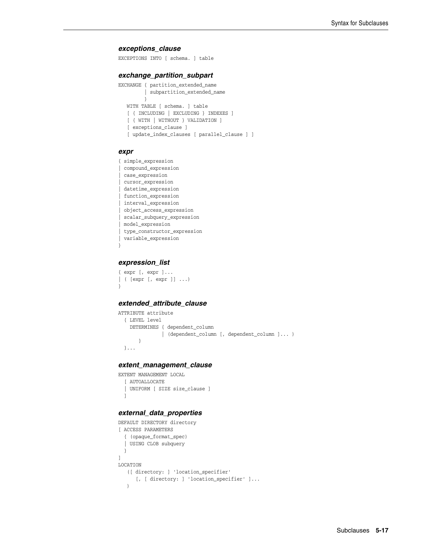#### *exceptions\_clause*

EXCEPTIONS INTO [ schema. ] table

#### *exchange\_partition\_subpart*

```
EXCHANGE { partition_extended_name
          | subpartition_extended_name
          }
   WITH TABLE [ schema. ] table
    [ { INCLUDING | EXCLUDING } INDEXES ]
    [ { WITH | WITHOUT } VALIDATION ]
    [ exceptions_clause ]
    [ update_index_clauses [ parallel_clause ] ]
```
#### *expr*

```
{ simple_expression
| compound_expression
 | case_expression
 | cursor_expression
 | datetime_expression
| function_expression
| interval_expression
| object_access_expression
| scalar_subquery_expression
| model_expression
| type_constructor_expression
| variable_expression
}
```
## *expression\_list*

```
{ expr [, expr ]...
| ( [expr [, expr ]] ...)
}
```
## *extended\_attribute\_clause*

```
ATTRIBUTE attribute
  { LEVEL level
     DETERMINES { dependent_column
                | (dependent_column [, dependent_column ]... )
        }
   }...
```
#### *extent\_management\_clause*

```
EXTENT MANAGEMENT LOCAL
  [ AUTOALLOCATE
  | UNIFORM [ SIZE size_clause ]
  ]
```
## *external\_data\_properties*

```
DEFAULT DIRECTORY directory
[ ACCESS PARAMETERS
   { (opaque_format_spec)
   | USING CLOB subquery
   }
]
LOCATION
    ([ directory: ] 'location_specifier'
       [, [ directory: ] 'location_specifier' ]...
   \lambda
```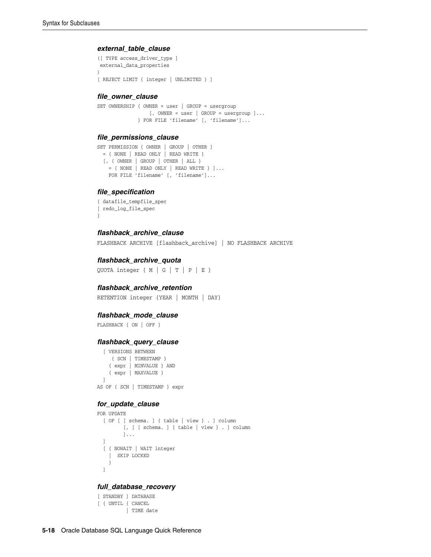#### *external\_table\_clause*

```
([ TYPE access_driver_type ]
 external_data_properties
)
[ REJECT LIMIT { integer | UNLIMITED } ]
```
#### *file\_owner\_clause*

```
SET OWNERSHIP { OWNER = user | GROUP = usergroup 
                 [, OWNER = user | GROUP = usergroup ] \ldots } FOR FILE 'filename' [, 'filename']...
```
## *file\_permissions\_clause*

```
SET PERMISSION { OWNER | GROUP | OTHER }
 = { NONE | READ ONLY | READ WRITE }
  [, { OWNER | GROUP | OTHER | ALL }
   = { NONE | READ ONLY | READ WRITE } ] \ldotsFOR FILE 'filename' [, 'filename']...
```
#### *file\_specification*

```
{ datafile_tempfile_spec
| redo_log_file_spec
}
```
## *flashback\_archive\_clause*

FLASHBACK ARCHIVE [flashback\_archive] | NO FLASHBACK ARCHIVE

#### *flashback\_archive\_quota*

QUOTA integer { M | G | T | P | E }

## *flashback\_archive\_retention*

RETENTION integer {YEAR | MONTH | DAY}

#### *flashback\_mode\_clause*

```
FLASHBACK { ON | OFF }
```
#### *flashback\_query\_clause*

 [ VERSIONS BETWEEN { SCN | TIMESTAMP } { expr | MINVALUE } AND { expr | MAXVALUE } ] AS OF { SCN | TIMESTAMP } expr

#### *for\_update\_clause*

```
FOR UPDATE
  [ OF [ [ schema. ] { table | view } . ] column
        [, [ [ schema. ] { table | view } . ] column
          ]...
   ]
   [ { NOWAIT | WAIT integer 
     | SKIP LOCKED
    }
   ]
```
## *full\_database\_recovery*

```
[ STANDBY ] DATABASE
[ { UNTIL { CANCEL
          | TIME date
```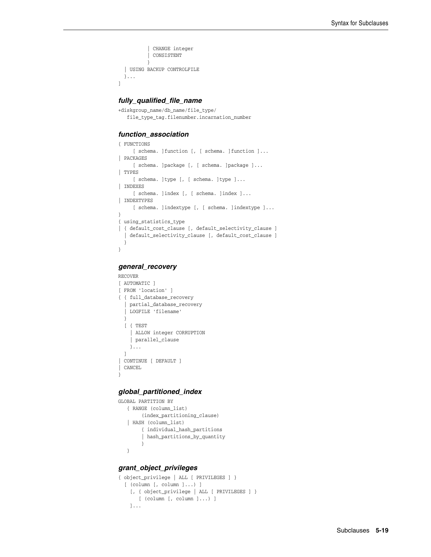```
CHANGE integer
            | CONSISTENT
 }
  | USING BACKUP CONTROLFILE
  }...
```
## *fully\_qualified\_file\_name*

]

```
+diskgroup_name/db_name/file_type/
   file_type_tag.filenumber.incarnation_number
```
## *function\_association*

```
{ FUNCTIONS
     [ schema. ]function [, [ schema. ]function ]...
| PACKAGES
     [ schema. ]package [, [ schema. ]package ]...
| TYPES
     [ schema. ]type [, [ schema. ]type ]...
| INDEXES
     [ schema. ]index [, [ schema. ]index ]...
| INDEXTYPES
     [ schema. ]indextype [, [ schema. ]indextype ]...
}
{ using_statistics_type
| { default_cost_clause [, default_selectivity_clause ]
   | default_selectivity_clause [, default_cost_clause ]
   }
}
```
## *general\_recovery*

```
RECOVER
[ AUTOMATIC ]
[ FROM 'location' ]
{ { full_database_recovery
   | partial_database_recovery
   | LOGFILE 'filename'
   }
   [ { TEST
     | ALLOW integer CORRUPTION
     | parallel_clause
     }...
  ]
| CONTINUE [ DEFAULT ]
| CANCEL
}
```
## *global\_partitioned\_index*

```
GLOBAL PARTITION BY
   { RANGE (column_list)
        (index_partitioning_clause)
    | HASH (column_list)
        { individual_hash_partitions
         | hash_partitions_by_quantity
         }
    }
```
## *grant\_object\_privileges*

```
{ object_privilege | ALL [ PRIVILEGES ] }
   [ (column [, column ]...) ]
     [, { object_privilege | ALL [ PRIVILEGES ] }
       [ (column [, column ]...) ]
    ]...
```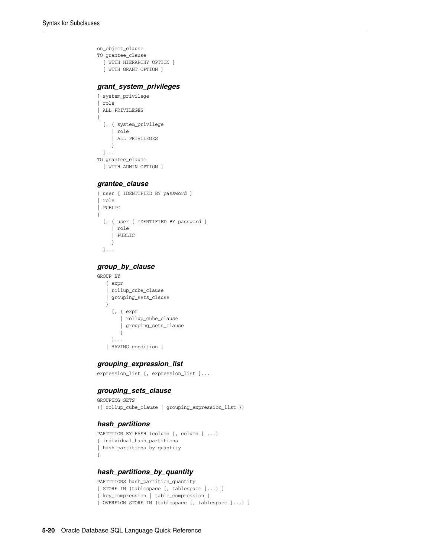```
on_object_clause
TO grantee_clause
  [ WITH HIERARCHY OPTION ]
   [ WITH GRANT OPTION ]
```
#### *grant\_system\_privileges*

```
{ system_privilege
| role
| ALL PRIVILEGES
}
   [, { system_privilege
     | role
      | ALL PRIVILEGES
      }
  ]...
TO grantee_clause
  [ WITH ADMIN OPTION ]
```
#### *grantee\_clause*

```
{ user [ IDENTIFIED BY password ]
 | role
| PUBLIC
}
  [, { user [ IDENTIFIED BY password ]
     | role
      | PUBLIC
      } 
  ]...
```
### *group\_by\_clause*

```
GROUP BY
```

```
 { expr
 | rollup_cube_clause
 | grouping_sets_clause
 }
   [, { expr
       | rollup_cube_clause
      | grouping_sets_clause
      }
   ]...
 [ HAVING condition ]
```
## *grouping\_expression\_list*

```
expression_list [, expression_list ]...
```
## *grouping\_sets\_clause*

```
GROUPING SETS
({ rollup_cube_clause | grouping_expression_list })
```
## *hash\_partitions*

```
PARTITION BY HASH (column [, column ] ...)
{ individual_hash_partitions
| hash_partitions_by_quantity
}
```
## *hash\_partitions\_by\_quantity*

```
PARTITIONS hash partition quantity
[ STORE IN (tablespace [, tablespace ]...) ]
[ key_compression | table_compression ]
[ OVERFLOW STORE IN (tablespace [, tablespace ]...) ]
```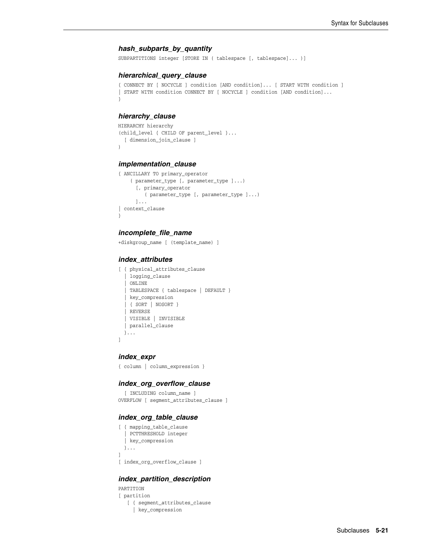#### *hash\_subparts\_by\_quantity*

SUBPARTITIONS integer [STORE IN ( tablespace [, tablespace]... )]

#### *hierarchical\_query\_clause*

```
{ CONNECT BY [ NOCYCLE ] condition [AND condition]... [ START WITH condition ]
| START WITH condition CONNECT BY [ NOCYCLE ] condition [AND condition]...
}
```
#### *hierarchy\_clause*

```
HIERARCHY hierarchy
(child_level { CHILD OF parent_level }...
  [ dimension_join_clause ]
)
```
#### *implementation\_clause*

```
{ ANCILLARY TO primary_operator
     ( parameter_type [, parameter_type ]...)
       [, primary_operator
         ( parameter_type [, parameter_type ]...)
      ]...
| context_clause
}
```
#### *incomplete\_file\_name*

+diskgroup\_name [ (template\_name) ]

#### *index\_attributes*

```
[ { physical_attributes_clause
    | logging_clause
    | ONLINE
    | TABLESPACE { tablespace | DEFAULT }
    | key_compression
    | { SORT | NOSORT }
    | REVERSE
    | VISIBLE | INVISIBLE
   | parallel_clause
   }...
]
```
#### *index\_expr*

```
{ column | column_expression }
```
#### *index\_org\_overflow\_clause*

```
 [ INCLUDING column_name ]
OVERFLOW [ segment_attributes_clause ]
```
#### *index\_org\_table\_clause*

```
[ { mapping_table_clause
   | PCTTHRESHOLD integer
   | key_compression
  }...
]
[ index_org_overflow_clause ]
```
# *index\_partition\_description*

```
PARTITION
[ partition
    [ { segment_attributes_clause
     | key_compression
```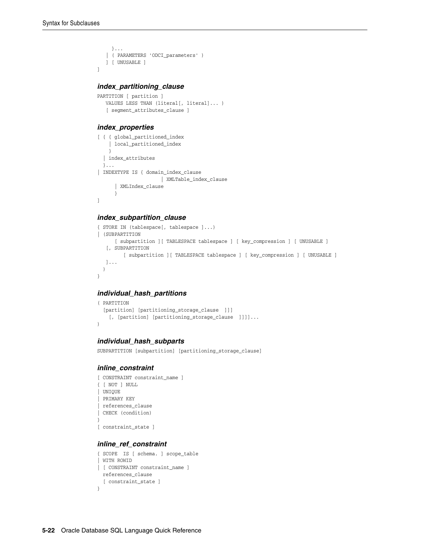]

```
 }...
 | ( PARAMETERS 'ODCI_parameters' )
 ] [ UNUSABLE ]
```
#### *index\_partitioning\_clause*

```
PARTITION [ partition ]
   VALUES LESS THAN (literal[, literal]... )
    [ segment_attributes_clause ]
```
#### *index\_properties*

```
[ { { global_partitioned_index
     | local_partitioned_index
    }
   | index_attributes
  }...
| INDEXTYPE IS { domain_index_clause
                   | XMLTable_index_clause
       | XMLIndex_clause
       }
\, \, \,
```
# *index\_subpartition\_clause*

```
{ STORE IN (tablespace[, tablespace ]...)
| (SUBPARTITION
      [ subpartition ][ TABLESPACE tablespace ] [ key_compression ] [ UNUSABLE ]
    [, SUBPARTITION
         [ subpartition ][ TABLESPACE tablespace ] [ key_compression ] [ UNUSABLE ]
   ]...
  )
}
```
# *individual\_hash\_partitions*

```
( PARTITION
 [partition] [partitioning_storage_clause ]]]
    [, [partition] [partitioning_storage_clause ]]]]...
\lambda
```
#### *individual\_hash\_subparts*

SUBPARTITION [subpartition] [partitioning\_storage\_clause]

#### *inline\_constraint*

```
[ CONSTRAINT constraint_name ]
{ [ NOT ] NULL
| UNIQUE
| PRIMARY KEY
| references_clause
| CHECK (condition)
}
[ constraint_state ]
```
#### *inline\_ref\_constraint*

```
{ SCOPE IS [ schema. ] scope_table
| WITH ROWID
| [ CONSTRAINT constraint_name ]
  references_clause
  [ constraint_state ]
}
```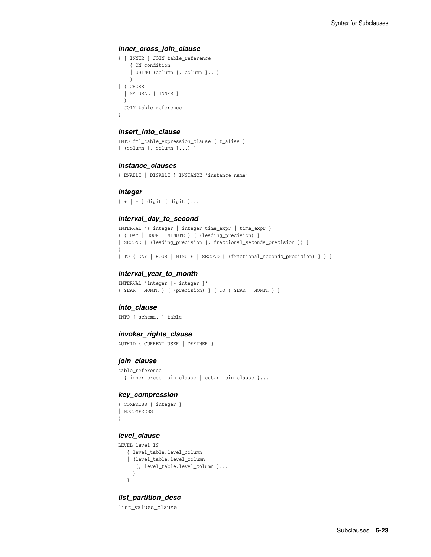#### *inner\_cross\_join\_clause*

```
{ [ INNER ] JOIN table_reference
     { ON condition
     | USING (column [, column ]...)
    }
| { CROSS
   | NATURAL [ INNER ]
  }
  JOIN table_reference
}
```
#### *insert\_into\_clause*

```
INTO dml_table_expression_clause [ t_alias ]
[ (column [, column ]...) ]
```
#### *instance\_clauses*

{ ENABLE | DISABLE } INSTANCE 'instance\_name'

#### *integer*

[ + | - ] digit [ digit ]...

#### *interval\_day\_to\_second*

```
INTERVAL '{ integer | integer time_expr | time_expr }'
{ { DAY | HOUR | MINUTE } [ (leading_precision) ]
| SECOND [ (leading_precision [, fractional_seconds_precision ]) ]
}
[ TO { DAY | HOUR | MINUTE | SECOND [ (fractional_seconds_precision) ] } ]
```
#### *interval\_year\_to\_month*

INTERVAL 'integer [- integer ]' { YEAR | MONTH } [ (precision) ] [ TO { YEAR | MONTH } ]

#### *into\_clause*

INTO [ schema. ] table

#### *invoker\_rights\_clause*

AUTHID { CURRENT\_USER | DEFINER }

#### *join\_clause*

```
table_reference
  { inner_cross_join_clause | outer_join_clause }...
```
#### *key\_compression*

```
{ COMPRESS [ integer ]
| NOCOMPRESS
}
```
#### *level\_clause*

```
LEVEL level IS
   { level_table.level_column
   | (level_table.level_column
       [, level_table.level_column ]...
      )
    }
```
# *list\_partition\_desc*

list\_values\_clause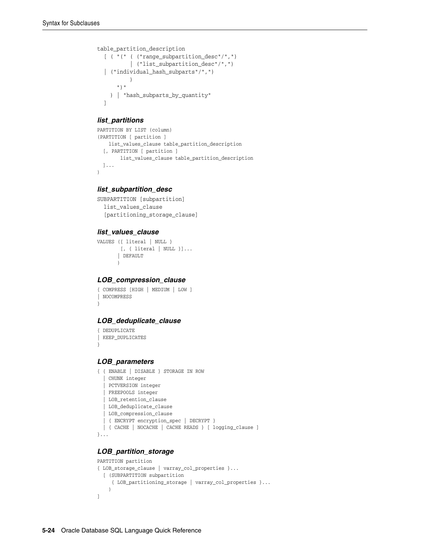```
table_partition_description
   [ ( "(" ( ("range_subpartition_desc"/",")
            | ("list_subpartition_desc"/",")
   | ("individual_hash_subparts"/",")
\overline{\phantom{a}} ")"
     ) | "hash_subparts_by_quantity"
   ]
```
# *list\_partitions*

```
PARTITION BY LIST (column)
(PARTITION [ partition ]
    list_values_clause table_partition_description
   [, PARTITION [ partition ]
        list_values_clause table_partition_description
  ]...
)
```
# *list\_subpartition\_desc*

```
SUBPARTITION [subpartition]
  list_values_clause
   [partitioning_storage_clause]
```
#### *list\_values\_clause*

```
VALUES ({ literal | NULL }
         [, { literal | NULL }]...
        | DEFAULT
        )
```
#### *LOB\_compression\_clause*

```
{ COMPRESS [HIGH | MEDIUM | LOW ]
| NOCOMPRESS
}
```
# *LOB\_deduplicate\_clause*

```
{ DEDUPLICATE 
| KEEP_DUPLICATES
}
```
#### *LOB\_parameters*

```
{ { ENABLE | DISABLE } STORAGE IN ROW
   | CHUNK integer
   | PCTVERSION integer
   | FREEPOOLS integer
   | LOB_retention_clause
   | LOB_deduplicate_clause
   | LOB_compression_clause
   | { ENCRYPT encryption_spec | DECRYPT }
  | { CACHE | NOCACHE | CACHE READS } [ logging_clause ] 
}...
```
# *LOB\_partition\_storage*

```
PARTITION partition
{ LOB_storage_clause | varray_col_properties }...
  [ (SUBPARTITION subpartition
      { LOB_partitioning_storage | varray_col_properties }...
     )
]
```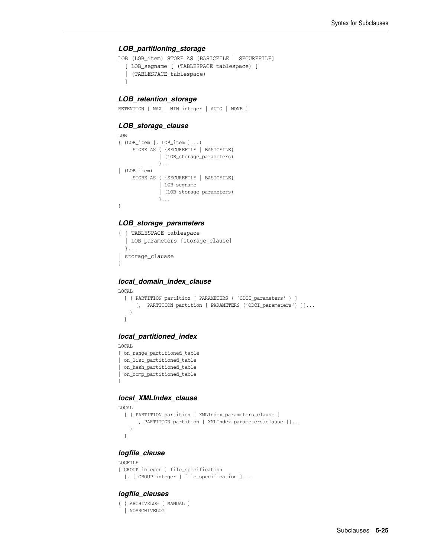#### *LOB\_partitioning\_storage*

```
LOB (LOB_item) STORE AS [BASICFILE | SECUREFILE]
  [ LOB_segname [ (TABLESPACE tablespace) ]
   | (TABLESPACE tablespace)
   ]
```
#### *LOB\_retention\_storage*

RETENTION [ MAX | MIN integer | AUTO | NONE ]

#### *LOB\_storage\_clause*

```
LOB
{ (LOB_item [, LOB_item ]...)
      STORE AS { {SECUREFILE | BASICFILE}
              | (LOB_storage_parameters)
               }...
| (LOB_item)
      STORE AS { {SECUREFILE | BASICFILE}
               | LOB_segname 
               | (LOB_storage_parameters)
               }...
}
```
# *LOB\_storage\_parameters*

```
{ { TABLESPACE tablespace
   | LOB_parameters [storage_clause]
   }...
| storage_clauase
}
```
# *local\_domain\_index\_clause*

```
LOCAL
  [ ( PARTITION partition [ PARAMETERS ( 'ODCI_parameters' ) ]
      [, PARTITION partition [ PARAMETERS ('ODCI_parameters') ]]...
    )
  ]
```
#### *local\_partitioned\_index*

```
LOCAL
[ on_range_partitioned_table
 | on_list_partitioned_table
| on_hash_partitioned_table
| on_comp_partitioned_table
]
```
# *local\_XMLIndex\_clause*

```
LOCAL
  [ ( PARTITION partition [ XMLIndex_parameters_clause ]
      [, PARTITION partition [ XMLIndex_parameters)clause ]]...
     )
  ]
```
# *logfile\_clause*

```
LOGFILE
[ GROUP integer ] file_specification
  [, [ GROUP integer ] file_specification ]...
```
#### *logfile\_clauses*

```
{ { ARCHIVELOG [ MANUAL ]
   | NOARCHIVELOG
```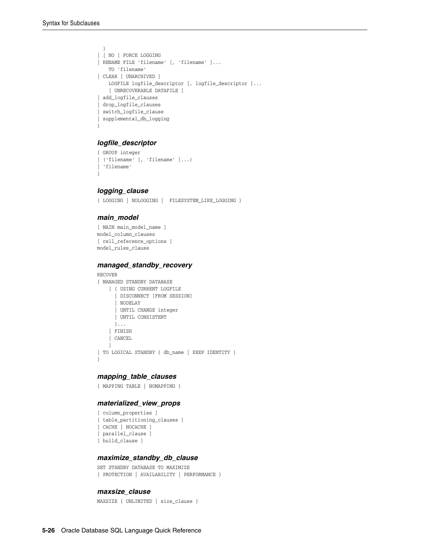```
 }
| [ NO ] FORCE LOGGING
| RENAME FILE 'filename' [, 'filename' ]...
    TO 'filename'
| CLEAR [ UNARCHIVED ]
    LOGFILE logfile_descriptor [, logfile_descriptor ]...
    [ UNRECOVERABLE DATAFILE ]
| add_logfile_clauses
| drop_logfile_clauses
 | switch_logfile_clause
| supplemental_db_logging
}
```
# *logfile\_descriptor*

```
{ GROUP integer
 | ('filename' [, 'filename' ]...)
| 'filename'
}
```
#### *logging\_clause*

```
{ LOGGING | NOLOGGING | FILESYSTEM_LIKE_LOGGING }
```
#### *main\_model*

```
[ MAIN main_model_name ]
model_column_clauses
[ cell_reference_options ]
model_rules_clause
```
#### *managed\_standby\_recovery*

```
RECOVER
{ MANAGED STANDBY DATABASE
    [ { USING CURRENT LOGFILE
       | DISCONNECT [FROM SESSION]
       | NODELAY
       | UNTIL CHANGE integer
       | UNTIL CONSISTENT
      }...
     | FINISH
     | CANCEL
     ]
| TO LOGICAL STANDBY { db_name | KEEP IDENTITY }
}
```
# *mapping\_table\_clauses*

```
{ MAPPING TABLE | NOMAPPING }
```
#### *materialized\_view\_props*

```
[ column_properties ]
[ table_partitioning_clauses ]
[ CACHE | NOCACHE ]
[ parallel_clause ]
[ build_clause ]
```
#### *maximize\_standby\_db\_clause*

```
SET STANDBY DATABASE TO MAXIMIZE
{ PROTECTION | AVAILABILITY | PERFORMANCE }
```
#### *maxsize\_clause*

MAXSIZE { UNLIMITED | size\_clause }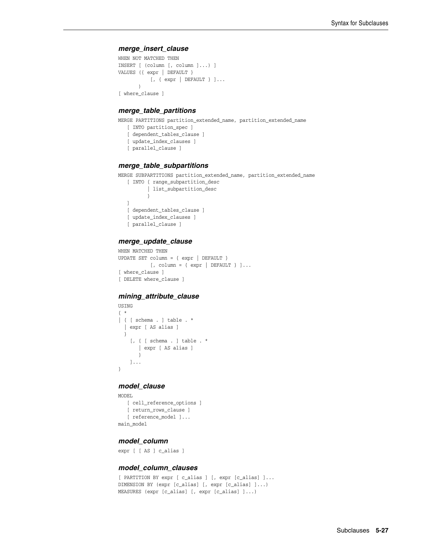#### *merge\_insert\_clause*

```
WHEN NOT MATCHED THEN
INSERT [ (column [, column ]...) ]
VALUES ({ expr | DEFAULT }
           [, { expr | DEFAULT } ]...
        )
[ where_clause ]
```
#### *merge\_table\_partitions*

MERGE PARTITIONS partition\_extended\_name, partition\_extended\_name

```
 [ INTO partition_spec ]
```
- [ dependent\_tables\_clause ] [ update\_index\_clauses ]
- 
- [ parallel\_clause ]

#### *merge\_table\_subpartitions*

MERGE SUBPARTITIONS partition\_extended\_name, partition\_extended\_name

```
 [ INTO { range_subpartition_desc 
          | list_subpartition_desc
 }
   ]
   [ dependent_tables_clause ]
   [ update_index_clauses ]
   [ parallel_clause ]
```
#### *merge\_update\_clause*

```
WHEN MATCHED THEN
UPDATE SET column = { expr | DEFAULT }
          [, column = { expr | DEFAULT } ] \ldots[ where_clause ]
[ DELETE where_clause ]
```
#### *mining\_attribute\_clause*

```
USING
{ * 
| { [ schema . ] table . * 
   | expr [ AS alias ]
   }
     [, { [ schema . ] table . * 
        | expr [ AS alias ]
        }
     ]...
}
```
#### *model\_clause*

```
MODEL
   [ cell_reference_options ]
   [ return_rows_clause ]
   [ reference_model ]...
main_model
```
#### *model\_column*

expr [ [ AS ] c\_alias ]

# *model\_column\_clauses*

```
[ PARTITION BY expr [ c alias ] [, expr [c alias] ]...
DIMENSION BY (expr [c_alias] [, expr [c_alias] ]...)
MEASURES (expr [c_alias] [, expr [c_alias] ]...)
```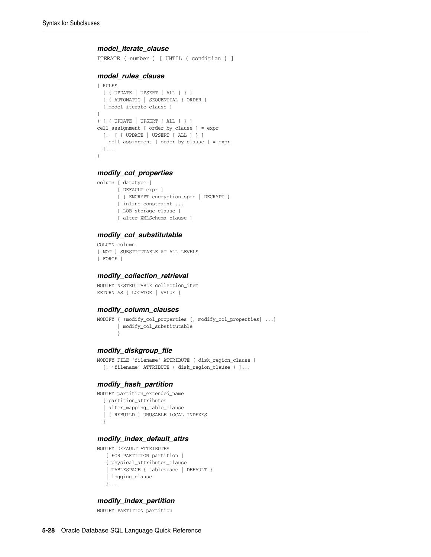#### *model\_iterate\_clause*

ITERATE ( number ) [ UNTIL ( condition ) ]

#### *model\_rules\_clause*

```
[ RULES
   [ { UPDATE | UPSERT [ ALL ] } ]
   [ { AUTOMATIC | SEQUENTIAL } ORDER ]
   [ model_iterate_clause ]
]
( [ { UPDATE | UPSERT [ ALL ] } ]
cell_assignment [ order_by_clause ] = expr
  [, [ { UPDATE | UPSERT [ ALL ] } ]
    cell_assignment [ order_by_clause ] = expr
  ]...
)
```
#### *modify\_col\_properties*

```
column [ datatype ]
       [ DEFAULT expr ]
        [ { ENCRYPT encryption_spec | DECRYPT }
        [ inline_constraint ...
        [ LOB_storage_clause ]
        [ alter_XMLSchema_clause ]
```
#### *modify\_col\_substitutable*

```
COLUMN column
[ NOT ] SUBSTITUTABLE AT ALL LEVELS
[ FORCE ]
```
#### *modify\_collection\_retrieval*

```
MODIFY NESTED TABLE collection_item
RETURN AS { LOCATOR | VALUE }
```
#### *modify\_column\_clauses*

```
MODIFY { (modify_col_properties [, modify_col_properties] ...)
        | modify_col_substitutable
        }
```
#### *modify\_diskgroup\_file*

```
MODIFY FILE 'filename' ATTRIBUTE ( disk_region_clause )
   [, 'filename' ATTRIBUTE ( disk_region_clause ) ]...
```
#### *modify\_hash\_partition*

MODIFY partition\_extended\_name

```
 { partition_attributes
 | alter_mapping_table_clause
```

```
 | [ REBUILD ] UNUSABLE LOCAL INDEXES
 }
```
# *modify\_index\_default\_attrs*

```
MODIFY DEFAULT ATTRIBUTES
   [ FOR PARTITION partition ]
    { physical_attributes_clause
    | TABLESPACE { tablespace | DEFAULT }
    | logging_clause
    }...
```
#### *modify\_index\_partition*

MODIFY PARTITION partition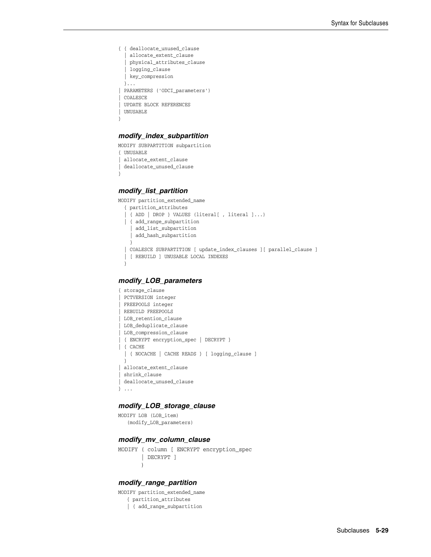```
{ { deallocate_unused_clause
    | allocate_extent_clause
    | physical_attributes_clause
   | logging_clause
  | key_compression
  }...
| PARAMETERS ('ODCI_parameters')
| COALESCE
| UPDATE BLOCK REFERENCES
 | UNUSABLE
}
```
# *modify\_index\_subpartition*

MODIFY SUBPARTITION subpartition { UNUSABLE | allocate\_extent\_clause | deallocate\_unused\_clause }

# *modify\_list\_partition*

```
MODIFY partition_extended_name
  { partition_attributes
   | { ADD | DROP } VALUES (literal[ , literal ]...)
   | { add_range_subpartition
     | add_list_subpartition
     | add_hash_subpartition 
     }
   | COALESCE SUBPARTITION [ update_index_clauses ][ parallel_clause ]
   | [ REBUILD ] UNUSABLE LOCAL INDEXES
 }
```
#### *modify\_LOB\_parameters*

```
{ storage_clause
 PCTVERSION integer
| FREEPOOLS integer
 | REBUILD FREEPOOLS
| LOB_retention_clause
| LOB_deduplicate_clause
| LOB_compression_clause
| { ENCRYPT encryption_spec | DECRYPT }
| { CACHE 
  | { NOCACHE | CACHE READS } [ logging_clause ]
   }
| allocate_extent_clause
 | shrink_clause
| deallocate_unused_clause
} ...
```
# *modify\_LOB\_storage\_clause*

```
MODIFY LOB (LOB_item)
    (modify_LOB_parameters)
```
# *modify\_mv\_column\_clause*

MODIFY ( column [ ENCRYPT encryption\_spec | DECRYPT ] )

# *modify\_range\_partition*

MODIFY partition\_extended\_name { partition\_attributes | { add\_range\_subpartition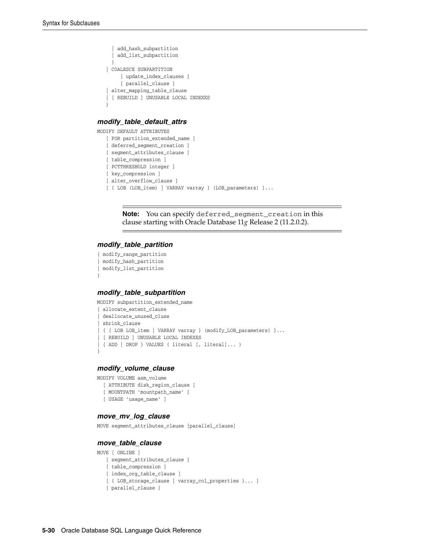```
 | add_hash_subpartition
   | add_list_subpartition
   }
 | COALESCE SUBPARTITION
    [ update index clauses ]
     [ parallel_clause ]
 | alter_mapping_table_clause
 | [ REBUILD ] UNUSABLE LOCAL INDEXES
 }
```
#### *modify\_table\_default\_attrs*

```
MODIFY DEFAULT ATTRIBUTES
   [ FOR partition_extended_name ]
   [ deferred_segment_creation ]
   [ segment attributes clause ]
    [ table_compression ]
    [ PCTTHRESHOLD integer ]
    [ key_compression ]
    [ alter_overflow_clause ]
    [ { LOB (LOB_item) | VARRAY varray } (LOB_parameters) ]...
```
**Note:** You can specify deferred\_segment\_creation in this clause starting with Oracle Database 11*g* Release 2 (11.2.0.2).

#### *modify\_table\_partition*

```
{ modify_range_partition
| modify_hash_partition
| modify_list_partition
}
```
#### *modify\_table\_subpartition*

MODIFY subpartition\_extended\_name

```
{ allocate_extent_clause
| deallocate_unused_cluse
 | shrink_clause
 | { { LOB LOB_item | VARRAY varray } (modify_LOB_parameters) }...
| [ REBUILD ] UNUSABLE LOCAL INDEXES
| { ADD | DROP } VALUES ( literal [, literal]... )
}
```
#### *modify\_volume\_clause*

```
MODIFY VOLUME asm_volume
  [ ATTRIBUTE disk_region_clause ]
   [ MOUNTPATH 'mountpath_name' ]
   [ USAGE 'usage_name' ]
```
#### *move\_mv\_log\_clause*

MOVE segment\_attributes\_clause [parallel\_clause]

#### *move\_table\_clause*

```
MOVE [ ONLINE ]
```

```
 [ segment_attributes_clause ]
```

```
 [ table_compression ]
```

```
[ index org table clause ]
```

```
 [ { LOB_storage_clause | varray_col_properties }... ]
```

```
 [ parallel_clause ]
```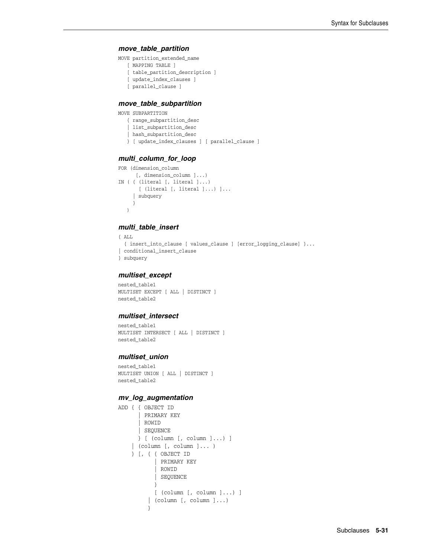#### *move\_table\_partition*

MOVE partition\_extended\_name

- [ MAPPING TABLE ]
- [ table\_partition\_description ]
- [ update\_index\_clauses ]
- [ parallel\_clause ]

#### *move\_table\_subpartition*

- MOVE SUBPARTITION
	- { range\_subpartition\_desc
	- | list\_subpartition\_desc
	- | hash\_subpartition\_desc
	- } [ update\_index\_clauses ] [ parallel\_clause ]

#### *multi\_column\_for\_loop*

```
FOR (dimension_column
      [, dimension_column ]...)
IN ( { (literal [, literal ]...)
        [ (literal [, literal ]...) ]...
      | subquery
      }
    )
```
# *multi\_table\_insert*

```
{ ALL
```

```
 { insert_into_clause [ values_clause ] [error_logging_clause] }...
| conditional_insert_clause
```

```
} subquery
```
#### *multiset\_except*

nested\_table1 MULTISET EXCEPT [ ALL | DISTINCT ] nested\_table2

#### *multiset\_intersect*

```
nested_table1
MULTISET INTERSECT [ ALL | DISTINCT ]
nested_table2
```
#### *multiset\_union*

```
nested_table1
MULTISET UNION [ ALL | DISTINCT ]
nested_table2
```
#### *mv\_log\_augmentation*

```
ADD { { OBJECT ID
        | PRIMARY KEY
       | ROWID
       | SEQUENCE
       } [ (column [, column ]...) ]
     | (column [, column ]... )
     } [, { { OBJECT ID
             | PRIMARY KEY
             | ROWID
            | SEQUENCE
            }
            [ (column [, column ]...) ]
          | (column [, column ]...)
          }
```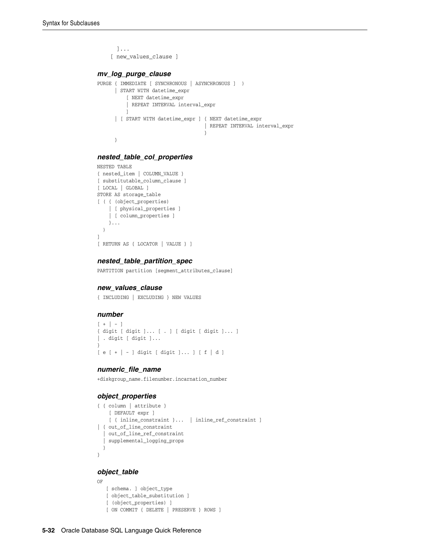```
 ]...
     [ new_values_clause ]
mv_log_purge_clause
PURGE { IMMEDIATE [ SYNCHRONOUS | ASYNCHRONOUS ] )
      | START WITH datetime_expr 
        [ NEXT datetime_expr 
          | REPEAT INTERVAL interval_expr 
         ]
      | [ START WITH datetime_expr ] { NEXT datetime_expr
                                  | REPEAT INTERVAL interval_expr
 }
      }
```
#### *nested\_table\_col\_properties*

```
NESTED TABLE
{ nested_item | COLUMN_VALUE }
[ substitutable_column_clause ]
[ LOCAL | GLOBAL ]
STORE AS storage_table
[ ( { (object_properties)
     | [ physical_properties ]
     | [ column_properties ]
    }...
  )
]
[ RETURN AS { LOCATOR | VALUE } ]
```
#### *nested\_table\_partition\_spec*

PARTITION partition [segment\_attributes\_clause]

#### *new\_values\_clause*

{ INCLUDING | EXCLUDING } NEW VALUES

# *number*

```
[ + ] - ]{ digit [ digit ]... [ . ] [ digit [ digit ]... ]
| . digit [ digit ]...
}
[ e [ + | - ] digit [ digit ]... ] [ f | d ]
```
#### *numeric\_file\_name*

+diskgroup\_name.filenumber.incarnation\_number

#### *object\_properties*

```
{ { column | attribute }
     [ DEFAULT expr ]
     [ { inline_constraint }... | inline_ref_constraint ]
| { out_of_line_constraint
   | out_of_line_ref_constraint
   | supplemental_logging_props
  }
}
```
#### *object\_table*

```
OF
    [ schema. ] object_type
    [ object_table_substitution ]
    [ (object_properties) ]
    [ ON COMMIT { DELETE | PRESERVE } ROWS ]
```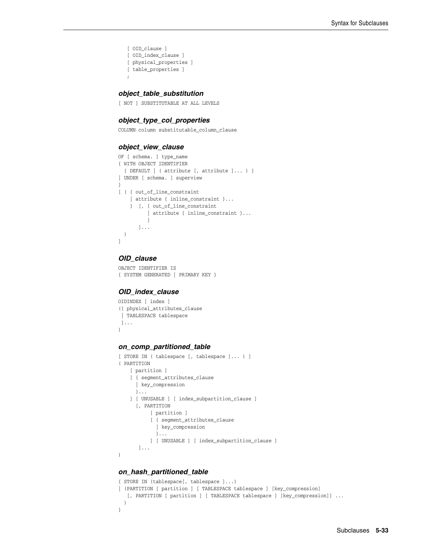```
 [ OID_clause ]
 [ OID_index_clause ]
 [ physical_properties ]
 [ table_properties ]
 ;
```
#### *object\_table\_substitution*

[ NOT ] SUBSTITUTABLE AT ALL LEVELS

#### *object\_type\_col\_properties*

COLUMN column substitutable\_column\_clause

#### *object\_view\_clause*

```
OF [ schema. ] type name
{ WITH OBJECT IDENTIFIER
   { DEFAULT | ( attribute [, attribute ]... ) }
| UNDER [ schema. ] superview
}
[ ( { out_of_line_constraint
    | attribute { inline_constraint }...
    } [, { out_of_line_constraint
       | attribute { inline_constraint }...
 }
       ]...
  )
]
```
# *OID\_clause*

```
OBJECT IDENTIFIER IS
{ SYSTEM GENERATED | PRIMARY KEY }
```
#### *OID\_index\_clause*

```
OIDINDEX [ index ]
({ physical_attributes_clause
  | TABLESPACE tablespace
  }...
)
```
#### *on\_comp\_partitioned\_table*

```
[ STORE IN ( tablespace [, tablespace ]... ) ]
( PARTITION
     [ partition ]
     [ { segment_attributes_clause
       | key_compression
      }...
     ] [ UNUSABLE ] [ index_subpartition_clause ]
       [, PARTITION
            [ partition ]
            [ { segment_attributes_clause
              | key_compression
              }...
            ] [ UNUSABLE ] [ index_subpartition_clause ]
        ]...
)
```
# *on\_hash\_partitioned\_table*

```
{ STORE IN (tablespace[, tablespace ]...)
| (PARTITION [ partition ] [ TABLESPACE tablespace ] [key_compression]
  [, PARTITION [ partition ] [ TABLESPACE tablespace ] [key_compression]] ...
   )
}
```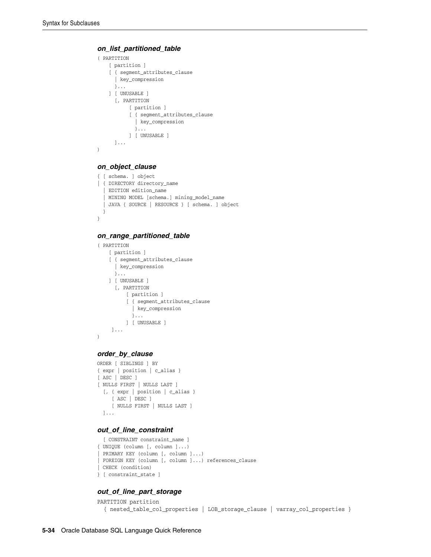#### *on\_list\_partitioned\_table*

```
( PARTITION
    [ partition ]
     [ { segment_attributes_clause
      | key_compression
      }...
     ] [ UNUSABLE ]
       [, PARTITION
            [ partition ]
            [ { segment_attributes_clause
              | key_compression
              }...
            ] [ UNUSABLE ]
      ]...
)
```
# *on\_object\_clause*

```
{ [ schema. ] object 
| { DIRECTORY directory_name
   | EDITION edition_name
   | MINING MODEL [schema.] mining_model_name
   | JAVA { SOURCE | RESOURCE } [ schema. ] object
 }
}
```
#### *on\_range\_partitioned\_table*

```
( PARTITION
     [ partition ]
     [ { segment_attributes_clause
       | key_compression
       }...
     ] [ UNUSABLE ]
       [, PARTITION
           [ partition ]
           [ { segment_attributes_clause
             | key_compression
             }...
           ] [ UNUSABLE ]
      ]...
)
```
#### *order\_by\_clause*

```
ORDER [ SIBLINGS ] BY
{ expr | position | c_alias }
[ ASC | DESC ]
[ NULLS FIRST | NULLS LAST ]
   [, { expr | position | c_alias }
      [ ASC | DESC ]
      [ NULLS FIRST | NULLS LAST ]
  ]...
```
#### *out\_of\_line\_constraint*

```
 [ CONSTRAINT constraint_name ]
{ UNIQUE (column [, column ]...)
| PRIMARY KEY (column [, column ]...)
 | FOREIGN KEY (column [, column ]...) references_clause
| CHECK (condition)
} [ constraint_state ]
```
#### *out\_of\_line\_part\_storage*

```
PARTITION partition
   { nested_table_col_properties | LOB_storage_clause | varray_col_properties }
```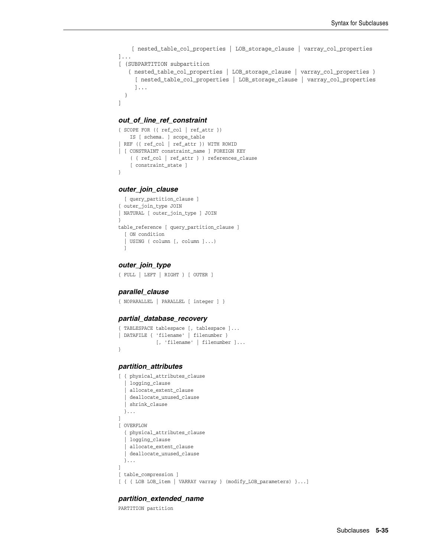```
 [ nested_table_col_properties | LOB_storage_clause | varray_col_properties 
]...
[ (SUBPARTITION subpartition
    { nested_table_col_properties | LOB_storage_clause | varray_col_properties }
      [ nested_table_col_properties | LOB_storage_clause | varray_col_properties
      ]...
   )
]
```
#### *out\_of\_line\_ref\_constraint*

```
{ SCOPE FOR ({ ref_col | ref_attr })
     IS [ schema. ] scope_table
| REF ({ ref_col | ref_attr }) WITH ROWID
| [ CONSTRAINT constraint_name ] FOREIGN KEY
     ( { ref_col | ref_attr } ) references_clause
     [ constraint_state ]
}
```
#### *outer\_join\_clause*

```
[ query partition clause ]
{ outer_join_type JOIN
| NATURAL [ outer_join_type ] JOIN
}
table_reference [ query_partition_clause ]
  [ ON condition
   | USING ( column [, column ]...)
  ]
```
#### *outer\_join\_type*

{ FULL | LEFT | RIGHT } [ OUTER ]

#### *parallel\_clause*

```
{ NOPARALLEL | PARALLEL [ integer ] }
```
#### *partial\_database\_recovery*

```
{ TABLESPACE tablespace [, tablespace ]...
| DATAFILE { 'filename' | filenumber }
              [, 'filename' | filenumber ]...
}
```
#### *partition\_attributes*

```
[ { physical_attributes_clause
   | logging_clause
    | allocate_extent_clause
    | deallocate_unused_clause
   | shrink_clause
  }...
]
[ OVERFLOW
  { physical_attributes_clause
   | logging_clause
  | allocate_extent_clause
   | deallocate_unused_clause
   }...
]
[ table_compression ]
[ { { LOB LOB_item | VARRAY varray } (modify_LOB_parameters) }...]
```
#### *partition\_extended\_name*

```
PARTITION partition
```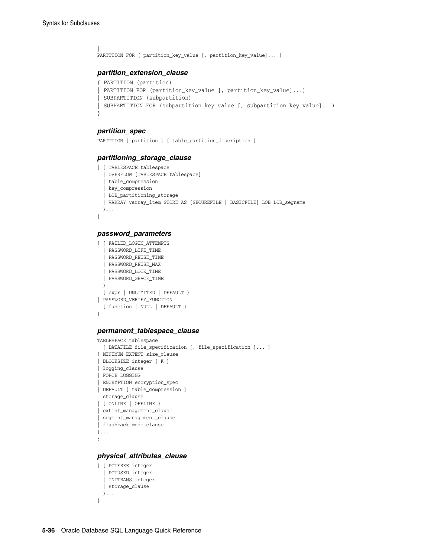```
\|PARTITION FOR ( partition_key_value [, partition_key_value]... )
```
# *partition\_extension\_clause*

```
{ PARTITION (partition)
| PARTITION FOR (partition_key_value [, partition_key_value]...)
| SUBPARTITION (subpartition)
| SUBPARTITION FOR (subpartition_key_value [, subpartition_key_value]...)
}
```
# *partition\_spec*

PARTITION [ partition ] [ table\_partition\_description ]

#### *partitioning\_storage\_clause*

```
[ { TABLESPACE tablespace
    | OVERFLOW [TABLESPACE tablespace]
   | table_compression
   | key_compression
   | LOB_partitioning_storage
   | VARRAY varray_item STORE AS [SECUREFILE | BASICFILE] LOB LOB_segname
  }...
\, \,
```
#### *password\_parameters*

```
{ { FAILED_LOGIN_ATTEMPTS
   | PASSWORD_LIFE_TIME
   | PASSWORD_REUSE_TIME
   | PASSWORD_REUSE_MAX
   | PASSWORD_LOCK_TIME
   | PASSWORD_GRACE_TIME
  \overline{ } { expr | UNLIMITED | DEFAULT }
| PASSWORD_VERIFY_FUNCTION
  { function | NULL | DEFAULT }
}
```
#### *permanent\_tablespace\_clause*

```
TABLESPACE tablespace
  [ DATAFILE file_specification [, file_specification ]... ]
{ MINIMUM EXTENT size_clause
| BLOCKSIZE integer [ K ]
| logging_clause
| FORCE LOGGING
 | ENCRYPTION encryption_spec
| DEFAULT [ table_compression ]
   storage_clause
| { ONLINE | OFFLINE }
| extent_management_clause
| segment_management_clause
| flashback_mode_clause
}...
;
```
#### *physical\_attributes\_clause*

```
[ { PCTFREE integer
   | PCTUSED integer
   | INITRANS integer
   | storage_clause
   }...
]
```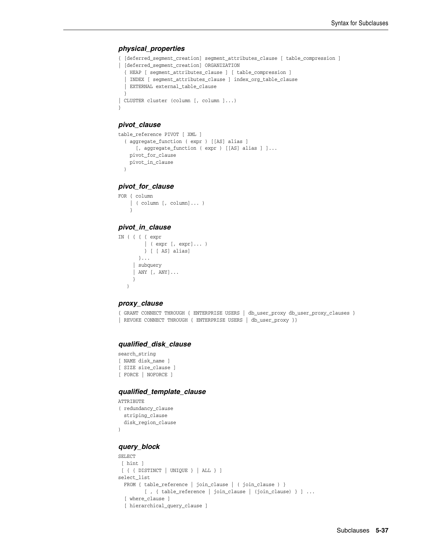#### *physical\_properties*

```
{ [deferred_segment_creation] segment_attributes_clause [ table_compression ]
| [deferred_segment_creation] ORGANIZATION
  { HEAP [ segment_attributes_clause ] [ table_compression ]
   | INDEX [ segment_attributes_clause ] index_org_table_clause
   | EXTERNAL external_table_clause
  }
| CLUSTER cluster (column [, column ]...)
}
```
# *pivot\_clause*

```
table_reference PIVOT [ XML ]
  ( aggregate_function ( expr ) [[AS] alias ]
      [, aggregate_function ( expr ) [[AS] alias ] ]...
    pivot_for_clause
    pivot_in_clause
  )
```
*pivot\_for\_clause*

```
FOR { column
    | ( column [, column]... )
     }
```
# *pivot\_in\_clause*

```
IN ( { { { expr
          | ( expr [, expr]... )
          } [ [ AS] alias]
        }...
      | subquery
      | ANY [, ANY]...
      }
    )
```
#### *proxy\_clause*

```
{ GRANT CONNECT THROUGH { ENTERPRISE USERS | db_user_proxy db_user_proxy_clauses }
| REVOKE CONNECT THROUGH { ENTERPRISE USERS | db_user_proxy }}
```
# *qualified\_disk\_clause*

```
search_string
[ NAME disk_name ]
[ SIZE size_clause ]
[ FORCE | NOFORCE ]
```
#### *qualified\_template\_clause*

```
ATTRIBUTE
( redundancy_clause 
   striping_clause 
  disk_region_clause
)
```
#### *query\_block*

```
SELECT
 [ hint ]
 [ { { DISTINCT | UNIQUE } | ALL } ]
select_list
 FROM { table_reference | join_clause | ( join_clause ) }
         [ , { table_reference | join_clause | (join_clause) } ] ...
  [ where_clause ]
   [ hierarchical_query_clause ]
```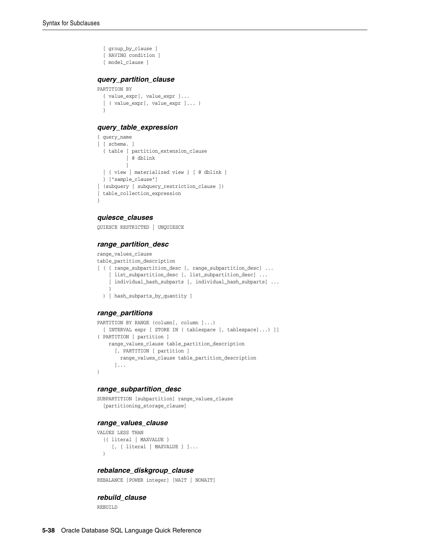```
 [ group_by_clause ]
   [ HAVING condition ]
   [ model_clause ]
query_partition_clause
PARTITION BY
```

```
 { value_expr[, value_expr ]...
 | ( value_expr[, value_expr ]... )
 }
```
#### *query\_table\_expression*

```
{ query_name
| [ schema. ]
  { table [ partition_extension_clause
           | @ dblink
          ]
  | { view | materialized view } [ @ dblink ]
  } ["sample_clause"]
| (subquery [ subquery_restriction_clause ])
| table_collection_expression
}
```
# *quiesce\_clauses*

QUIESCE RESTRICTED | UNQUIESCE

#### *range\_partition\_desc*

```
range_values_clause
table_partition_description
[ ( { range_subpartition_desc [, range_subpartition_desc] ...
      | list_subpartition_desc [, list_subpartition_desc] ...
     individual_hash_subparts [, individual_hash_subparts] ...
 }
   ) | hash_subparts_by_quantity ]
```
#### *range\_partitions*

```
PARTITION BY RANGE (column[, column ]...)
  [ INTERVAL expr [ STORE IN ( tablespace [, tablespace]...) ]]
( PARTITION [ partition ]
    range_values_clause table_partition_description
       [, PARTITION [ partition ]
        range_values_clause table_partition_description
      ]...
)
```
#### *range\_subpartition\_desc*

```
SUBPARTITION [subpartition] range_values_clause
   [partitioning_storage_clause]
```
#### *range\_values\_clause*

```
VALUES LESS THAN
   ({ literal | MAXVALUE }
      [, { literal | MAXVALUE } ]...
   )
```
#### *rebalance\_diskgroup\_clause*

REBALANCE [POWER integer] [WAIT | NOWAIT]

#### *rebuild\_clause*

REBUILD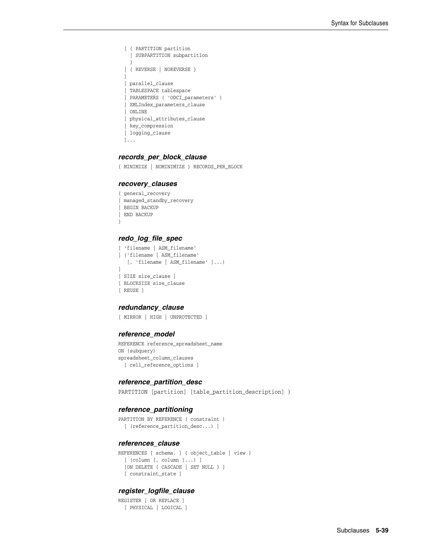```
 [ { PARTITION partition
   | SUBPARTITION subpartition
   }
 | { REVERSE | NOREVERSE }
 ]
 [ parallel_clause
 | TABLESPACE tablespace
 | PARAMETERS ( 'ODCI_parameters' )
 | XMLIndex_parameters_clause
   | ONLINE
  | physical_attributes_clause
  | key_compression
 | logging_clause
 ]...
```
#### *records\_per\_block\_clause*

{ MINIMIZE | NOMINIMIZE } RECORDS\_PER\_BLOCK

#### *recovery\_clauses*

```
{ general_recovery
 | managed_standby_recovery
| BEGIN BACKUP
| END BACKUP
}
```
#### *redo\_log\_file\_spec*

```
[ 'filename | ASM_filename'
| ('filename | ASM_filename'
    [, 'filename | ASM_filename' ]...)
]
[ SIZE size_clause ]
[ BLOCKSIZE size_clause
[ REUSE ]
```
#### *redundancy\_clause*

[ MIRROR | HIGH | UNPROTECTED ]

#### *reference\_model*

REFERENCE reference\_spreadsheet\_name ON (subquery) spreadsheet\_column\_clauses [ cell\_reference\_options ]

#### *reference\_partition\_desc*

PARTITION [partition] [table\_partition\_description] )

#### *reference\_partitioning*

```
PARTITION BY REFERENCE ( constraint ) 
   [ (reference_partition_desc...) ]
```
#### *references\_clause*

```
REFERENCES [ schema. ] { object_table | view }
  [ (column [, column ]...) ]
  [ON DELETE { CASCADE | SET NULL } ]
  [ constraint_state ]
```
# *register\_logfile\_clause*

REGISTER [ OR REPLACE ] [ PHYSICAL | LOGICAL ]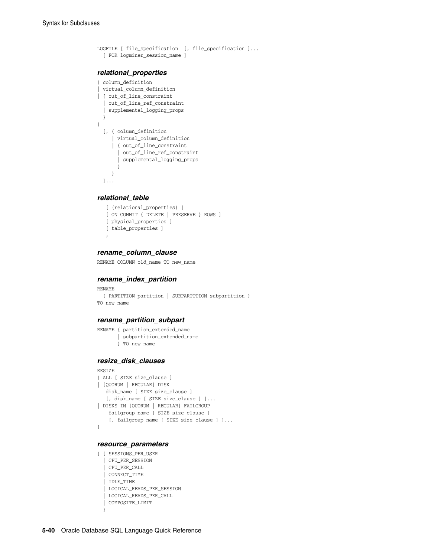```
LOGFILE [ file_specification [, file_specification ]...
   [ FOR logminer_session_name ]
relational_properties
{ column_definition
| virtual_column_definition
| { out_of_line_constraint
   | out_of_line_ref_constraint
   | supplemental_logging_props
   }
}
   [, { column_definition
      | virtual_column_definition
      | { out_of_line_constraint
        | out_of_line_ref_constraint
        | supplemental_logging_props
        }
      }
   ]...
```
#### *relational\_table*

```
 [ (relational_properties) ]
 [ ON COMMIT { DELETE | PRESERVE } ROWS ]
 [ physical_properties ]
 [ table_properties ]
 ;
```
#### *rename\_column\_clause*

RENAME COLUMN old\_name TO new\_name

#### *rename\_index\_partition*

```
RENAME
  { PARTITION partition | SUBPARTITION subpartition }
TO new_name
```
#### *rename\_partition\_subpart*

```
RENAME { partition_extended_name
        | subpartition_extended_name
        } TO new_name
```
#### *resize\_disk\_clauses*

```
RESIZE
{ ALL [ SIZE size_clause ]
| [QUORUM | REGULAR] DISK
   disk_name [ SIZE size_clause ]
   [, disk_name [ SIZE size_clause ] ]...
| DISKS IN [QUORUM | REGULAR] FAILGROUP
    failgroup_name [ SIZE size_clause ]
     [, failgroup_name [ SIZE size_clause ] ]...
}
```
#### *resource\_parameters*

```
{ { SESSIONS_PER_USER
   | CPU_PER_SESSION
    | CPU_PER_CALL
   | CONNECT_TIME
   | IDLE_TIME
   | LOGICAL_READS_PER_SESSION
   | LOGICAL_READS_PER_CALL
   | COMPOSITE_LIMIT
   }
```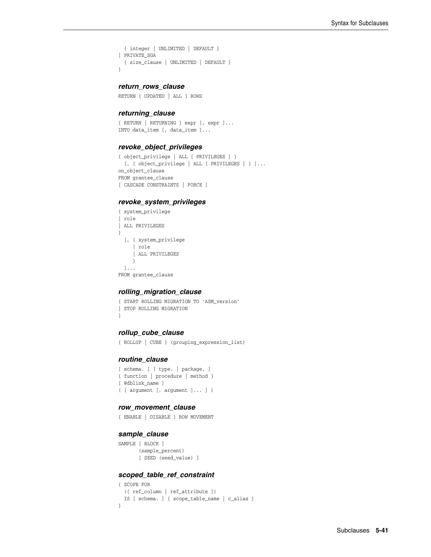```
 { integer | UNLIMITED | DEFAULT }
| PRIVATE_SGA
  { size_clause | UNLIMITED | DEFAULT }
}
```
#### *return\_rows\_clause*

RETURN { UPDATED | ALL } ROWS

#### *returning\_clause*

{ RETURN | RETURNING } expr [, expr ]... INTO data\_item [, data\_item ]...

#### *revoke\_object\_privileges*

```
{ object_privilege | ALL [ PRIVILEGES ] }
  [, { object_privilege | ALL [ PRIVILEGES ] } ]...
on_object_clause
FROM grantee_clause
[ CASCADE CONSTRAINTS | FORCE ]
```
#### *revoke\_system\_privileges*

```
{ system_privilege
| role
| ALL PRIVILEGES
}
   [, { system_privilege
      | role
      | ALL PRIVILEGES
     }
  ]...
FROM grantee_clause
```
#### *rolling\_migration\_clause*

{ START ROLLING MIGRATION TO 'ASM\_version' | STOP ROLLING MIGRATION }

#### *rollup\_cube\_clause*

```
{ ROLLUP | CUBE } (grouping_expression_list)
```
#### *routine\_clause*

```
[ schema. ] [ type. | package. ]
{ function | procedure | method }
[ @dblink_name ]
( [ argument [, argument ]... ] )
```
#### *row\_movement\_clause*

```
{ ENABLE | DISABLE } ROW MOVEMENT
```
#### *sample\_clause*

```
SAMPLE [ BLOCK ]
       (sample_percent)
        [ SEED (seed_value) ]
```
# *scoped\_table\_ref\_constraint*

```
{ SCOPE FOR
  ({ ref_column | ref_attribute })
  IS [ schema. ] { scope_table_name | c_alias }
}
```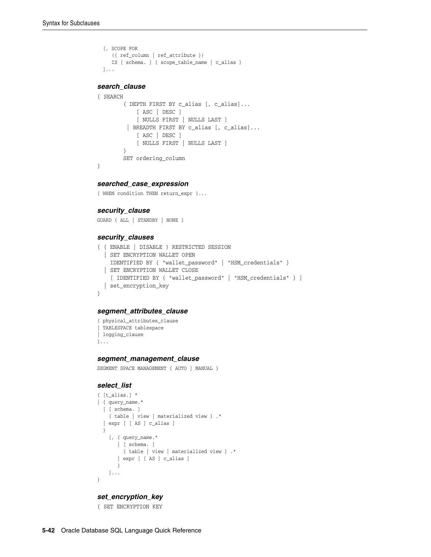```
 [, SCOPE FOR
      ({ ref_column | ref_attribute })
     IS [ schema. ] { scope_table_name | c_alias }
  ]...
search_clause
```

```
{ SEARCH
         { DEPTH FIRST BY c_alias [, c_alias]...
             [ ASC | DESC ]
             [ NULLS FIRST | NULLS LAST ]
          | BREADTH FIRST BY c_alias [, c_alias]...
             [ ASC | DESC ]
             [ NULLS FIRST | NULLS LAST ]
         }
         SET ordering_column
}
```
### *searched\_case\_expression*

{ WHEN condition THEN return\_expr }...

#### *security\_clause*

GUARD { ALL | STANDBY | NONE }

#### *security\_clauses*

```
{ { ENABLE | DISABLE } RESTRICTED SESSION
   | SET ENCRYPTION WALLET OPEN
     IDENTIFIED BY { "wallet_password" | "HSM_credentials" }
   | SET ENCRYPTION WALLET CLOSE
     [ IDENTIFIED BY { "wallet_password" | "HSM_credentials" } ]
   | set_encryption_key
}
```
# *segment\_attributes\_clause*

```
{ physical_attributes_clause
| TABLESPACE tablespace
| logging_clause
}...
```
#### *segment\_management\_clause*

SEGMENT SPACE MANAGEMENT { AUTO | MANUAL }

#### *select\_list*

```
{t_{_{all}}| { query_name.*
  | [ schema. ]
    { table | view | materialized view } .*
   | expr [ [ AS ] c_alias ]
  }
     [, { query_name.*
       | [ schema. ]
         { table | view | materialized view } .*
        | expr [ [ AS ] c_alias ]
       }
    ]...
}
```
#### *set\_encryption\_key*

{ SET ENCRYPTION KEY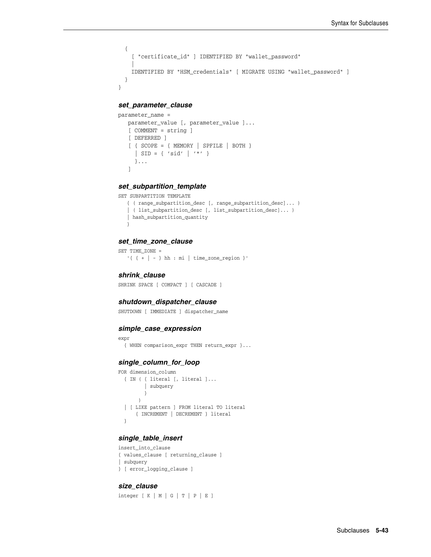```
 {
     [ "certificate_id" ] IDENTIFIED BY "wallet_password"
     |
     IDENTIFIED BY "HSM_credentials" [ MIGRATE USING "wallet_password" ]
   }
}
```
#### *set\_parameter\_clause*

```
parameter_name =
   parameter_value [, parameter_value ]...
    [ COMMENT = string ]
    [ DEFERRED ]
    [ { SCOPE = { MEMORY | SPFILE | BOTH }
     | SID = { 'sid' | '*' }
     }...
    ]
```
#### *set\_subpartition\_template*

```
SET SUBPARTITION TEMPLATE
```

```
 { ( range_subpartition_desc [, range_subpartition_desc]... )
 | ( list_subpartition_desc [, list_subpartition_desc]... )
 | hash_subpartition_quantity
 }
```
#### *set\_time\_zone\_clause*

SET TIME\_ZONE = '{  $\{ + | - \}$  hh : mi | time\_zone\_region }'

# *shrink\_clause*

SHRINK SPACE [ COMPACT ] [ CASCADE ]

#### *shutdown\_dispatcher\_clause*

SHUTDOWN [ IMMEDIATE ] dispatcher\_name

#### *simple\_case\_expression*

```
expr
  { WHEN comparison_expr THEN return_expr }...
```
## *single\_column\_for\_loop*

```
FOR dimension_column
   { IN ( { literal [, literal ]...
          | subquery
          }
       \rightarrow | [ LIKE pattern ] FROM literal TO literal
       { INCREMENT | DECREMENT } literal
   }
```
# *single\_table\_insert*

```
insert_into_clause
{ values_clause [ returning_clause ]
| subquery 
} [ error_logging_clause ]
```
#### *size\_clause*

 $integer [ K | M | G | T | P | E ]$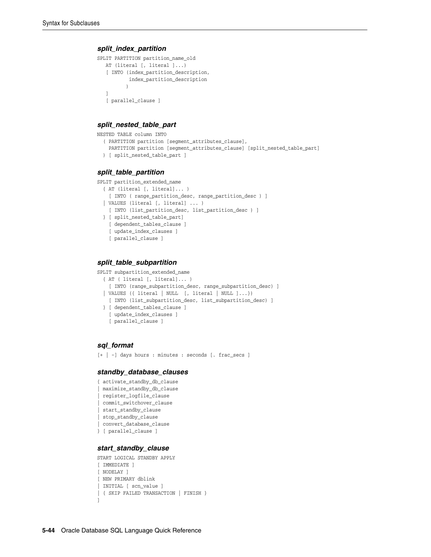#### *split\_index\_partition*

```
SPLIT PARTITION partition_name_old
    AT (literal [, literal ]...)
    [ INTO (index_partition_description,
            index_partition_description
\overline{\phantom{a}} ]
    [ parallel_clause ]
```
#### *split\_nested\_table\_part*

```
NESTED TABLE column INTO
   ( PARTITION partition [segment_attributes_clause],
     PARTITION partition [segment_attributes_clause] [split_nested_table_part]
   ) [ split_nested_table_part ]
```
# *split\_table\_partition*

```
SPLIT partition_extended_name
   { AT (literal [, literal]... )
     [ INTO ( range_partition_desc, range_partition_desc ) ]
   | VALUES (literal [, literal] ... )
    [ INTO (list_partition_desc, list_partition_desc ) ]
   } [ split_nested_table_part]
    [ dependent_tables_clause ]
    [ update_index_clauses ]
    [ parallel_clause ]
```
# *split\_table\_subpartition*

```
SPLIT subpartition_extended_name
   { AT ( literal [, literal]... )
    [ INTO (range_subpartition_desc, range_subpartition_desc) ]
   | VALUES ({ literal | NULL [, literal | NULL ]...})
     [ INTO (list_subpartition_desc, list_subpartition_desc) ]
   } [ dependent_tables_clause ]
    [ update_index_clauses ]
     [ parallel_clause ]
```
# *sql\_format*

```
[+ | -] days hours : minutes : seconds [. frac_secs ]
```
#### *standby\_database\_clauses*

```
{ activate_standby_db_clause
| maximize_standby_db_clause
| register_logfile_clause
| commit_switchover_clause
| start_standby_clause
| stop_standby_clause
| convert_database_clause
} [ parallel_clause ]
```
#### *start\_standby\_clause*

```
START LOGICAL STANDBY APPLY
[ IMMEDIATE ]
[ NODELAY ]
[ NEW PRIMARY dblink
| INITIAL [ scn_value ]
| { SKIP FAILED TRANSACTION | FINISH }
]
```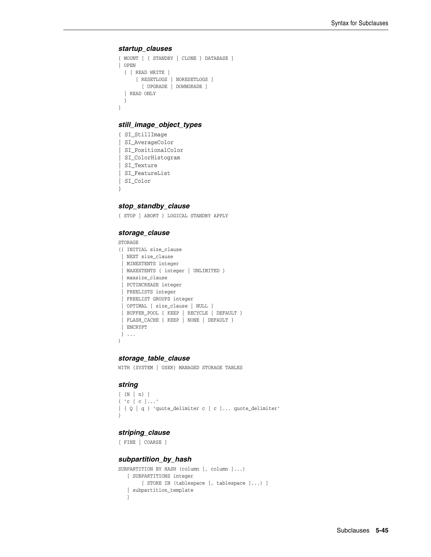#### *startup\_clauses*

```
{ MOUNT [ { STANDBY | CLONE } DATABASE ]
| OPEN
   { [ READ WRITE ]
      [ RESETLOGS | NORESETLOGS ]
        [ UPGRADE | DOWNGRADE ]
   | READ ONLY
  }
}
```
# *still\_image\_object\_types*

```
{ SI_StillImage
| SI_AverageColor
| SI_PositionalColor
| SI_ColorHistogram
| SI_Texture
| SI_FeatureList
| SI_Color
}
```
# *stop\_standby\_clause*

{ STOP | ABORT } LOGICAL STANDBY APPLY

#### *storage\_clause*

```
STORAGE
({ INITIAL size_clause
  | NEXT size_clause
   | MINEXTENTS integer
  | MAXEXTENTS { integer | UNLIMITED }
  | maxsize_clause
  | PCTINCREASE integer
  | FREELISTS integer
  | FREELIST GROUPS integer
  | OPTIMAL [ size_clause | NULL ]
  | BUFFER_POOL { KEEP | RECYCLE | DEFAULT }
  | FLASH_CACHE { KEEP | NONE | DEFAULT }
  | ENCRYPT
  } ...
)
```
#### *storage\_table\_clause*

WITH {SYSTEM | USER} MANAGED STORAGE TABLES

#### *string*

```
[ \{ N \, \, n \} \, ]
{ 'c [ c ]...'
| { Q | q } 'quote_delimiter c [ c ]... quote_delimiter'
}
```
# *striping\_clause*

```
[ FINE | COARSE ]
```
#### *subpartition\_by\_hash*

```
SUBPARTITION BY HASH (column [, column ]...)
   [ SUBPARTITIONS integer
        [ STORE IN (tablespace [, tablespace ]...) ]
    | subpartition_template
    ]
```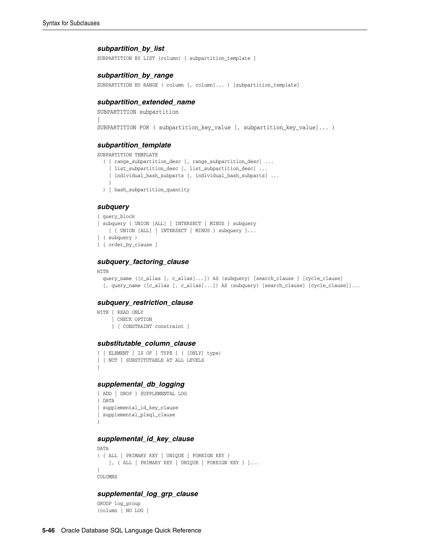#### *subpartition\_by\_list*

SUBPARTITION BY LIST (column) [ subpartition\_template ]

#### *subpartition\_by\_range*

SUBPARTITION BY RANGE ( column [, column]... ) [subpartition\_template]

#### *subpartition\_extended\_name*

```
SUBPARTITION subpartition
\mathbb{L}SUBPARTITION FOR ( subpartition_key_value [, subpartition_key_value]... )
```
#### *subpartition\_template*

SUBPARTITION TEMPLATE

```
 ( { range_subpartition_desc [, range_subpartition_desc] ...
   | list_subpartition_desc [, list_subpartition_desc] ...
   | individual_hash_subparts [, individual_hash_subparts] ...
  }
 ) | hash_subpartition_quantity
```
#### *subquery*

```
{ query_block
| subquery { UNION [ALL] | INTERSECT | MINUS } subquery
    [ { UNION [ALL] | INTERSECT | MINUS } subquery ]...
| ( subquery )
} [ order_by_clause ]
```
#### *subquery\_factoring\_clause*

#### WITH

```
 query_name ([c_alias [, c_alias]...]) AS (subquery) [search_clause ] [cycle_clause]
 [, query_name ([c_alias [, c_alias]...]) AS (subquery) [search_clause] [cycle_clause]]...
```
#### *subquery\_restriction\_clause*

WITH { READ ONLY | CHECK OPTION } [ CONSTRAINT constraint ]

#### *substitutable\_column\_clause*

```
{ [ ELEMENT ] IS OF [ TYPE ] ( [ONLY] type)
| [ NOT ] SUBSTITUTABLE AT ALL LEVELS
}
```
# *supplemental\_db\_logging*

```
{ ADD | DROP } SUPPLEMENTAL LOG
{ DATA
| supplemental_id_key_clause
| supplemental_plsql_clause
}
```
# *supplemental\_id\_key\_clause*

```
DATA
( { ALL | PRIMARY KEY | UNIQUE | FOREIGN KEY }
     [, { ALL | PRIMARY KEY | UNIQUE | FOREIGN KEY } ]...
)
COLUMNS
```
# *supplemental\_log\_grp\_clause*

GROUP log\_group (column [ NO LOG ]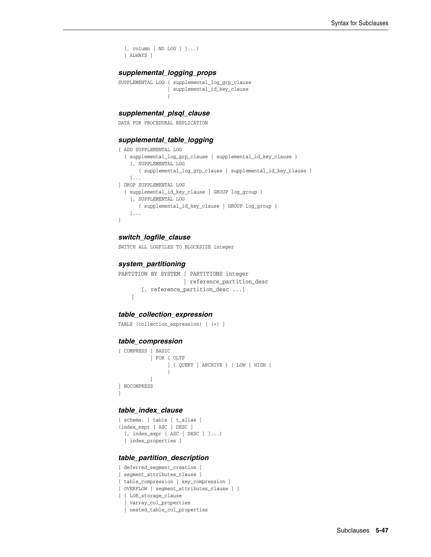```
 [, column [ NO LOG ] ]...)
 [ ALWAYS ]
```
# *supplemental\_logging\_props*

```
SUPPLEMENTAL LOG { supplemental_log_grp_clause
                 | supplemental_id_key_clause
 }
```
# *supplemental\_plsql\_clause*

DATA FOR PROCEDURAL REPLICATION

#### *supplemental\_table\_logging*

```
{ ADD SUPPLEMENTAL LOG
  { supplemental_log_grp_clause | supplemental_id_key_clause }
     [, SUPPLEMENTAL LOG
        { supplemental_log_grp_clause | supplemental_id_key_clause }
     ]...
| DROP SUPPLEMENTAL LOG
   { supplemental_id_key_clause | GROUP log_group }
     [, SUPPLEMENTAL LOG
        { supplemental_id_key_clause | GROUP log_group }
     ]...
}
```
#### *switch\_logfile\_clause*

SWITCH ALL LOGFILES TO BLOCKSIZE integer

#### *system\_partitioning*

PARTITION BY SYSTEM [ PARTITIONS integer | reference\_partition\_desc [, reference\_partition\_desc ...] ]

#### *table\_collection\_expression*

TABLE (collection\_expression) [ (+) ]

#### *table\_compression*

```
{ COMPRESS [ BASIC
         | FOR { OLTP
               | { QUERY | ARCHIVE } [ LOW | HIGH ]
 }
          ]
| NOCOMPRESS 
}
```
#### *table\_index\_clause*

```
[ schema. ] table [ t_alias ]
(index_expr [ ASC | DESC ]
  [, index_expr [ ASC | DESC ] ]...)
  [ index_properties ]
```
#### *table\_partition\_description*

```
[ deferred_segment_creation ]
[ segment_attributes_clause ]
[ table_compression | key_compression ]
[ OVERFLOW [ segment_attributes_clause ] ]
[ { LOB_storage_clause
   | varray_col_properties
   | nested_table_col_properties
```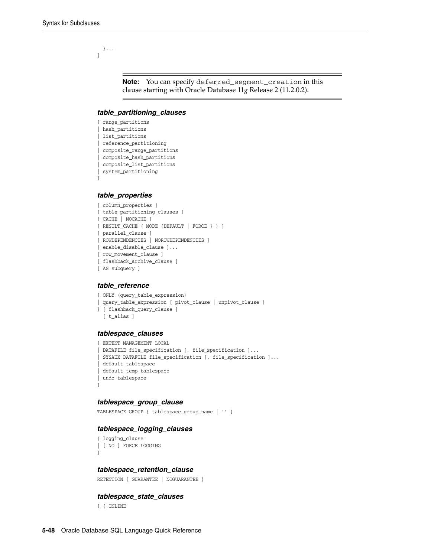}... ]

> **Note:** You can specify deferred\_segment\_creation in this clause starting with Oracle Database 11*g* Release 2 (11.2.0.2).

#### *table\_partitioning\_clauses*

```
{ range_partitions
| hash_partitions
| list partitions
| reference_partitioning
| composite_range_partitions
| composite_hash_partitions
| composite_list_partitions
| system_partitioning
```
#### *table\_properties*

}

```
[ column_properties ]
[ table_partitioning_clauses ]
[ CACHE | NOCACHE ]
[ RESULT_CACHE ( MODE {DEFAULT | FORCE } ) ] 
[ parallel_clause ]
[ ROWDEPENDENCIES | NOROWDEPENDENCIES ]
[ enable_disable_clause ]...
[ row_movement_clause ]
[ flashback_archive_clause ]
[ AS subquery ]
```
#### *table\_reference*

```
{ ONLY (query_table_expression)
| query_table_expression [ pivot_clause | unpivot_clause ]
} [ flashback_query_clause ]
  [ t_alias ]
```
#### *tablespace\_clauses*

```
{ EXTENT MANAGEMENT LOCAL
 DATAFILE file_specification [, file_specification ]...
 SYSAUX DATAFILE file_specification [, file_specification ]...
 | default_tablespace
 | default_temp_tablespace
| undo_tablespace
}
```
#### *tablespace\_group\_clause*

TABLESPACE GROUP { tablespace\_group\_name | '' }

#### *tablespace\_logging\_clauses*

```
{ logging_clause
| [ NO ] FORCE LOGGING
}
```
#### *tablespace\_retention\_clause*

RETENTION { GUARANTEE | NOGUARANTEE }

#### *tablespace\_state\_clauses*

{ { ONLINE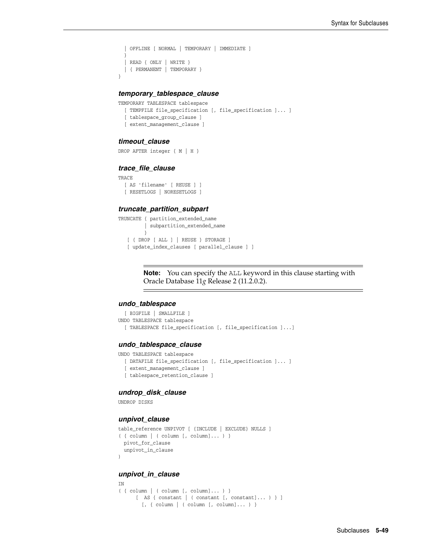```
 | OFFLINE [ NORMAL | TEMPORARY | IMMEDIATE ]
 }
 | READ { ONLY | WRITE }
 | { PERMANENT | TEMPORARY }
```
#### *temporary\_tablespace\_clause*

```
TEMPORARY TABLESPACE tablespace
  [ TEMPFILE file_specification [, file_specification ]... ]
  [ tablespace_group_clause ]
  [ extent_management_clause ]
```
#### *timeout\_clause*

```
DROP AFTER integer { M | H }
```
#### *trace\_file\_clause*

```
TRACE
```
}

```
 [ AS 'filename' [ REUSE ] ]
 [ RESETLOGS | NORESETLOGS ]
```
#### *truncate\_partition\_subpart*

```
TRUNCATE { partition_extended_name
          | subpartition_extended_name
 }
   [ { DROP [ ALL ] | REUSE } STORAGE ]
   [ update_index_clauses [ parallel_clause ] ]
```
**Note:** You can specify the ALL keyword in this clause starting with Oracle Database 11*g* Release 2 (11.2.0.2).

#### *undo\_tablespace*

```
 [ BIGFILE | SMALLFILE ]
UNDO TABLESPACE tablespace
  [ TABLESPACE file_specification [, file_specification ]...]
```
#### *undo\_tablespace\_clause*

UNDO TABLESPACE tablespace

```
 [ DATAFILE file_specification [, file_specification ]... ]
 [ extent_management_clause ]
```
[ tablespace\_retention\_clause ]

#### *undrop\_disk\_clause*

UNDROP DISKS

#### *unpivot\_clause*

```
table_reference UNPIVOT [ {INCLUDE | EXCLUDE} NULLS ]
( { column | ( column [, column]... ) }
  pivot_for_clause
  unpivot_in_clause
)
```
#### *unpivot\_in\_clause*

```
IN
( { column | ( column [, column]... ) }
      [ AS { constant | ( constant [, constant]... ) } ]
         [, { column | ( column [, column]... ) }
```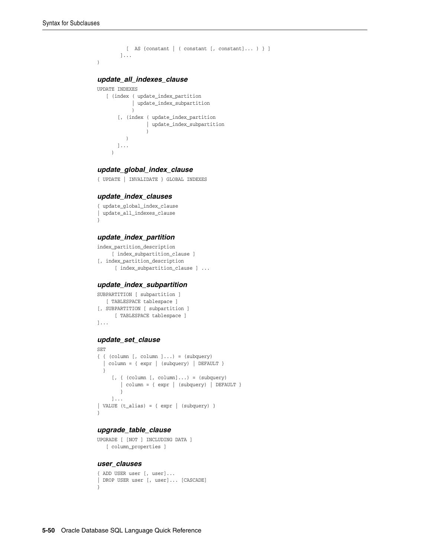)

```
 [ AS {constant | ( constant [, constant]... ) } ]
 ]...
```
# *update\_all\_indexes\_clause*

```
UPDATE INDEXES
   [ (index ( update_index_partition
           | update_index_subpartition
) [, (index ( update_index_partition
              | update_index_subpartition
) )
      ]...
     )
```
#### *update\_global\_index\_clause*

{ UPDATE | INVALIDATE } GLOBAL INDEXES

#### *update\_index\_clauses*

```
{ update_global_index_clause
| update_all_indexes_clause
}
```
#### *update\_index\_partition*

```
index_partition_description
     [ index_subpartition_clause ]
[, index_partition_description
       [ index_subpartition_clause ] ...
```
#### *update\_index\_subpartition*

```
SUBPARTITION [ subpartition ]
   [ TABLESPACE tablespace ]
[, SUBPARTITION [ subpartition ]
      [ TABLESPACE tablespace ]
]...
```
# *update\_set\_clause*

```
SET
{ { (column [, column ]...) = (subquery)
   | column = { expr | (subquery) | DEFAULT }
  }
     [ , \{ (column [ , column]...) = (subquery)
       | column = { expr | (subquery) | DEFAULT }
        }
     ]...
| VALUE (t_alias) = { expr | (subquery) }
}
```
#### *upgrade\_table\_clause*

```
UPGRADE [ [NOT ] INCLUDING DATA ]
    [ column_properties ]
```
#### *user\_clauses*

```
{ ADD USER user [, user]...
| DROP USER user [, user]... [CASCADE]
}
```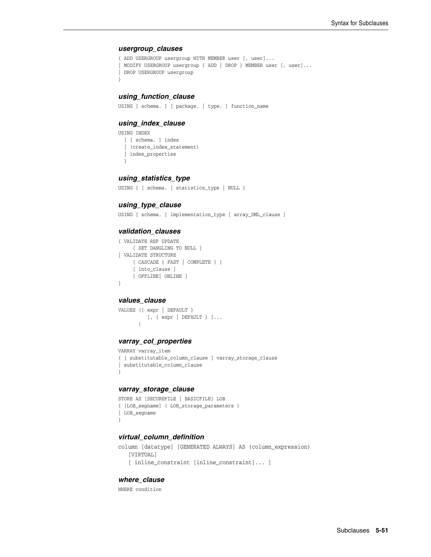#### *usergroup\_clauses*

```
{ ADD USERGROUP usergroup WITH MEMBER user [, user]...
| MODIFY USERGROUP usergroup { ADD | DROP } MEMBER user [, user]...
| DROP USERGROUP usergroup 
}
```
# *using\_function\_clause*

USING [ schema. ] [ package. | type. ] function name

#### *using\_index\_clause*

USING INDEX { [ schema. ] index | (create\_index\_statement) | index\_properties }

# *using\_statistics\_type*

```
USING { [ schema. ] statistics_type | NULL }
```
#### *using\_type\_clause*

USING [ schema. ] implementation\_type [ array\_DML\_clause ]

#### *validation\_clauses*

```
{ VALIDATE REF UPDATE
     [ SET DANGLING TO NULL ]
| VALIDATE STRUCTURE
     [ CASCADE { FAST | COMPLETE } ]
     [ into_clause ]
     { OFFLINE| ONLINE }
}
```
#### *values\_clause*

```
VALUES ({ expr | DEFAULT }
            [, { expr | DEFAULT } ]...
\overline{\phantom{a}}
```
#### *varray\_col\_properties*

```
VARRAY varray_item 
{ [ substitutable_column_clause ] varray_storage_clause
| substitutable_column_clause
}
```
#### *varray\_storage\_clause*

```
STORE AS [SECUREFILE | BASICFILE] LOB
{ [LOB_segname] ( LOB_storage_parameters )
| LOB_segname
}
```
# *virtual\_column\_definition*

```
column [datatype] [GENERATED ALWAYS] AS (column_expression)
    [VIRTUAL]
    [ inline_constraint [inline_constraint]... ]
```
# *where\_clause*

WHERE condition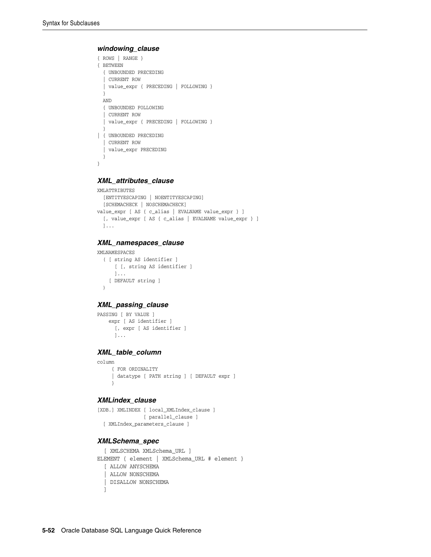#### *windowing\_clause*

```
{ ROWS | RANGE }
{ BETWEEN
  { UNBOUNDED PRECEDING
   | CURRENT ROW
   | value_expr { PRECEDING | FOLLOWING }
   } 
  AND
   { UNBOUNDED FOLLOWING
   | CURRENT ROW
   | value_expr { PRECEDING | FOLLOWING }
 }
| { UNBOUNDED PRECEDING
   | CURRENT ROW
   | value_expr PRECEDING
  }
}
```
#### *XML\_attributes\_clause*

```
XMLATTRIBUTES
  [ENTITYESCAPING | NOENTITYESCAPING]
   [SCHEMACHECK | NOSCHEMACHECK]
value_expr [ AS { c_alias | EVALNAME value_expr } ]
  [, value_expr [ AS { c_alias | EVALNAME value_expr } ]
  ]...
```
#### *XML\_namespaces\_clause*

```
XMLNAMESPACES
  ( [ string AS identifier ]
       [ [, string AS identifier ]
       ]... 
    [ DEFAULT string ]
   )
```
# *XML\_passing\_clause*

```
PASSING [ BY VALUE ] 
    expr [ AS identifier ]
      [, expr [ AS identifier ] 
       ]...
```
#### *XML\_table\_column*

```
column
     { FOR ORDINALITY 
      | datatype [ PATH string ] [ DEFAULT expr ]
      }
```
#### *XMLindex\_clause*

```
[XDB.] XMLINDEX [ local_XMLIndex_clause ]
                [ parallel_clause ]
  [ XMLIndex_parameters_clause ]
```
#### *XMLSchema\_spec*

```
 [ XMLSCHEMA XMLSchema_URL ]
ELEMENT { element | XMLSchema URL # element }
   [ ALLOW ANYSCHEMA
   | ALLOW NONSCHEMA
   | DISALLOW NONSCHEMA
   ]
```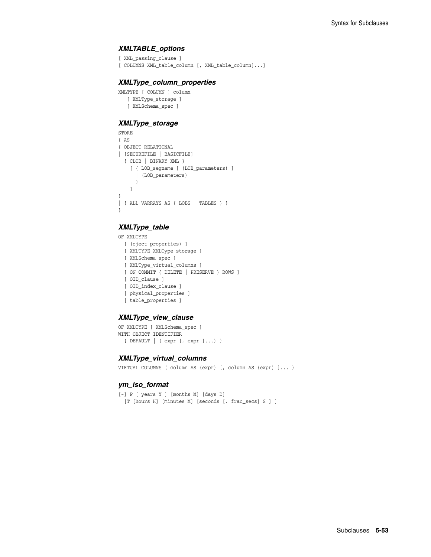#### *XMLTABLE\_options*

```
[ XML_passing_clause ]
```
[ COLUMNS XML\_table\_column [, XML\_table\_column]...]

#### *XMLType\_column\_properties*

```
XMLTYPE [ COLUMN ] column
   [ XMLType_storage ]
    [ XMLSchema_spec ]
```
# *XMLType\_storage*

```
STORE
{ AS
{ OBJECT RELATIONAL
| [SECUREFILE | BASICFILE]
   { CLOB | BINARY XML }
     [ { LOB_segname [ (LOB_parameters) ]
       | (LOB_parameters)
       }
     ]
}
| { ALL VARRAYS AS { LOBS | TABLES } }
}
```
# *XMLType\_table*

OF XMLTYPE

 [ (oject\_properties) ] [ XMLTYPE XMLType\_storage ] [ XMLSchema\_spec ] [ XMLType\_virtual\_columns ] [ ON COMMIT { DELETE | PRESERVE } ROWS ] [ OID\_clause ] [ OID\_index\_clause ] [ physical\_properties ] [ table\_properties ]

#### *XMLType\_view\_clause*

```
OF XMLTYPE [ XMLSchema_spec ]
WITH OBJECT IDENTIFIER
   { DEFAULT | ( expr [, expr ]...) }
```
#### *XMLType\_virtual\_columns*

VIRTUAL COLUMNS ( column AS (expr) [, column AS (expr) ]... )

#### *ym\_iso\_format*

```
[-] P [ years Y ] [months M] [days D]
  [T [hours H] [minutes M] [seconds [. frac_secs] S ] ]
```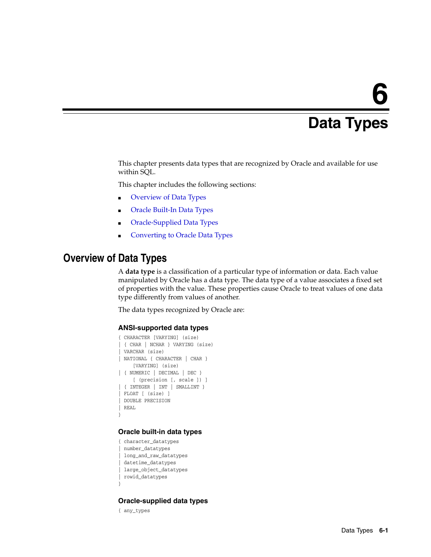# **6**

# <sup>6</sup> **Data Types**

This chapter presents data types that are recognized by Oracle and available for use within SQL.

This chapter includes the following sections:

- [Overview of Data Types](#page-106-0)
- [Oracle Built-In Data Types](#page-107-0)
- [Oracle-Supplied Data Types](#page-110-1)
- [Converting to Oracle Data Types](#page-110-0)

# <span id="page-106-0"></span>**Overview of Data Types**

A **data type** is a classification of a particular type of information or data. Each value manipulated by Oracle has a data type. The data type of a value associates a fixed set of properties with the value. These properties cause Oracle to treat values of one data type differently from values of another.

The data types recognized by Oracle are:

#### **ANSI-supported data types**

```
{ CHARACTER [VARYING] (size)
| { CHAR | NCHAR } VARYING (size)
| VARCHAR (size)
| NATIONAL { CHARACTER | CHAR }
     [VARYING] (size)
| { NUMERIC | DECIMAL | DEC }
     [ (precision [, scale ]) ]
| { INTEGER | INT | SMALLINT }
 FLOAT [ (size) ]
 | DOUBLE PRECISION
| REAL
}
```
# **Oracle built-in data types**

{ character\_datatypes | number\_datatypes | long\_and\_raw\_datatypes | datetime\_datatypes | large\_object\_datatypes | rowid\_datatypes

#### **Oracle-supplied data types**

{ any\_types

}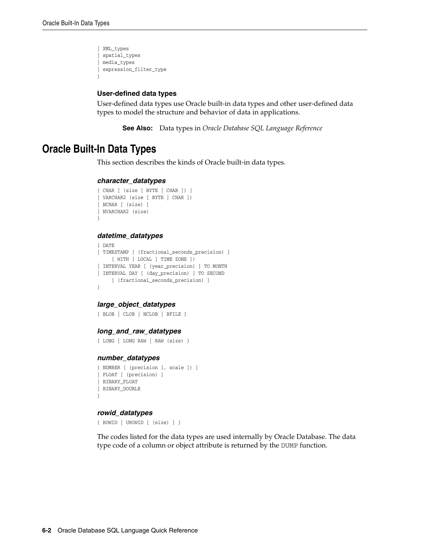```
| XML_types
 | spatial_types
| media_types
| expression_filter_type
}
```
#### **User-defined data types**

User-defined data types use Oracle built-in data types and other user-defined data types to model the structure and behavior of data in applications.

**See Also:** Data types in *Oracle Database SQL Language Reference*

# <span id="page-107-0"></span>**Oracle Built-In Data Types**

This section describes the kinds of Oracle built-in data types.

#### *character\_datatypes*

```
{ CHAR [ (size [ BYTE | CHAR ]) ]
| VARCHAR2 (size [ BYTE | CHAR ])
| NCHAR [ (size) ]
| NVARCHAR2 (size)
}
```
#### *datetime\_datatypes*

```
{ DATE
| TIMESTAMP [ (fractional_seconds_precision) ]
    [ WITH [ LOCAL ] TIME ZONE ])
| INTERVAL YEAR [ (year_precision) ] TO MONTH
| INTERVAL DAY [ (day_precision) ] TO SECOND
     [ (fractional_seconds_precision) ]
}
```
# *large\_object\_datatypes*

```
{ BLOB | CLOB | NCLOB | BFILE }
```
#### *long\_and\_raw\_datatypes*

```
{ LONG | LONG RAW | RAW (size) }
```
#### *number\_datatypes*

```
{ NUMBER [ (precision [, scale ]) ]
| FLOAT [ (precision) ]
| BINARY_FLOAT
| BINARY_DOUBLE
}
```
#### *rowid\_datatypes*

{ ROWID | UROWID [ (size) ] }

The codes listed for the data types are used internally by Oracle Database. The data type code of a column or object attribute is returned by the DUMP function.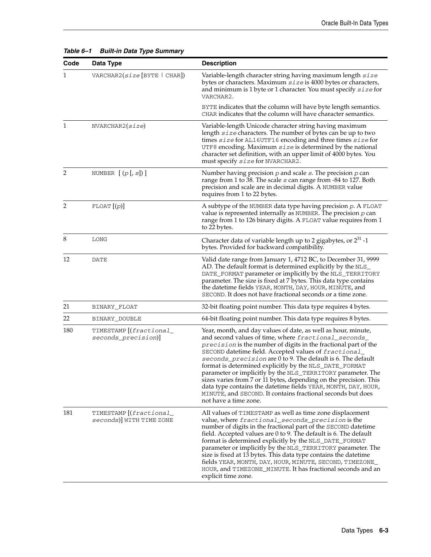| Code | Data Type                                           | <b>Description</b>                                                                                                                                                                                                                                                                                                                                                                                                                                                                                                                                                                                                                                                       |
|------|-----------------------------------------------------|--------------------------------------------------------------------------------------------------------------------------------------------------------------------------------------------------------------------------------------------------------------------------------------------------------------------------------------------------------------------------------------------------------------------------------------------------------------------------------------------------------------------------------------------------------------------------------------------------------------------------------------------------------------------------|
| 1    | VARCHAR2(size[BYTE   CHAR])                         | Variable-length character string having maximum length size<br>bytes or characters. Maximum size is 4000 bytes or characters,<br>and minimum is 1 byte or 1 character. You must specify $size$ for<br>VARCHAR2.                                                                                                                                                                                                                                                                                                                                                                                                                                                          |
|      |                                                     | BYTE indicates that the column will have byte length semantics.<br>CHAR indicates that the column will have character semantics.                                                                                                                                                                                                                                                                                                                                                                                                                                                                                                                                         |
| 1    | NVARCHAR2(size)                                     | Variable-length Unicode character string having maximum<br>length $size$ characters. The number of bytes can be up to two<br>times size for AL16UTF16 encoding and three times size for<br>UTF8 encoding. Maximum $size$ is determined by the national<br>character set definition, with an upper limit of 4000 bytes. You<br>must specify size for NVARCHAR2.                                                                                                                                                                                                                                                                                                           |
| 2    | NUMBER $[(p[, s])]$                                 | Number having precision $p$ and scale $s$ . The precision $p$ can<br>range from 1 to 38. The scale s can range from -84 to 127. Both<br>precision and scale are in decimal digits. A NUMBER value<br>requires from 1 to 22 bytes.                                                                                                                                                                                                                                                                                                                                                                                                                                        |
| 2    | FLOAT [(p)]                                         | A subtype of the NUMBER data type having precision $p$ . A FLOAT<br>value is represented internally as NUMBER. The precision $p$ can<br>range from 1 to 126 binary digits. A FLOAT value requires from 1<br>to 22 bytes.                                                                                                                                                                                                                                                                                                                                                                                                                                                 |
| 8    | <b>LONG</b>                                         | Character data of variable length up to 2 gigabytes, or $2^{31}$ -1<br>bytes. Provided for backward compatibility.                                                                                                                                                                                                                                                                                                                                                                                                                                                                                                                                                       |
| 12   | DATE                                                | Valid date range from January 1, 4712 BC, to December 31, 9999<br>AD. The default format is determined explicitly by the NLS_<br>DATE_FORMAT parameter or implicitly by the NLS_TERRITORY<br>parameter. The size is fixed at 7 bytes. This data type contains<br>the datetime fields YEAR, MONTH, DAY, HOUR, MINUTE, and<br>SECOND. It does not have fractional seconds or a time zone.                                                                                                                                                                                                                                                                                  |
| 21   | BINARY_FLOAT                                        | 32-bit floating point number. This data type requires 4 bytes.                                                                                                                                                                                                                                                                                                                                                                                                                                                                                                                                                                                                           |
| 22   | BINARY_DOUBLE                                       | 64-bit floating point number. This data type requires 8 bytes.                                                                                                                                                                                                                                                                                                                                                                                                                                                                                                                                                                                                           |
| 180  | TIMESTAMP [(fractional_<br>seconds_precision)]      | Year, month, and day values of date, as well as hour, minute,<br>and second values of time, where fractional_seconds_<br>precision is the number of digits in the fractional part of the<br>SECOND datetime field. Accepted values of fractional_<br>seconds_precision are 0 to 9. The default is 6. The default<br>format is determined explicitly by the NLS_DATE_FORMAT<br>parameter or implicitly by the NLS_TERRITORY parameter. The<br>sizes varies from 7 or 11 bytes, depending on the precision. This<br>data type contains the datetime fields YEAR, MONTH, DAY, HOUR,<br>MINUTE, and SECOND. It contains fractional seconds but does<br>not have a time zone. |
| 181  | TIMESTAMP [(fractional_<br>seconds)] WITH TIME ZONE | All values of TIMESTAMP as well as time zone displacement<br>value, where fractional_seconds_precision is the<br>number of digits in the fractional part of the SECOND datetime<br>field. Accepted values are 0 to 9. The default is 6. The default<br>format is determined explicitly by the NLS_DATE_FORMAT<br>parameter or implicitly by the NLS_TERRITORY parameter. The<br>size is fixed at 13 bytes. This data type contains the datetime<br>fields YEAR, MONTH, DAY, HOUR, MINUTE, SECOND, TIMEZONE<br>HOUR, and TIMEZONE_MINUTE. It has fractional seconds and an<br>explicit time zone.                                                                         |

#### *Table 6–1 Built-in Data Type Summary*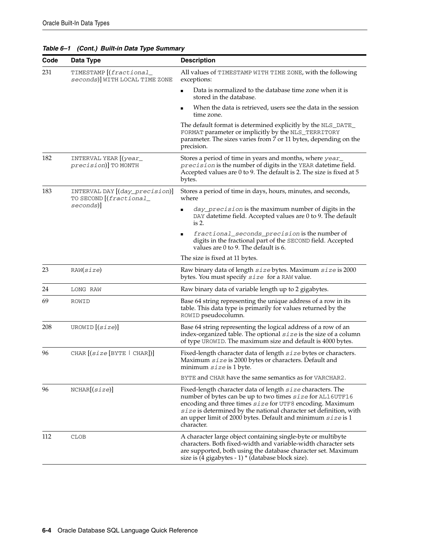| Code | Data Type                                                 | <b>Description</b>                                                                                                                                                                                                                                                                                                                      |
|------|-----------------------------------------------------------|-----------------------------------------------------------------------------------------------------------------------------------------------------------------------------------------------------------------------------------------------------------------------------------------------------------------------------------------|
| 231  | TIMESTAMP [(fractional_<br>seconds) WITH LOCAL TIME ZONE  | All values of TIMESTAMP WITH TIME ZONE, with the following<br>exceptions:                                                                                                                                                                                                                                                               |
|      |                                                           | Data is normalized to the database time zone when it is<br>stored in the database.                                                                                                                                                                                                                                                      |
|      |                                                           | When the data is retrieved, users see the data in the session<br>time zone.                                                                                                                                                                                                                                                             |
|      |                                                           | The default format is determined explicitly by the NLS_DATE_<br>FORMAT parameter or implicitly by the NLS_TERRITORY<br>parameter. The sizes varies from 7 or 11 bytes, depending on the<br>precision.                                                                                                                                   |
| 182  | INTERVAL YEAR [(year_<br>precision)] TO MONTH             | Stores a period of time in years and months, where year<br>precision is the number of digits in the YEAR datetime field.<br>Accepted values are 0 to 9. The default is 2. The size is fixed at 5<br>bytes.                                                                                                                              |
| 183  | INTERVAL DAY [(day_precision)]<br>TO SECOND [(fractional_ | Stores a period of time in days, hours, minutes, and seconds,<br>where                                                                                                                                                                                                                                                                  |
|      | seconds)]                                                 | <i>day_precision</i> is the maximum number of digits in the<br>$\blacksquare$<br>DAY datetime field. Accepted values are 0 to 9. The default<br>is 2.                                                                                                                                                                                   |
|      |                                                           | fractional_seconds_precision is the number of<br>$\blacksquare$<br>digits in the fractional part of the SECOND field. Accepted<br>values are 0 to 9. The default is 6.                                                                                                                                                                  |
|      |                                                           | The size is fixed at 11 bytes.                                                                                                                                                                                                                                                                                                          |
| 23   | RAW(size)                                                 | Raw binary data of length size bytes. Maximum size is 2000<br>bytes. You must specify size for a RAW value.                                                                                                                                                                                                                             |
| 24   | LONG RAW                                                  | Raw binary data of variable length up to 2 gigabytes.                                                                                                                                                                                                                                                                                   |
| 69   | ROWID                                                     | Base 64 string representing the unique address of a row in its<br>table. This data type is primarily for values returned by the<br>ROWID pseudocolumn.                                                                                                                                                                                  |
| 208  | UROWID $[(size)]$                                         | Base 64 string representing the logical address of a row of an<br>index-organized table. The optional $size$ is the size of a column<br>of type UROWID. The maximum size and default is 4000 bytes.                                                                                                                                     |
| 96   | CHAR $[(size [BYTE   CHAR])]$                             | Fixed-length character data of length size bytes or characters.<br>Maximum size is 2000 bytes or characters. Default and<br>minimum size is 1 byte.                                                                                                                                                                                     |
|      |                                                           | BYTE and CHAR have the same semantics as for VARCHAR2.                                                                                                                                                                                                                                                                                  |
| 96   | NCHAR[(size)]                                             | Fixed-length character data of length size characters. The<br>number of bytes can be up to two times size for AL16UTF16<br>encoding and three times size for UTF8 encoding. Maximum<br>size is determined by the national character set definition, with<br>an upper limit of 2000 bytes. Default and minimum $size$ is 1<br>character. |
| 112  | CLOB                                                      | A character large object containing single-byte or multibyte<br>characters. Both fixed-width and variable-width character sets<br>are supported, both using the database character set. Maximum<br>size is (4 gigabytes - 1) * (database block size).                                                                                   |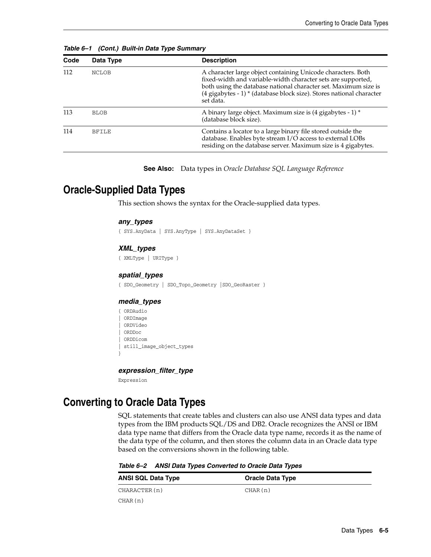| Code | Data Type    | <b>Description</b>                                                                                                                                                                                                                                                                   |
|------|--------------|--------------------------------------------------------------------------------------------------------------------------------------------------------------------------------------------------------------------------------------------------------------------------------------|
| 112  | <b>NCLOB</b> | A character large object containing Unicode characters. Both<br>fixed-width and variable-width character sets are supported,<br>both using the database national character set. Maximum size is<br>(4 gigabytes - 1) * (database block size). Stores national character<br>set data. |
| 113  | <b>BLOB</b>  | A binary large object. Maximum size is (4 gigabytes - 1) *<br>(database block size).                                                                                                                                                                                                 |
| 114  | <b>BFILE</b> | Contains a locator to a large binary file stored outside the<br>database. Enables byte stream I/O access to external LOBs<br>residing on the database server. Maximum size is 4 gigabytes.                                                                                           |

*Table 6–1 (Cont.) Built-in Data Type Summary*

<span id="page-110-3"></span>**See Also:** Data types in *Oracle Database SQL Language Reference*

# **Oracle-Supplied Data Types**

This section shows the syntax for the Oracle-supplied data types.

#### <span id="page-110-1"></span>*any\_types*

{ SYS.AnyData | SYS.AnyType | SYS.AnyDataSet }

#### <span id="page-110-7"></span>*XML\_types*

{ XMLType | URIType }

#### <span id="page-110-6"></span>*spatial\_types*

{ SDO\_Geometry | SDO\_Topo\_Geometry |SDO\_GeoRaster }

#### <span id="page-110-5"></span>*media\_types*

{ ORDAudio | ORDImage | ORDVideo | ORDDoc | ORDDicom | still\_image\_object\_types

#### <span id="page-110-4"></span>*expression\_filter\_type*

Expression

}

# <span id="page-110-2"></span>**Converting to Oracle Data Types**

<span id="page-110-0"></span>SQL statements that create tables and clusters can also use ANSI data types and data types from the IBM products SQL/DS and DB2. Oracle recognizes the ANSI or IBM data type name that differs from the Oracle data type name, records it as the name of the data type of the column, and then stores the column data in an Oracle data type based on the conversions shown in the following table.

*Table 6–2 ANSI Data Types Converted to Oracle Data Types*

| <b>ANSI SQL Data Type</b> | <b>Oracle Data Type</b> |
|---------------------------|-------------------------|
| CHARACTER(n)              | CHAR(n)                 |
| CHAR(n)                   |                         |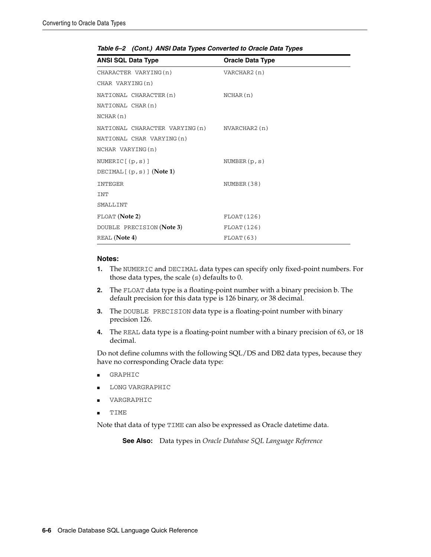| <b>ANSI SQL Data Type</b>                    | <b>Oracle Data Type</b> |
|----------------------------------------------|-------------------------|
| CHARACTER VARYING (n)                        | VARCHAR2 (n)            |
| CHAR VARYING (n)                             |                         |
| NATIONAL CHARACTER (n)                       | NCHAR(n)                |
| NATIONAL CHAR(n)                             |                         |
| NCHAR(n)                                     |                         |
| NATIONAL CHARACTER VARYING (n) NVARCHAR2 (n) |                         |
| NATIONAL CHAR VARYING (n)                    |                         |
| NCHAR VARYING (n)                            |                         |
| NUMERIC $[$ $(p, s)$ $]$                     | NUMBER $(p, s)$         |
| DECIMAL $[$ (p, s)] (Note 1)                 |                         |
| <b>INTEGER</b>                               | NUMBER (38)             |
| INT                                          |                         |
| SMALLINT                                     |                         |
| FLOAT (Note 2)                               | FLOAT (126)             |
| DOUBLE PRECISION (Note 3)                    | FLOAT(126)              |
| REAL (Note 4)                                | FLOAT(63)               |

*Table 6–2 (Cont.) ANSI Data Types Converted to Oracle Data Types*

#### **Notes:**

- **1.** The NUMERIC and DECIMAL data types can specify only fixed-point numbers. For those data types, the scale (s) defaults to 0.
- **2.** The FLOAT data type is a floating-point number with a binary precision b. The default precision for this data type is 126 binary, or 38 decimal.
- **3.** The DOUBLE PRECISION data type is a floating-point number with binary precision 126.
- **4.** The REAL data type is a floating-point number with a binary precision of 63, or 18 decimal.

<span id="page-111-1"></span><span id="page-111-0"></span>Do not define columns with the following SQL/DS and DB2 data types, because they have no corresponding Oracle data type:

- **GRAPHIC**
- LONG VARGRAPHIC
- VARGRAPHIC
- **TIME**

Note that data of type TIME can also be expressed as Oracle datetime data.

**See Also:** Data types in *Oracle Database SQL Language Reference*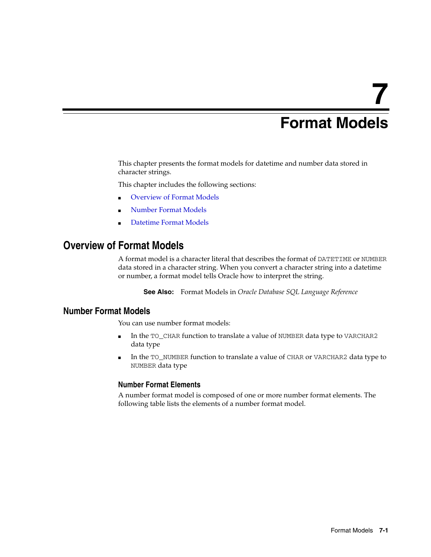# **7**

# <sup>7</sup> **Format Models**

This chapter presents the format models for datetime and number data stored in character strings.

This chapter includes the following sections:

- [Overview of Format Models](#page-112-0)
- [Number Format Models](#page-112-1)
- [Datetime Format Models](#page-114-0)

# <span id="page-112-2"></span><span id="page-112-0"></span>**Overview of Format Models**

A format model is a character literal that describes the format of DATETIME or NUMBER data stored in a character string. When you convert a character string into a datetime or number, a format model tells Oracle how to interpret the string.

**See Also:** Format Models in *Oracle Database SQL Language Reference*

# <span id="page-112-1"></span>**Number Format Models**

You can use number format models:

- In the TO\_CHAR function to translate a value of NUMBER data type to VARCHAR2 data type
- In the TO\_NUMBER function to translate a value of CHAR or VARCHAR2 data type to NUMBER data type

#### <span id="page-112-3"></span>**Number Format Elements**

A number format model is composed of one or more number format elements. The following table lists the elements of a number format model.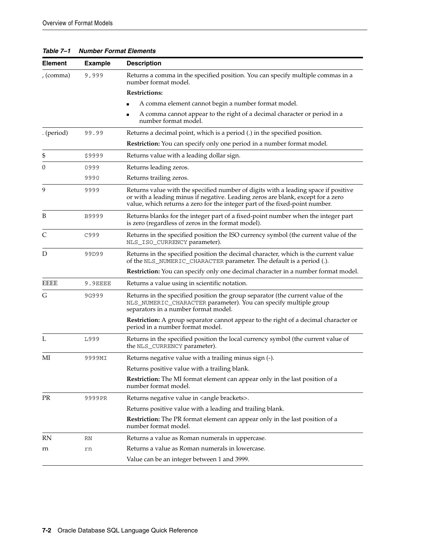*Table 7–1 Number Format Elements*

<span id="page-113-4"></span><span id="page-113-3"></span><span id="page-113-2"></span><span id="page-113-1"></span><span id="page-113-0"></span>

| <b>Element</b> | <b>Example</b> | <b>Description</b>                                                                                                                                                                                                                                   |
|----------------|----------------|------------------------------------------------------------------------------------------------------------------------------------------------------------------------------------------------------------------------------------------------------|
| , (comma)      | 9,999          | Returns a comma in the specified position. You can specify multiple commas in a<br>number format model.                                                                                                                                              |
|                |                | <b>Restrictions:</b>                                                                                                                                                                                                                                 |
|                |                | A comma element cannot begin a number format model.                                                                                                                                                                                                  |
|                |                | A comma cannot appear to the right of a decimal character or period in a<br>number format model.                                                                                                                                                     |
| . (period)     | 99.99          | Returns a decimal point, which is a period (.) in the specified position.                                                                                                                                                                            |
|                |                | Restriction: You can specify only one period in a number format model.                                                                                                                                                                               |
| \$             | \$9999         | Returns value with a leading dollar sign.                                                                                                                                                                                                            |
| 0              | 0999           | Returns leading zeros.                                                                                                                                                                                                                               |
|                | 9990           | Returns trailing zeros.                                                                                                                                                                                                                              |
| 9              | 9999           | Returns value with the specified number of digits with a leading space if positive<br>or with a leading minus if negative. Leading zeros are blank, except for a zero<br>value, which returns a zero for the integer part of the fixed-point number. |
| B              | B9999          | Returns blanks for the integer part of a fixed-point number when the integer part<br>is zero (regardless of zeros in the format model).                                                                                                              |
| C              | C999           | Returns in the specified position the ISO currency symbol (the current value of the<br>NLS_ISO_CURRENCY parameter).                                                                                                                                  |
| D              | 99D99          | Returns in the specified position the decimal character, which is the current value<br>of the NLS_NUMERIC_CHARACTER parameter. The default is a period (.).                                                                                          |
|                |                | Restriction: You can specify only one decimal character in a number format model.                                                                                                                                                                    |
| <b>EEEE</b>    | 9.9EEEE        | Returns a value using in scientific notation.                                                                                                                                                                                                        |
| G              | 9G999          | Returns in the specified position the group separator (the current value of the<br>NLS_NUMERIC_CHARACTER parameter). You can specify multiple group<br>separators in a number format model.                                                          |
|                |                | <b>Restriction:</b> A group separator cannot appear to the right of a decimal character or<br>period in a number format model.                                                                                                                       |
| L              | L999           | Returns in the specified position the local currency symbol (the current value of<br>the NLS_CURRENCY parameter).                                                                                                                                    |
| МІ             | 9999MI         | Returns negative value with a trailing minus sign (-).                                                                                                                                                                                               |
|                |                | Returns positive value with a trailing blank.                                                                                                                                                                                                        |
|                |                | <b>Restriction:</b> The MI format element can appear only in the last position of a<br>number format model.                                                                                                                                          |
| <b>PR</b>      | 9999PR         | Returns negative value in <angle brackets="">.</angle>                                                                                                                                                                                               |
|                |                | Returns positive value with a leading and trailing blank.                                                                                                                                                                                            |
|                |                | Restriction: The PR format element can appear only in the last position of a<br>number format model.                                                                                                                                                 |
| RN             | RN             | Returns a value as Roman numerals in uppercase.                                                                                                                                                                                                      |
| rn             | rn             | Returns a value as Roman numerals in lowercase.                                                                                                                                                                                                      |
|                |                | Value can be an integer between 1 and 3999.                                                                                                                                                                                                          |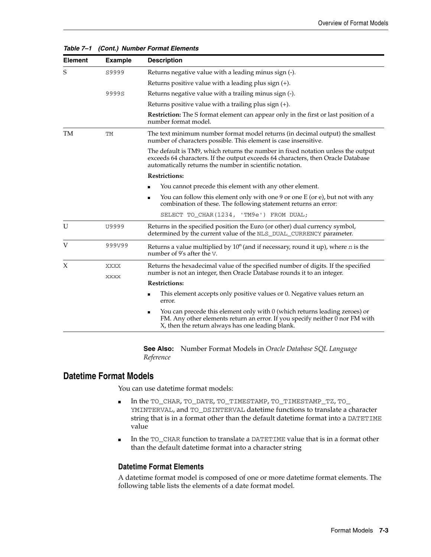| <b>Element</b> | <b>Example</b> | <b>Description</b>                                                                                                                                                                                                               |  |
|----------------|----------------|----------------------------------------------------------------------------------------------------------------------------------------------------------------------------------------------------------------------------------|--|
| S              | S9999          | Returns negative value with a leading minus sign (-).                                                                                                                                                                            |  |
|                |                | Returns positive value with a leading plus sign $(+)$ .                                                                                                                                                                          |  |
|                | 9999S          | Returns negative value with a trailing minus sign (-).                                                                                                                                                                           |  |
|                |                | Returns positive value with a trailing plus sign $(+)$ .                                                                                                                                                                         |  |
|                |                | <b>Restriction:</b> The S format element can appear only in the first or last position of a<br>number format model.                                                                                                              |  |
| <b>TM</b>      | TМ             | The text minimum number format model returns (in decimal output) the smallest<br>number of characters possible. This element is case insensitive.                                                                                |  |
|                |                | The default is TM9, which returns the number in fixed notation unless the output<br>exceeds 64 characters. If the output exceeds 64 characters, then Oracle Database<br>automatically returns the number in scientific notation. |  |
|                |                | <b>Restrictions:</b>                                                                                                                                                                                                             |  |
|                |                | You cannot precede this element with any other element.<br>$\blacksquare$                                                                                                                                                        |  |
|                |                | You can follow this element only with one 9 or one E (or e), but not with any<br>п<br>combination of these. The following statement returns an error:                                                                            |  |
|                |                | SELECT TO CHAR(1234, 'TM9e') FROM DUAL;                                                                                                                                                                                          |  |
| U              | U9999          | Returns in the specified position the Euro (or other) dual currency symbol,<br>determined by the current value of the NLS_DUAL_CURRENCY parameter.                                                                               |  |
| V              | 999V99         | Returns a value multiplied by $10^n$ (and if necessary, round it up), where <i>n</i> is the<br>number of 9's after the V.                                                                                                        |  |
| X              | <b>XXXX</b>    | Returns the hexadecimal value of the specified number of digits. If the specified                                                                                                                                                |  |
|                | <b>XXXX</b>    | number is not an integer, then Oracle Database rounds it to an integer.                                                                                                                                                          |  |
|                |                | <b>Restrictions:</b>                                                                                                                                                                                                             |  |
|                |                | This element accepts only positive values or 0. Negative values return an<br>п<br>error.                                                                                                                                         |  |
|                |                | You can precede this element only with 0 (which returns leading zeroes) or<br>$\blacksquare$<br>FM. Any other elements return an error. If you specify neither 0 nor FM with<br>X, then the return always has one leading blank. |  |

*Table 7–1 (Cont.) Number Format Elements*

<span id="page-114-1"></span>**See Also:** Number Format Models in *Oracle Database SQL Language Reference*

# <span id="page-114-3"></span><span id="page-114-2"></span><span id="page-114-0"></span>**Datetime Format Models**

You can use datetime format models:

- In the TO\_CHAR, TO\_DATE, TO\_TIMESTAMP, TO\_TIMESTAMP\_TZ, TO\_ YMINTERVAL, and TO\_DSINTERVAL datetime functions to translate a character string that is in a format other than the default datetime format into a DATETIME value
- In the TO\_CHAR function to translate a DATETIME value that is in a format other than the default datetime format into a character string

#### **Datetime Format Elements**

A datetime format model is composed of one or more datetime format elements. The following table lists the elements of a date format model.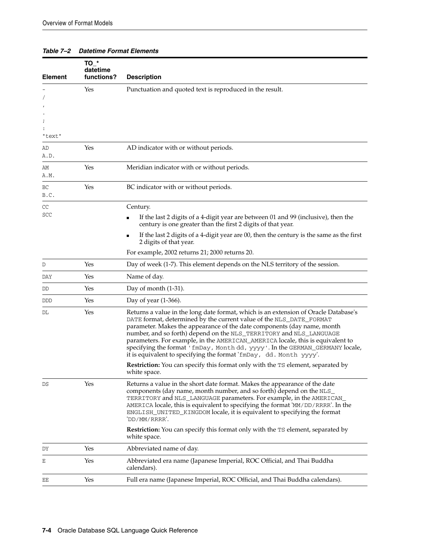#### *Table 7–2 Datetime Format Elements*

<span id="page-115-1"></span><span id="page-115-0"></span>

| <b>Element</b>       | $TO^*$<br>datetime<br>functions? | <b>Description</b>                                                                                                                                                                                                                                                                                                                                                                                                                                                                                                                                  |
|----------------------|----------------------------------|-----------------------------------------------------------------------------------------------------------------------------------------------------------------------------------------------------------------------------------------------------------------------------------------------------------------------------------------------------------------------------------------------------------------------------------------------------------------------------------------------------------------------------------------------------|
| ĭ                    | Yes                              | Punctuation and quoted text is reproduced in the result.                                                                                                                                                                                                                                                                                                                                                                                                                                                                                            |
| "text"<br>AD<br>A.D. | Yes                              | AD indicator with or without periods.                                                                                                                                                                                                                                                                                                                                                                                                                                                                                                               |
| AΜ<br>A.M.           | Yes                              | Meridian indicator with or without periods.                                                                                                                                                                                                                                                                                                                                                                                                                                                                                                         |
| BC<br>B.C.           | Yes                              | BC indicator with or without periods.                                                                                                                                                                                                                                                                                                                                                                                                                                                                                                               |
| CC<br>SCC            |                                  | Century.<br>If the last 2 digits of a 4-digit year are between 01 and 99 (inclusive), then the<br>century is one greater than the first 2 digits of that year.                                                                                                                                                                                                                                                                                                                                                                                      |
|                      |                                  | If the last 2 digits of a 4-digit year are 00, then the century is the same as the first<br>٠<br>2 digits of that year.                                                                                                                                                                                                                                                                                                                                                                                                                             |
|                      |                                  | For example, 2002 returns 21; 2000 returns 20.                                                                                                                                                                                                                                                                                                                                                                                                                                                                                                      |
| D                    | Yes                              | Day of week (1-7). This element depends on the NLS territory of the session.                                                                                                                                                                                                                                                                                                                                                                                                                                                                        |
| DAY                  | Yes                              | Name of day.                                                                                                                                                                                                                                                                                                                                                                                                                                                                                                                                        |
| DD                   | Yes                              | Day of month $(1-31)$ .                                                                                                                                                                                                                                                                                                                                                                                                                                                                                                                             |
| DDD                  | Yes                              | Day of year $(1-366)$ .                                                                                                                                                                                                                                                                                                                                                                                                                                                                                                                             |
| DL                   | Yes                              | Returns a value in the long date format, which is an extension of Oracle Database's<br>DATE format, determined by the current value of the NLS_DATE_FORMAT<br>parameter. Makes the appearance of the date components (day name, month<br>number, and so forth) depend on the NLS_TERRITORY and NLS_LANGUAGE<br>parameters. For example, in the AMERICAN_AMERICA locale, this is equivalent to<br>specifying the format 'fmDay, Month dd, yyyy'. In the GERMAN_GERMANY locale,<br>it is equivalent to specifying the format 'fmDay, dd. Month yyyy'. |
|                      |                                  | <b>Restriction:</b> You can specify this format only with the TS element, separated by<br>white space.                                                                                                                                                                                                                                                                                                                                                                                                                                              |
| DS                   | Yes                              | Returns a value in the short date format. Makes the appearance of the date<br>components (day name, month number, and so forth) depend on the NLS_<br>TERRITORY and NLS_LANGUAGE parameters. For example, in the AMERICAN_<br>AMERICA locale, this is equivalent to specifying the format 'MM/DD/RRRR'. In the<br>ENGLISH_UNITED_KINGDOM locale, it is equivalent to specifying the format<br>'DD/MM/RRRR'.                                                                                                                                         |
|                      |                                  | <b>Restriction:</b> You can specify this format only with the TS element, separated by<br>white space.                                                                                                                                                                                                                                                                                                                                                                                                                                              |
| DY                   | Yes                              | Abbreviated name of day.                                                                                                                                                                                                                                                                                                                                                                                                                                                                                                                            |
| Ε                    | Yes                              | Abbreviated era name (Japanese Imperial, ROC Official, and Thai Buddha<br>calendars).                                                                                                                                                                                                                                                                                                                                                                                                                                                               |
| EΕ                   | Yes                              | Full era name (Japanese Imperial, ROC Official, and Thai Buddha calendars).                                                                                                                                                                                                                                                                                                                                                                                                                                                                         |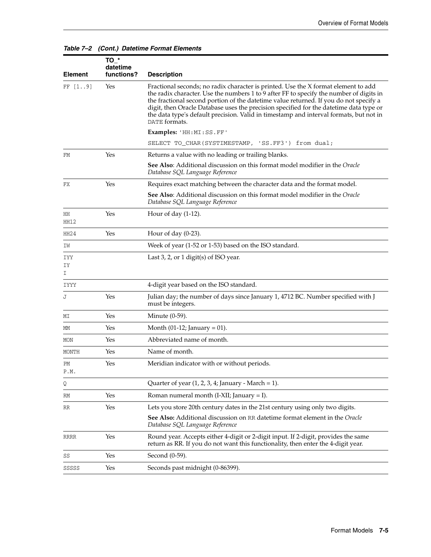|                        | $TO^*$<br>datetime |                                                                                                                                                                                                                                                                                                                                                                                                                                                                              |
|------------------------|--------------------|------------------------------------------------------------------------------------------------------------------------------------------------------------------------------------------------------------------------------------------------------------------------------------------------------------------------------------------------------------------------------------------------------------------------------------------------------------------------------|
| <b>Element</b>         | functions?         | <b>Description</b>                                                                                                                                                                                                                                                                                                                                                                                                                                                           |
| FF [19]                | Yes                | Fractional seconds; no radix character is printed. Use the X format element to add<br>the radix character. Use the numbers 1 to 9 after FF to specify the number of digits in<br>the fractional second portion of the date time value returned. If you do not specify a<br>digit, then Oracle Database uses the precision specified for the datetime data type or<br>the data type's default precision. Valid in timestamp and interval formats, but not in<br>DATE formats. |
|                        |                    | Examples: 'HH:MI:SS.FF'                                                                                                                                                                                                                                                                                                                                                                                                                                                      |
|                        |                    | SELECT TO_CHAR(SYSTIMESTAMP, 'SS.FF3') from dual;                                                                                                                                                                                                                                                                                                                                                                                                                            |
| FM                     | Yes                | Returns a value with no leading or trailing blanks.                                                                                                                                                                                                                                                                                                                                                                                                                          |
|                        |                    | See Also: Additional discussion on this format model modifier in the Oracle<br>Database SQL Language Reference                                                                                                                                                                                                                                                                                                                                                               |
| FX                     | Yes                | Requires exact matching between the character data and the format model.                                                                                                                                                                                                                                                                                                                                                                                                     |
|                        |                    | See Also: Additional discussion on this format model modifier in the Oracle<br>Database SQL Language Reference                                                                                                                                                                                                                                                                                                                                                               |
| HH<br>HH12             | Yes                | Hour of day $(1-12)$ .                                                                                                                                                                                                                                                                                                                                                                                                                                                       |
| HH24                   | Yes                | Hour of day $(0-23)$ .                                                                                                                                                                                                                                                                                                                                                                                                                                                       |
| IW                     |                    | Week of year (1-52 or 1-53) based on the ISO standard.                                                                                                                                                                                                                                                                                                                                                                                                                       |
| <b>IYY</b><br>IΥ<br>I. |                    | Last 3, 2, or 1 digit(s) of ISO year.                                                                                                                                                                                                                                                                                                                                                                                                                                        |
| <b>IYYY</b>            |                    | 4-digit year based on the ISO standard.                                                                                                                                                                                                                                                                                                                                                                                                                                      |
| J                      | Yes                | Julian day; the number of days since January 1, 4712 BC. Number specified with J<br>must be integers.                                                                                                                                                                                                                                                                                                                                                                        |
| MΙ                     | Yes                | Minute $(0-59)$ .                                                                                                                                                                                                                                                                                                                                                                                                                                                            |
| МM                     | Yes                | Month $(01-12)$ ; January = 01).                                                                                                                                                                                                                                                                                                                                                                                                                                             |
| MON                    | Yes                | Abbreviated name of month.                                                                                                                                                                                                                                                                                                                                                                                                                                                   |
| MONTH                  | Yes                | Name of month.                                                                                                                                                                                                                                                                                                                                                                                                                                                               |
| РM<br>P.M.             | Yes                | Meridian indicator with or without periods.                                                                                                                                                                                                                                                                                                                                                                                                                                  |
| Q                      |                    | Quarter of year $(1, 2, 3, 4)$ January - March = 1).                                                                                                                                                                                                                                                                                                                                                                                                                         |
| RM                     | Yes                | Roman numeral month $(I-XII; January = I)$ .                                                                                                                                                                                                                                                                                                                                                                                                                                 |
| RR                     | Yes                | Lets you store 20th century dates in the 21st century using only two digits.                                                                                                                                                                                                                                                                                                                                                                                                 |
|                        |                    | See Also: Additional discussion on RR datetime format element in the Oracle<br>Database SQL Language Reference                                                                                                                                                                                                                                                                                                                                                               |
| <b>RRRR</b>            | Yes                | Round year. Accepts either 4-digit or 2-digit input. If 2-digit, provides the same<br>return as RR. If you do not want this functionality, then enter the 4-digit year.                                                                                                                                                                                                                                                                                                      |
| SS                     | Yes                | Second (0-59).                                                                                                                                                                                                                                                                                                                                                                                                                                                               |
| SSSSS                  | Yes                | Seconds past midnight (0-86399).                                                                                                                                                                                                                                                                                                                                                                                                                                             |
|                        |                    |                                                                                                                                                                                                                                                                                                                                                                                                                                                                              |

#### *Table 7–2 (Cont.) Datetime Format Elements*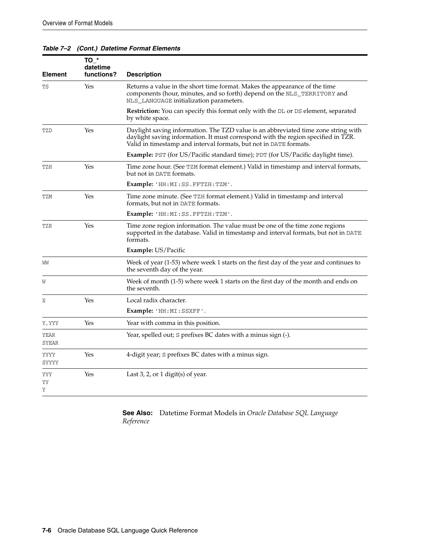<span id="page-117-1"></span><span id="page-117-0"></span>

| <b>Element</b> | $TO_+$<br>datetime<br>functions? | <b>Description</b>                                                                                                                                                                                                                           |
|----------------|----------------------------------|----------------------------------------------------------------------------------------------------------------------------------------------------------------------------------------------------------------------------------------------|
| TS             | Yes                              | Returns a value in the short time format. Makes the appearance of the time<br>components (hour, minutes, and so forth) depend on the NLS_TERRITORY and<br>NLS_LANGUAGE initialization parameters.                                            |
|                |                                  | Restriction: You can specify this format only with the DL or DS element, separated<br>by white space.                                                                                                                                        |
| TZD            | Yes                              | Daylight saving information. The TZD value is an abbreviated time zone string with<br>daylight saving information. It must correspond with the region specified in TZR.<br>Valid in timestamp and interval formats, but not in DATE formats. |
|                |                                  | Example: PST (for US/Pacific standard time); PDT (for US/Pacific daylight time).                                                                                                                                                             |
| TZH            | Yes                              | Time zone hour. (See TZM format element.) Valid in timestamp and interval formats,<br>but not in DATE formats.                                                                                                                               |
|                |                                  | Example: 'HH:MI:SS.FFTZH:TZM'.                                                                                                                                                                                                               |
| TZM            | Yes                              | Time zone minute. (See TZH format element.) Valid in timestamp and interval<br>formats, but not in DATE formats.                                                                                                                             |
|                |                                  | <b>Example:</b> 'HH:MI:SS.FFTZH:TZM'.                                                                                                                                                                                                        |
| TZR            | Yes                              | Time zone region information. The value must be one of the time zone regions<br>supported in the database. Valid in timestamp and interval formats, but not in DATE<br>formats.                                                              |
|                |                                  | <b>Example:</b> US/Pacific                                                                                                                                                                                                                   |
| WW             |                                  | Week of year (1-53) where week 1 starts on the first day of the year and continues to<br>the seventh day of the year.                                                                                                                        |
| W              |                                  | Week of month (1-5) where week 1 starts on the first day of the month and ends on<br>the seventh.                                                                                                                                            |
| Χ              | Yes                              | Local radix character.                                                                                                                                                                                                                       |
|                |                                  | Example: 'HH: MI: SSXFF'.                                                                                                                                                                                                                    |
| Y, YYY         | Yes                              | Year with comma in this position.                                                                                                                                                                                                            |
| YEAR<br>SYEAR  |                                  | Year, spelled out; S prefixes BC dates with a minus sign (-).                                                                                                                                                                                |
| YYYY<br>SYYYY  | Yes                              | 4-digit year; S prefixes BC dates with a minus sign.                                                                                                                                                                                         |
| YYY<br>YY<br>Υ | Yes                              | Last $3$ , $2$ , or $1$ digit(s) of year.                                                                                                                                                                                                    |

#### *Table 7–2 (Cont.) Datetime Format Elements*

**See Also:** Datetime Format Models in *Oracle Database SQL Language Reference*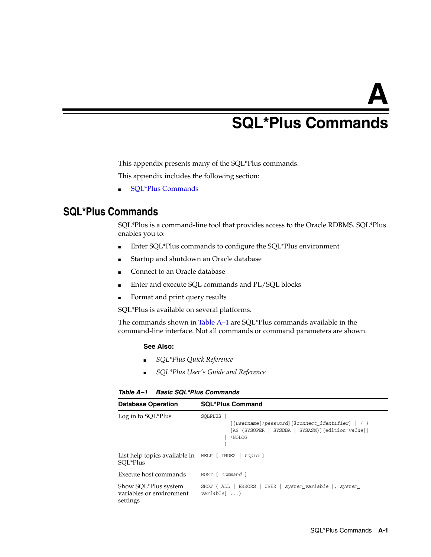# **A**

# <span id="page-118-4"></span><sup>A</sup> **SQL\*Plus Commands**

This appendix presents many of the SQL\*Plus commands.

This appendix includes the following section:

■ [SQL\\*Plus Commands](#page-118-0)

# <span id="page-118-0"></span>**SQL\*Plus Commands**

SQL\*Plus is a command-line tool that provides access to the Oracle RDBMS. SQL\*Plus enables you to:

- Enter SQL\*Plus commands to configure the SQL\*Plus environment
- Startup and shutdown an Oracle database
- Connect to an Oracle database
- Enter and execute SQL commands and PL/SQL blocks
- Format and print query results

SQL\*Plus is available on several platforms.

The commands shown in Table A–1 are SQL\*Plus commands available in the command-line interface. Not all commands or command parameters are shown.

#### **See Also:**

- *SQL\*Plus Quick Reference*
- *SQL\*Plus User's Guide and Reference*

#### *Table A–1 Basic SQL\*Plus Commands*

<span id="page-118-5"></span><span id="page-118-3"></span><span id="page-118-2"></span><span id="page-118-1"></span>

| <b>Database Operation</b>                                        | <b>SQL*Plus Command</b>                                                                                                           |
|------------------------------------------------------------------|-----------------------------------------------------------------------------------------------------------------------------------|
| Log in to SQL*Plus                                               | SOLPLUS [<br>$[$ {username[/password][@connect_identifier]   / }<br>SYSDBA   SYSASM}][edition=value]]<br>[AS {SYSOPER  <br>/NOLOG |
| List help topics available in HELP [ INDEX   topic ]<br>SOL*Plus |                                                                                                                                   |
| Execute host commands                                            | HOST [ command ]                                                                                                                  |
| Show SQL*Plus system<br>variables or environment<br>settings     | SHOW { ALL   ERRORS   USER   system_variable [, system_<br>$variable$ $\ldots$ }                                                  |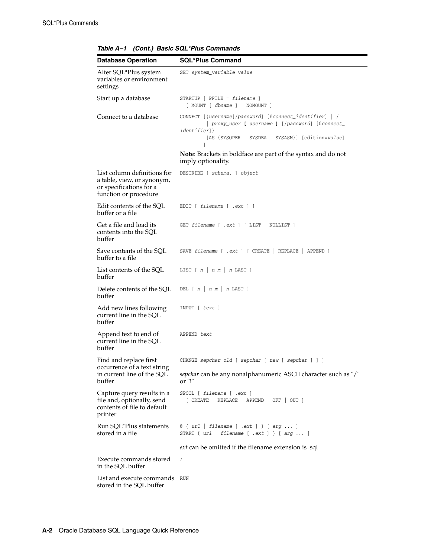<span id="page-119-15"></span><span id="page-119-14"></span><span id="page-119-13"></span><span id="page-119-12"></span><span id="page-119-11"></span><span id="page-119-10"></span><span id="page-119-9"></span><span id="page-119-8"></span><span id="page-119-7"></span><span id="page-119-6"></span><span id="page-119-5"></span><span id="page-119-4"></span><span id="page-119-3"></span><span id="page-119-2"></span><span id="page-119-1"></span><span id="page-119-0"></span>

| <b>Database Operation</b>                                                                                     | <b>SQL*Plus Command</b>                                                                                                                                                                      |
|---------------------------------------------------------------------------------------------------------------|----------------------------------------------------------------------------------------------------------------------------------------------------------------------------------------------|
| Alter SQL*Plus system<br>variables or environment<br>settings                                                 | SET system_variable value                                                                                                                                                                    |
| Start up a database                                                                                           | $STATE = filename$ ]<br>$[$ MOUNT $[$ dbname $]$ $ $ NOMOUNT $]$                                                                                                                             |
| Connect to a database                                                                                         | CONNECT [{username[/password] [@connect_identifier]   /<br>  proxy_user [ username ] [/password] [@connect_<br><i>identifier</i> ]}<br>[AS {SYSOPER   SYSDBA   SYSASM}] [edition=value]<br>1 |
|                                                                                                               | <b>Note:</b> Brackets in boldface are part of the syntax and do not<br>imply optionality.                                                                                                    |
| List column definitions for<br>a table, view, or synonym,<br>or specifications for a<br>function or procedure | DESCRIBE [ schema. ] object                                                                                                                                                                  |
| Edit contents of the SQL<br>buffer or a file                                                                  | EDIT $[$ filename $[$ .ext $]$ $]$                                                                                                                                                           |
| Get a file and load its<br>contents into the SQL<br>buffer                                                    | GET filename [ .ext ] [ LIST   NOLLIST ]                                                                                                                                                     |
| Save contents of the SQL<br>buffer to a file                                                                  | SAVE filename [ .ext ] [ CREATE   REPLACE   APPEND ]                                                                                                                                         |
| List contents of the SQL<br>buffer                                                                            | LIST $[n \mid n \mid n \text{ LAST } ]$                                                                                                                                                      |
| Delete contents of the SQL<br>buffer                                                                          | DEL $[n \mid n \mid n \mid n$ LAST ]                                                                                                                                                         |
| Add new lines following<br>current line in the SQL<br>buffer                                                  | INPUT [ text ]                                                                                                                                                                               |
| Append text to end of<br>current line in the SQL<br>buffer                                                    | APPEND text                                                                                                                                                                                  |
| Find and replace first<br>occurrence of a text string<br>in current line of the SQL<br>buffer                 | CHANGE sepchar old [ sepchar [ new [ sepchar ] ] ]                                                                                                                                           |
|                                                                                                               | sepchar can be any nonalphanumeric ASCII character such as "/"<br>or "!"                                                                                                                     |
| Capture query results in a<br>file and, optionally, send<br>contents of file to default<br>printer            | SPOOL [ filename [ .ext ]<br>[ CREATE   REPLACE   APPEND   OFF   OUT ]                                                                                                                       |
| Run SQL*Plus statements<br>stored in a file                                                                   | $\&$ { $url$   filename [ .ext ] } [ arg  ]<br>START { $url$   filename [ .ext ] } [ arg  ]                                                                                                  |
|                                                                                                               | ext can be omitted if the filename extension is .sql                                                                                                                                         |
| Execute commands stored<br>in the SQL buffer                                                                  | $\sqrt{2}$                                                                                                                                                                                   |
| List and execute commands<br>stored in the SQL buffer                                                         | RUN                                                                                                                                                                                          |

*Table A–1 (Cont.) Basic SQL\*Plus Commands*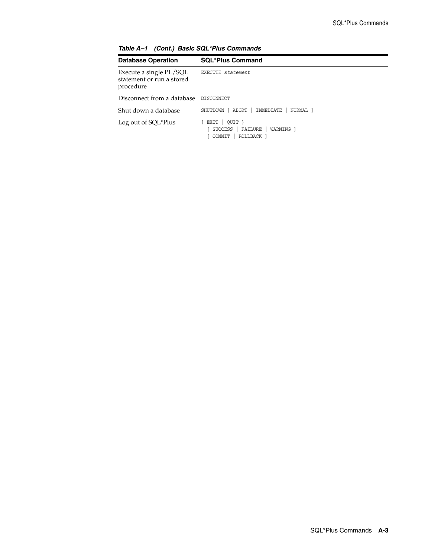<span id="page-120-3"></span><span id="page-120-2"></span><span id="page-120-1"></span><span id="page-120-0"></span>

| <b>Database Operation</b>                                         | <b>SQL*Plus Command</b>                                                            |
|-------------------------------------------------------------------|------------------------------------------------------------------------------------|
| Execute a single PL/SQL<br>statement or run a stored<br>procedure | EXECUTE statement                                                                  |
| Disconnect from a database DISCONNECT                             |                                                                                    |
| Shut down a database                                              | IMMEDIATE<br>SHUTDOWN [ ABORT<br>NORMAL <sub>1</sub>                               |
| Log out of SQL*Plus                                               | OUIT }<br>EXIT<br><b>SUCCESS</b><br>FAILURE<br>WARNING 1<br>[ COMMIT<br>ROLLBACK 1 |

*Table A–1 (Cont.) Basic SQL\*Plus Commands*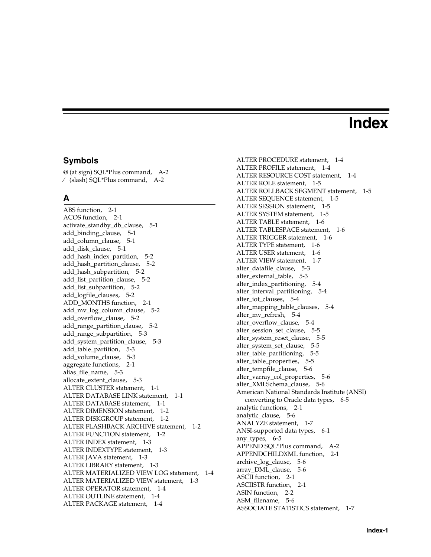# **Index**

#### **Symbols**

[@ \(at sign\) SQL\\*Plus command, A-2](#page-119-0) ⁄ [\(slash\) SQL\\*Plus command, A-2](#page-119-1)

### **A**

[ABS function, 2-1](#page-24-0) [ACOS function, 2-1](#page-24-1) [activate\\_standby\\_db\\_clause, 5-1](#page-52-0) [add\\_binding\\_clause, 5-1](#page-52-1) [add\\_column\\_clause, 5-1](#page-52-2) [add\\_disk\\_clause, 5-1](#page-52-3) [add\\_hash\\_index\\_partition, 5-2](#page-53-0) [add\\_hash\\_partition\\_clause, 5-2](#page-53-1) [add\\_hash\\_subpartition, 5-2](#page-53-2) [add\\_list\\_partition\\_clause, 5-2](#page-53-3) [add\\_list\\_subpartition, 5-2](#page-53-4) [add\\_logfile\\_clauses, 5-2](#page-53-5) [ADD\\_MONTHS function, 2-1](#page-24-2) [add\\_mv\\_log\\_column\\_clause, 5-2](#page-53-6) [add\\_overflow\\_clause, 5-2](#page-53-7) [add\\_range\\_partition\\_clause, 5-2](#page-53-8) [add\\_range\\_subpartition, 5-3](#page-54-0) [add\\_system\\_partition\\_clause, 5-3](#page-54-1) [add\\_table\\_partition, 5-3](#page-54-2) [add\\_volume\\_clause, 5-3](#page-54-3) [aggregate functions, 2-1](#page-24-3) [alias\\_file\\_name, 5-3](#page-54-4) [allocate\\_extent\\_clause, 5-3](#page-54-5) [ALTER CLUSTER statement, 1-1](#page-6-0) [ALTER DATABASE LINK statement, 1-1](#page-6-1) [ALTER DATABASE statement, 1-1](#page-6-2) [ALTER DIMENSION statement, 1-2](#page-7-0) [ALTER DISKGROUP statement, 1-2](#page-7-1) [ALTER FLASHBACK ARCHIVE statement, 1-2](#page-7-2) [ALTER FUNCTION statement, 1-2](#page-7-3) [ALTER INDEX statement, 1-3](#page-8-0) [ALTER INDEXTYPE statement, 1-3](#page-8-1) [ALTER JAVA statement, 1-3](#page-8-2) [ALTER LIBRARY statement, 1-3](#page-8-3) [ALTER MATERIALIZED VIEW LOG statement, 1-4](#page-9-0) [ALTER MATERIALIZED VIEW statement, 1-3](#page-8-4) [ALTER OPERATOR statement, 1-4](#page-9-1) [ALTER OUTLINE statement, 1-4](#page-9-2) [ALTER PACKAGE statement, 1-4](#page-9-3)

[ALTER PROCEDURE statement, 1-4](#page-9-4) [ALTER PROFILE statement, 1-4](#page-9-5) [ALTER RESOURCE COST statement, 1-4](#page-9-6) [ALTER ROLE statement, 1-5](#page-10-0) [ALTER ROLLBACK SEGMENT statement, 1-5](#page-10-1) [ALTER SEQUENCE statement, 1-5](#page-10-2) [ALTER SESSION statement, 1-5](#page-10-3) [ALTER SYSTEM statement, 1-5](#page-10-4) [ALTER TABLE statement, 1-6](#page-11-0) [ALTER TABLESPACE statement, 1-6](#page-11-1) [ALTER TRIGGER statement, 1-6](#page-11-2) [ALTER TYPE statement, 1-6](#page-11-3) [ALTER USER statement, 1-6](#page-11-4) [ALTER VIEW statement, 1-7](#page-12-0) [alter\\_datafile\\_clause, 5-3](#page-54-6) [alter\\_external\\_table, 5-3](#page-54-7) [alter\\_index\\_partitioning, 5-4](#page-55-0) [alter\\_interval\\_partitioning, 5-4](#page-55-1) [alter\\_iot\\_clauses, 5-4](#page-55-2) [alter\\_mapping\\_table\\_clauses, 5-4](#page-55-3) [alter\\_mv\\_refresh, 5-4](#page-55-4) alter overflow clause, 5-4 [alter\\_session\\_set\\_clause, 5-5](#page-56-0) [alter\\_system\\_reset\\_clause, 5-5](#page-56-1) [alter\\_system\\_set\\_clause, 5-5](#page-56-2) [alter\\_table\\_partitioning, 5-5](#page-56-3) [alter\\_table\\_properties, 5-5](#page-56-4) [alter\\_tempfile\\_clause, 5-6](#page-57-0) [alter\\_varray\\_col\\_properties, 5-6](#page-57-1) [alter\\_XMLSchema\\_clause, 5-6](#page-57-2) American National Standards Institute (ANSI) [converting to Oracle data types, 6-5](#page-110-0) [analytic functions, 2-1](#page-24-4) analytic clause, 5-6 [ANALYZE statement, 1-7](#page-12-1) [ANSI-supported data types, 6-1](#page-106-0) [any\\_types, 6-5](#page-110-1) [APPEND SQL\\*Plus command, A-2](#page-119-2) [APPENDCHILDXML function, 2-1](#page-24-5) [archive\\_log\\_clause, 5-6](#page-57-4) [array\\_DML\\_clause, 5-6](#page-57-5) [ASCII function, 2-1](#page-24-6) [ASCIISTR function, 2-1](#page-24-7) [ASIN function, 2-2](#page-25-0) [ASM\\_filename, 5-6](#page-57-6) [ASSOCIATE STATISTICS statement, 1-7](#page-12-2)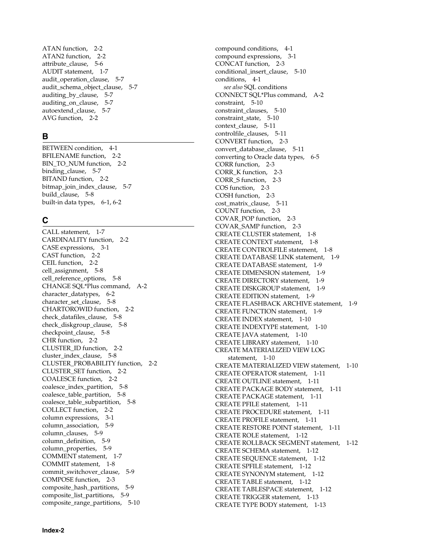[ATAN function, 2-2](#page-25-1) [ATAN2 function, 2-2](#page-25-2) [attribute\\_clause, 5-6](#page-57-7) [AUDIT statement, 1-7](#page-12-3) [audit\\_operation\\_clause, 5-7](#page-58-0) audit schema object clause, 5-7 [auditing\\_by\\_clause, 5-7](#page-58-2) [auditing\\_on\\_clause, 5-7](#page-58-3) [autoextend\\_clause, 5-7](#page-58-4) [AVG function, 2-2](#page-25-3)

# **B**

[BETWEEN condition, 4-1](#page-48-0) [BFILENAME function, 2-2](#page-25-4) [BIN\\_TO\\_NUM function, 2-2](#page-25-5) [binding\\_clause, 5-7](#page-58-5) [BITAND function, 2-2](#page-25-6) [bitmap\\_join\\_index\\_clause, 5-7](#page-58-6) [build\\_clause, 5-8](#page-59-0) [built-in data types, 6-1,](#page-106-1) [6-2](#page-107-0)

# **C**

[CALL statement, 1-7](#page-12-4) [CARDINALITY function, 2-2](#page-25-7) [CASE expressions, 3-1](#page-44-0) [CAST function, 2-2](#page-25-8) [CEIL function, 2-2](#page-25-9) [cell\\_assignment, 5-8](#page-59-1) [cell\\_reference\\_options, 5-8](#page-59-2) [CHANGE SQL\\*Plus command, A-2](#page-119-3) [character\\_datatypes, 6-2](#page-107-1) [character\\_set\\_clause, 5-8](#page-59-3) [CHARTOROWID function, 2-2](#page-25-10) [check\\_datafiles\\_clause, 5-8](#page-59-4) [check\\_diskgroup\\_clause, 5-8](#page-59-5) [checkpoint\\_clause, 5-8](#page-59-6) [CHR function, 2-2](#page-25-11) [CLUSTER\\_ID function, 2-2](#page-25-12) [cluster\\_index\\_clause, 5-8](#page-59-7) [CLUSTER\\_PROBABILITY function, 2-2](#page-25-13) [CLUSTER\\_SET function, 2-2](#page-25-14) [COALESCE function, 2-2](#page-25-15) [coalesce\\_index\\_partition, 5-8](#page-59-8) [coalesce\\_table\\_partition, 5-8](#page-59-9) [coalesce\\_table\\_subpartition, 5-8](#page-59-10) [COLLECT function, 2-2](#page-25-16) [column expressions, 3-1](#page-44-1) [column\\_association, 5-9](#page-60-0) [column\\_clauses, 5-9](#page-60-1) [column\\_definition, 5-9](#page-60-2) [column\\_properties, 5-9](#page-60-3) [COMMENT statement, 1-7](#page-12-5) [COMMIT statement, 1-8](#page-13-0) [commit\\_switchover\\_clause, 5-9](#page-60-4) [COMPOSE function, 2-3](#page-26-0) [composite\\_hash\\_partitions, 5-9](#page-60-5) [composite\\_list\\_partitions, 5-9](#page-60-6) [composite\\_range\\_partitions, 5-10](#page-61-0)

[compound conditions, 4-1](#page-48-1) [compound expressions, 3-1](#page-44-2) [CONCAT function, 2-3](#page-26-1) [conditional\\_insert\\_clause, 5-10](#page-61-1) [conditions, 4-1](#page-48-2) *[see also](#page-48-2)* SQL conditions [CONNECT SQL\\*Plus command, A-2](#page-119-4) [constraint, 5-10](#page-61-2) [constraint\\_clauses, 5-10](#page-61-3) [constraint\\_state, 5-10](#page-61-4) [context\\_clause, 5-11](#page-62-0) [controlfile\\_clauses, 5-11](#page-62-1) [CONVERT function, 2-3](#page-26-2) [convert\\_database\\_clause, 5-11](#page-62-2) [converting to Oracle data types, 6-5](#page-110-2) [CORR function, 2-3](#page-26-3) [CORR\\_K function, 2-3](#page-26-4) [CORR\\_S function, 2-3](#page-26-5) [COS function, 2-3](#page-26-6) [COSH function, 2-3](#page-26-7) [cost\\_matrix\\_clause, 5-11](#page-62-3) [COUNT function, 2-3](#page-26-8) [COVAR\\_POP function, 2-3](#page-26-9) [COVAR\\_SAMP function, 2-3](#page-26-10) [CREATE CLUSTER statement, 1-8](#page-13-1) [CREATE CONTEXT statement, 1-8](#page-13-2) [CREATE CONTROLFILE statement, 1-8](#page-13-3) [CREATE DATABASE LINK statement, 1-9](#page-14-0) [CREATE DATABASE statement, 1-9](#page-14-1) [CREATE DIMENSION statement, 1-9](#page-14-2) [CREATE DIRECTORY statement, 1-9](#page-14-3) [CREATE DISKGROUP statement, 1-9](#page-14-4) [CREATE EDITION statement, 1-9](#page-14-5) [CREATE FLASHBACK ARCHIVE statement, 1-9](#page-14-6) [CREATE FUNCTION statement, 1-9](#page-14-7) [CREATE INDEX statement, 1-10](#page-15-0) [CREATE INDEXTYPE statement, 1-10](#page-15-1) [CREATE JAVA statement, 1-10](#page-15-2) [CREATE LIBRARY statement, 1-10](#page-15-3) [CREATE MATERIALIZED VIEW LOG](#page-15-4)  statement, 1-10 [CREATE MATERIALIZED VIEW statement, 1-10](#page-15-5) [CREATE OPERATOR statement, 1-11](#page-16-0) [CREATE OUTLINE statement, 1-11](#page-16-1) [CREATE PACKAGE BODY statement, 1-11](#page-16-2) [CREATE PACKAGE statement, 1-11](#page-16-3) [CREATE PFILE statement, 1-11](#page-16-4) [CREATE PROCEDURE statement, 1-11](#page-16-5) [CREATE PROFILE statement, 1-11](#page-16-6) [CREATE RESTORE POINT statement, 1-11](#page-16-7) [CREATE ROLE statement, 1-12](#page-17-0) [CREATE ROLLBACK SEGMENT statement, 1-12](#page-17-1) [CREATE SCHEMA statement, 1-12](#page-17-2) [CREATE SEQUENCE statement, 1-12](#page-17-3) [CREATE SPFILE statement, 1-12](#page-17-4) [CREATE SYNONYM statement, 1-12](#page-17-5) [CREATE TABLE statement, 1-12](#page-17-6) [CREATE TABLESPACE statement, 1-12](#page-17-7) [CREATE TRIGGER statement, 1-13](#page-18-0) [CREATE TYPE BODY statement, 1-13](#page-18-1)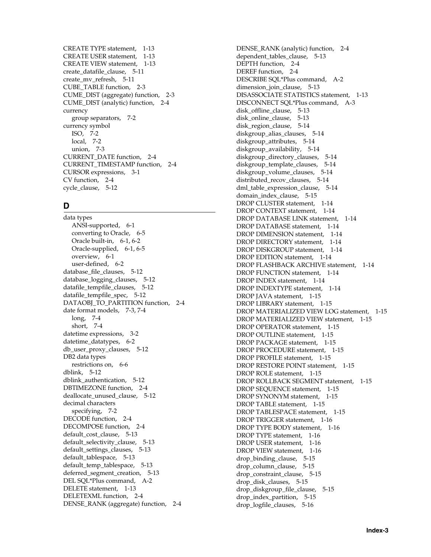[CREATE TYPE statement, 1-13](#page-18-2) [CREATE USER statement, 1-13](#page-18-3) [CREATE VIEW statement, 1-13](#page-18-4) [create\\_datafile\\_clause, 5-11](#page-62-4) [create\\_mv\\_refresh, 5-11](#page-62-5) [CUBE\\_TABLE function, 2-3](#page-26-11) [CUME\\_DIST \(aggregate\) function, 2-3](#page-26-12) [CUME\\_DIST \(analytic\) function, 2-4](#page-27-0) currency [group separators, 7-2](#page-113-0) currency symbol [ISO, 7-2](#page-113-1) [local, 7-2](#page-113-2) [union, 7-3](#page-114-1) [CURRENT\\_DATE function, 2-4](#page-27-1) [CURRENT\\_TIMESTAMP function, 2-4](#page-27-2) [CURSOR expressions, 3-1](#page-44-3) [CV function, 2-4](#page-27-3) [cycle\\_clause, 5-12](#page-63-0)

# **D**

data types [ANSI-supported, 6-1](#page-106-0) [converting to Oracle, 6-5](#page-110-2) [Oracle built-in, 6-1,](#page-106-1) [6-2](#page-107-0) [Oracle-supplied, 6-1,](#page-106-2) [6-5](#page-110-3) [overview, 6-1](#page-106-3) [user-defined, 6-2](#page-107-2) database file clauses, 5-12 [database\\_logging\\_clauses, 5-12](#page-63-2) [datafile\\_tempfile\\_clauses, 5-12](#page-63-3) [datafile\\_tempfile\\_spec, 5-12](#page-63-4) [DATAOBJ\\_TO\\_PARTITION function, 2-4](#page-27-4) [date format models, 7-3,](#page-114-2) [7-4](#page-115-0) [long, 7-4](#page-115-0) [short, 7-4](#page-115-1) [datetime expressions, 3-2](#page-45-0) [datetime\\_datatypes, 6-2](#page-107-3) [db\\_user\\_proxy\\_clauses, 5-12](#page-63-5) DB2 data types [restrictions on, 6-6](#page-111-0) [dblink, 5-12](#page-63-6) [dblink\\_authentication, 5-12](#page-63-7) [DBTIMEZONE function, 2-4](#page-27-5) [deallocate\\_unused\\_clause, 5-12](#page-63-8) decimal characters [specifying, 7-2](#page-113-3) [DECODE function, 2-4](#page-27-6) [DECOMPOSE function, 2-4](#page-27-7) default cost clause, 5-13 [default\\_selectivity\\_clause, 5-13](#page-64-1) [default\\_settings\\_clauses, 5-13](#page-64-2) [default\\_tablespace, 5-13](#page-64-3) [default\\_temp\\_tablespace, 5-13](#page-64-4) [deferred\\_segment\\_creation, 5-13](#page-64-5) [DEL SQL\\*Plus command, A-2](#page-119-5) [DELETE statement, 1-13](#page-18-5) [DELETEXML function, 2-4](#page-27-8) [DENSE\\_RANK \(aggregate\) function, 2-4](#page-27-9)

[DENSE\\_RANK \(analytic\) function, 2-4](#page-27-10) [dependent\\_tables\\_clause, 5-13](#page-64-6) [DEPTH function, 2-4](#page-27-11) [DEREF function, 2-4](#page-27-12) [DESCRIBE SQL\\*Plus command, A-2](#page-119-6) dimension join clause, 5-13 [DISASSOCIATE STATISTICS statement, 1-13](#page-18-6) [DISCONNECT SQL\\*Plus command, A-3](#page-120-0) [disk\\_offline\\_clause, 5-13](#page-64-8) [disk\\_online\\_clause, 5-13](#page-64-9) [disk\\_region\\_clause, 5-14](#page-65-0) diskgroup alias clauses, 5-14 [diskgroup\\_attributes, 5-14](#page-65-2) [diskgroup\\_availability, 5-14](#page-65-3) [diskgroup\\_directory\\_clauses, 5-14](#page-65-4) [diskgroup\\_template\\_clauses, 5-14](#page-65-5) [diskgroup\\_volume\\_clauses, 5-14](#page-65-6) distributed recov clauses, 5-14 [dml\\_table\\_expression\\_clause, 5-14](#page-65-8) [domain\\_index\\_clause, 5-15](#page-66-0) [DROP CLUSTER statement, 1-14](#page-19-0) [DROP CONTEXT statement, 1-14](#page-19-1) [DROP DATABASE LINK statement, 1-14](#page-19-2) [DROP DATABASE statement, 1-14](#page-19-3) [DROP DIMENSION statement, 1-14](#page-19-4) [DROP DIRECTORY statement, 1-14](#page-19-5) [DROP DISKGROUP statement, 1-14](#page-19-6) [DROP EDITION statement, 1-14](#page-19-7) [DROP FLASHBACK ARCHIVE statement, 1-14](#page-19-8) [DROP FUNCTION statement, 1-14](#page-19-9) [DROP INDEX statement, 1-14](#page-19-10) [DROP INDEXTYPE statement, 1-14](#page-19-11) [DROP JAVA statement, 1-15](#page-20-0) [DROP LIBRARY statement, 1-15](#page-20-1) [DROP MATERIALIZED VIEW LOG statement, 1-15](#page-20-2) [DROP MATERIALIZED VIEW statement, 1-15](#page-20-3) [DROP OPERATOR statement, 1-15](#page-20-4) [DROP OUTLINE statement, 1-15](#page-20-5) [DROP PACKAGE statement, 1-15](#page-20-6) [DROP PROCEDURE statement, 1-15](#page-20-7) [DROP PROFILE statement, 1-15](#page-20-8) [DROP RESTORE POINT statement, 1-15](#page-20-9) [DROP ROLE statement, 1-15](#page-20-10) [DROP ROLLBACK SEGMENT statement, 1-15](#page-20-11) [DROP SEQUENCE statement, 1-15](#page-20-12) [DROP SYNONYM statement, 1-15](#page-20-13) [DROP TABLE statement, 1-15](#page-20-14) [DROP TABLESPACE statement, 1-15](#page-20-15) [DROP TRIGGER statement, 1-16](#page-21-0) [DROP TYPE BODY statement, 1-16](#page-21-1) [DROP TYPE statement, 1-16](#page-21-2) [DROP USER statement, 1-16](#page-21-3) [DROP VIEW statement, 1-16](#page-21-4) drop binding clause, 5-15 [drop\\_column\\_clause, 5-15](#page-66-2) [drop\\_constraint\\_clause, 5-15](#page-66-3) [drop\\_disk\\_clauses, 5-15](#page-66-4) [drop\\_diskgroup\\_file\\_clause, 5-15](#page-66-5) [drop\\_index\\_partition, 5-15](#page-66-6) [drop\\_logfile\\_clauses, 5-16](#page-67-0)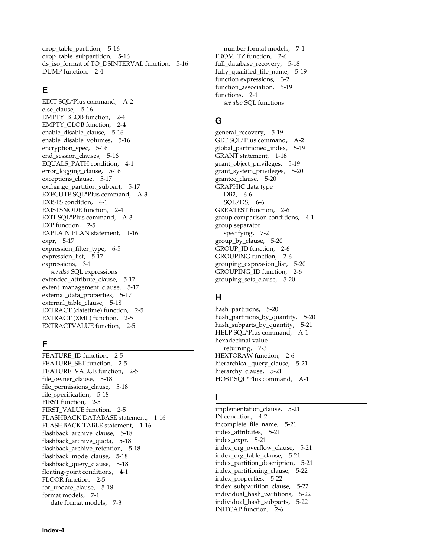[drop\\_table\\_partition, 5-16](#page-67-1) [drop\\_table\\_subpartition, 5-16](#page-67-2) [ds\\_iso\\_format of TO\\_DSINTERVAL function, 5-16](#page-67-3) [DUMP function, 2-4](#page-27-13)

# **E**

[EDIT SQL\\*Plus command, A-2](#page-119-7) [else\\_clause, 5-16](#page-67-4) [EMPTY\\_BLOB function, 2-4](#page-27-14) [EMPTY\\_CLOB function, 2-4](#page-27-15) [enable\\_disable\\_clause, 5-16](#page-67-5) [enable\\_disable\\_volumes, 5-16](#page-67-6) [encryption\\_spec, 5-16](#page-67-7) end session clauses, 5-16 [EQUALS\\_PATH condition, 4-1](#page-48-3) [error\\_logging\\_clause, 5-16](#page-67-9) [exceptions\\_clause, 5-17](#page-68-0) [exchange\\_partition\\_subpart, 5-17](#page-68-1) [EXECUTE SQL\\*Plus command, A-3](#page-120-1) [EXISTS condition, 4-1](#page-48-4) [EXISTSNODE function, 2-4](#page-27-16) [EXIT SQL\\*Plus command, A-3](#page-120-2) [EXP function, 2-5](#page-28-0) [EXPLAIN PLAN statement, 1-16](#page-21-5) [expr, 5-17](#page-68-2) expression filter type, 6-5 [expression\\_list, 5-17](#page-68-3) [expressions, 3-1](#page-44-4) *[see also](#page-44-4)* SQL expressions [extended\\_attribute\\_clause, 5-17](#page-68-4) [extent\\_management\\_clause, 5-17](#page-68-5) external data properties, 5-17 [external\\_table\\_clause, 5-18](#page-69-0) [EXTRACT \(datetime\) function, 2-5](#page-28-1) [EXTRACT \(XML\) function, 2-5](#page-28-2) [EXTRACTVALUE function, 2-5](#page-28-3)

# **F**

[FEATURE\\_ID function, 2-5](#page-28-4) [FEATURE\\_SET function, 2-5](#page-28-5) [FEATURE\\_VALUE function, 2-5](#page-28-6) [file\\_owner\\_clause, 5-18](#page-69-1) [file\\_permissions\\_clause, 5-18](#page-69-2) [file\\_specification, 5-18](#page-69-3) [FIRST function, 2-5](#page-28-7) [FIRST\\_VALUE function, 2-5](#page-28-8) [FLASHBACK DATABASE statement, 1-16](#page-21-6) [FLASHBACK TABLE statement, 1-16](#page-21-7) [flashback\\_archive\\_clause, 5-18](#page-69-4) [flashback\\_archive\\_quota, 5-18](#page-69-5) [flashback\\_archive\\_retention, 5-18](#page-69-6) [flashback\\_mode\\_clause, 5-18](#page-69-7) [flashback\\_query\\_clause, 5-18](#page-69-8) [floating-point conditions, 4-1](#page-48-5) [FLOOR function, 2-5](#page-28-9) [for\\_update\\_clause, 5-18](#page-69-9) [format models, 7-1](#page-112-2) [date format models, 7-3](#page-114-2)

[number format models, 7-1](#page-112-3) [FROM\\_TZ function, 2-6](#page-29-0) [full\\_database\\_recovery, 5-18](#page-69-10) [fully\\_qualified\\_file\\_name, 5-19](#page-70-0) [function expressions, 3-2](#page-45-1) function association, 5-19 [functions, 2-1](#page-24-8) *[see also](#page-24-8)* SQL functions

# **G**

[general\\_recovery, 5-19](#page-70-2) [GET SQL\\*Plus command, A-2](#page-119-8) [global\\_partitioned\\_index, 5-19](#page-70-3) [GRANT statement, 1-16](#page-21-8) [grant\\_object\\_privileges, 5-19](#page-70-4) [grant\\_system\\_privileges, 5-20](#page-71-0) [grantee\\_clause, 5-20](#page-71-1) GRAPHIC data type [DB2, 6-6](#page-111-0) [SQL/DS, 6-6](#page-111-0) [GREATEST function, 2-6](#page-29-1) [group comparison conditions, 4-1](#page-48-6) group separator [specifying, 7-2](#page-113-0) [group\\_by\\_clause, 5-20](#page-71-2) GROUP ID function, 2-6 [GROUPING function, 2-6](#page-29-3) [grouping\\_expression\\_list, 5-20](#page-71-3) [GROUPING\\_ID function, 2-6](#page-29-4) [grouping\\_sets\\_clause, 5-20](#page-71-4)

# **H**

[hash\\_partitions, 5-20](#page-71-5) [hash\\_partitions\\_by\\_quantity, 5-20](#page-71-6) [hash\\_subparts\\_by\\_quantity, 5-21](#page-72-0) [HELP SQL\\*Plus command, A-1](#page-118-1) hexadecimal value [returning, 7-3](#page-114-3) [HEXTORAW function, 2-6](#page-29-5) [hierarchical\\_query\\_clause, 5-21](#page-72-1) [hierarchy\\_clause, 5-21](#page-72-2) [HOST SQL\\*Plus command, A-1](#page-118-2)

# **I**

implementation clause, 5-21 [IN condition, 4-2](#page-49-0) [incomplete\\_file\\_name, 5-21](#page-72-4) [index\\_attributes, 5-21](#page-72-5) [index\\_expr, 5-21](#page-72-6) [index\\_org\\_overflow\\_clause, 5-21](#page-72-7) [index\\_org\\_table\\_clause, 5-21](#page-72-8) [index\\_partition\\_description, 5-21](#page-72-9) [index\\_partitioning\\_clause, 5-22](#page-73-0) [index\\_properties, 5-22](#page-73-1) [index\\_subpartition\\_clause, 5-22](#page-73-2) [individual\\_hash\\_partitions, 5-22](#page-73-3) [individual\\_hash\\_subparts, 5-22](#page-73-4) [INITCAP function, 2-6](#page-29-6)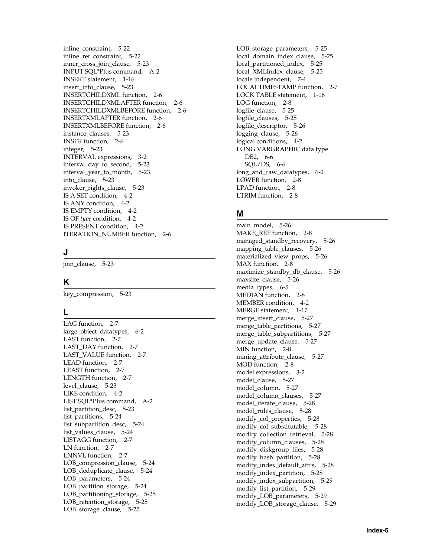[inline\\_constraint, 5-22](#page-73-5) [inline\\_ref\\_constraint, 5-22](#page-73-6) [inner\\_cross\\_join\\_clause, 5-23](#page-74-0) [INPUT SQL\\*Plus command, A-2](#page-119-9) [INSERT statement, 1-16](#page-21-9) insert into clause, 5-23 [INSERTCHILDXML function, 2-6](#page-29-7) [INSERTCHILDXMLAFTER function, 2-6](#page-29-8) [INSERTCHILDXMLBEFORE function, 2-6](#page-29-9) [INSERTXMLAFTER function, 2-6](#page-29-10) [INSERTXMLBEFORE function, 2-6](#page-29-11) instance clauses, 5-23 [INSTR function, 2-6](#page-29-12) [integer, 5-23](#page-74-3) [INTERVAL expressions, 3-2](#page-45-2) [interval\\_day\\_to\\_second, 5-23](#page-74-4) [interval\\_year\\_to\\_month, 5-23](#page-74-5) into clause, 5-23 [invoker\\_rights\\_clause, 5-23](#page-74-7) [IS A SET condition, 4-2](#page-49-1) [IS ANY condition, 4-2](#page-49-2) [IS EMPTY condition, 4-2](#page-49-3) IS OF *type* [condition, 4-2](#page-49-4) [IS PRESENT condition, 4-2](#page-49-5) [ITERATION\\_NUMBER function, 2-6](#page-29-13)

# **J**

[join\\_clause, 5-23](#page-74-8)

# **K**

[key\\_compression, 5-23](#page-74-9)

# **L**

[LAG function, 2-7](#page-30-0) [large\\_object\\_datatypes, 6-2](#page-107-4) [LAST function, 2-7](#page-30-1) [LAST\\_DAY function, 2-7](#page-30-2) [LAST\\_VALUE function, 2-7](#page-30-3) [LEAD function, 2-7](#page-30-4) [LEAST function, 2-7](#page-30-5) [LENGTH function, 2-7](#page-30-6) [level\\_clause, 5-23](#page-74-10) [LIKE condition, 4-2](#page-49-6) [LIST SQL\\*Plus command, A-2](#page-119-10) [list\\_partition\\_desc, 5-23](#page-74-11) [list\\_partitions, 5-24](#page-75-0) [list\\_subpartition\\_desc, 5-24](#page-75-1) [list\\_values\\_clause, 5-24](#page-75-2) [LISTAGG function, 2-7](#page-30-7) [LN function, 2-7](#page-30-8) [LNNVL function, 2-7](#page-30-9) [LOB\\_compression\\_clause, 5-24](#page-75-3) [LOB\\_deduplicate\\_clause, 5-24](#page-75-4) [LOB\\_parameters, 5-24](#page-75-5) [LOB\\_partition\\_storage, 5-24](#page-75-6) [LOB\\_partitioning\\_storage, 5-25](#page-76-0) [LOB\\_retention\\_storage, 5-25](#page-76-1) [LOB\\_storage\\_clause, 5-25](#page-76-2)

[LOB\\_storage\\_parameters, 5-25](#page-76-3) [local\\_domain\\_index\\_clause, 5-25](#page-76-4) [local\\_partitioned\\_index, 5-25](#page-76-5) [local\\_XMLIndex\\_clause, 5-25](#page-76-6) [locale independent, 7-4](#page-115-0) [LOCALTIMESTAMP function, 2-7](#page-30-10) [LOCK TABLE statement, 1-16](#page-21-10) [LOG function, 2-8](#page-31-0) [logfile\\_clause, 5-25](#page-76-7) [logfile\\_clauses, 5-25](#page-76-8) [logfile\\_descriptor, 5-26](#page-77-0) [logging\\_clause, 5-26](#page-77-1) [logical conditions, 4-2](#page-49-7) LONG VARGRAPHIC data type [DB2, 6-6](#page-111-1)  $SQL/DS, 6-6$ [long\\_and\\_raw\\_datatypes, 6-2](#page-107-5) [LOWER function, 2-8](#page-31-1) [LPAD function, 2-8](#page-31-2) [LTRIM function, 2-8](#page-31-3)

# **M**

[main\\_model, 5-26](#page-77-2) [MAKE\\_REF function, 2-8](#page-31-4) [managed\\_standby\\_recovery, 5-26](#page-77-3) [mapping\\_table\\_clauses, 5-26](#page-77-4) [materialized\\_view\\_props, 5-26](#page-77-5) [MAX function, 2-8](#page-31-5) [maximize\\_standby\\_db\\_clause, 5-26](#page-77-6) [maxsize\\_clause, 5-26](#page-77-7) [media\\_types, 6-5](#page-110-5) [MEDIAN function, 2-8](#page-31-6) [MEMBER condition, 4-2](#page-49-8) [MERGE statement, 1-17](#page-22-0) [merge\\_insert\\_clause, 5-27](#page-78-0) [merge\\_table\\_partitions, 5-27](#page-78-1) [merge\\_table\\_subpartitions, 5-27](#page-78-2) merge update clause, 5-27 [MIN function, 2-8](#page-31-7) [mining\\_attribute\\_clause, 5-27](#page-78-4) [MOD function, 2-8](#page-31-8) [model expressions, 3-2](#page-45-3) [model\\_clause, 5-27](#page-78-5) [model\\_column, 5-27](#page-78-6) [model\\_column\\_clauses, 5-27](#page-78-7) [model\\_iterate\\_clause, 5-28](#page-79-0) [model\\_rules\\_clause, 5-28](#page-79-1) [modify\\_col\\_properties, 5-28](#page-79-2) [modify\\_col\\_substitutable, 5-28](#page-79-3) [modify\\_collection\\_retrieval, 5-28](#page-79-4) [modify\\_column\\_clauses, 5-28](#page-79-5) [modify\\_diskgroup\\_files, 5-28](#page-79-6) [modify\\_hash\\_partition, 5-28](#page-79-7) [modify\\_index\\_default\\_attrs, 5-28](#page-79-8) [modify\\_index\\_partition, 5-28](#page-79-9) [modify\\_index\\_subpartition, 5-29](#page-80-0) [modify\\_list\\_partition, 5-29](#page-80-1) [modify\\_LOB\\_parameters, 5-29](#page-80-2) [modify\\_LOB\\_storage\\_clause, 5-29](#page-80-3)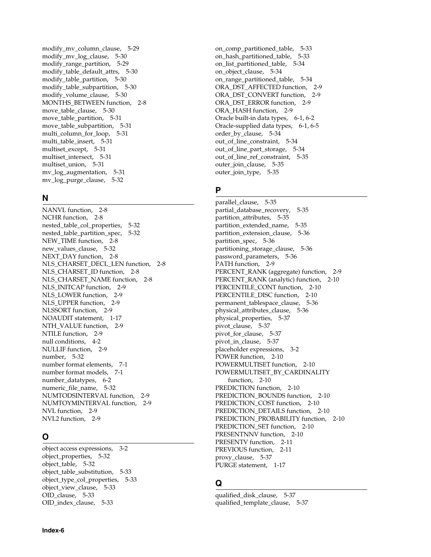[modify\\_mv\\_column\\_clause, 5-29](#page-80-4) [modify\\_mv\\_log\\_clause, 5-30](#page-81-0) [modify\\_range\\_partition, 5-29](#page-80-5) [modify\\_table\\_default\\_attrs, 5-30](#page-81-1) [modify\\_table\\_partition, 5-30](#page-81-2) modify table subpartition, 5-30 [modify\\_volume\\_clause, 5-30](#page-81-4) [MONTHS\\_BETWEEN function, 2-8](#page-31-9) [move\\_table\\_clause, 5-30](#page-81-5) [move\\_table\\_partition, 5-31](#page-82-0) [move\\_table\\_subpartition, 5-31](#page-82-1) multi column for loop, 5-31 [multi\\_table\\_insert, 5-31](#page-82-3) [multiset\\_except, 5-31](#page-82-4) [multiset\\_intersect, 5-31](#page-82-5) [multiset\\_union, 5-31](#page-82-6) [mv\\_log\\_augmentation, 5-31](#page-82-7) [mv\\_log\\_purge\\_clause, 5-32](#page-83-0)

### **N**

[NANVL function, 2-8](#page-31-10) [NCHR function, 2-8](#page-31-11) [nested\\_table\\_col\\_properties, 5-32](#page-83-1) [nested\\_table\\_partition\\_spec, 5-32](#page-83-2) [NEW\\_TIME function, 2-8](#page-31-12) new values clause, 5-32 [NEXT\\_DAY function, 2-8](#page-31-13) [NLS\\_CHARSET\\_DECL\\_LEN function, 2-8](#page-31-14) [NLS\\_CHARSET\\_ID function, 2-8](#page-31-15) [NLS\\_CHARSET\\_NAME function, 2-8](#page-31-16) [NLS\\_INITCAP function, 2-9](#page-32-0) NLS LOWER function, 2-9 [NLS\\_UPPER function, 2-9](#page-32-2) [NLSSORT function, 2-9](#page-32-3) [NOAUDIT statement, 1-17](#page-22-1) [NTH\\_VALUE function, 2-9](#page-32-4) [NTILE function, 2-9](#page-32-5) [null conditions, 4-2](#page-49-9) [NULLIF function, 2-9](#page-32-6) [number, 5-32](#page-83-4) [number format elements, 7-1](#page-112-3) [number format models, 7-1](#page-112-3) [number\\_datatypes, 6-2](#page-107-6) numeric file name, 5-32 [NUMTODSINTERVAL function, 2-9](#page-32-7) [NUMTOYMINTERVAL function, 2-9](#page-32-8) [NVL function, 2-9](#page-32-9) [NVL2 function, 2-9](#page-32-10)

# **O**

[object access expressions, 3-2](#page-45-4) [object\\_properties, 5-32](#page-83-6) [object\\_table, 5-32](#page-83-7) [object\\_table\\_substitution, 5-33](#page-84-0) [object\\_type\\_col\\_properties, 5-33](#page-84-1) [object\\_view\\_clause, 5-33](#page-84-2) [OID\\_clause, 5-33](#page-84-3) [OID\\_index\\_clause, 5-33](#page-84-4)

[on\\_comp\\_partitioned\\_table, 5-33](#page-84-5) [on\\_hash\\_partitioned\\_table, 5-33](#page-84-6) [on\\_list\\_partitioned\\_table, 5-34](#page-85-0) [on\\_object\\_clause, 5-34](#page-85-1) [on\\_range\\_partitioned\\_table, 5-34](#page-85-2) ORA DST AFFECTED function, 2-9 [ORA\\_DST\\_CONVERT function, 2-9](#page-32-12) [ORA\\_DST\\_ERROR function, 2-9](#page-32-13) [ORA\\_HASH function, 2-9](#page-32-14) [Oracle built-in data types, 6-1,](#page-106-1) [6-2](#page-107-0) [Oracle-supplied data types, 6-1,](#page-106-2) [6-5](#page-110-3) [order\\_by\\_clause, 5-34](#page-85-3) [out\\_of\\_line\\_constraint, 5-34](#page-85-4) [out\\_of\\_line\\_part\\_storage, 5-34](#page-85-5) [out\\_of\\_line\\_ref\\_constraint, 5-35](#page-86-0) [outer\\_join\\_clause, 5-35](#page-86-1) [outer\\_join\\_type, 5-35](#page-86-2)

# **P**

[parallel\\_clause, 5-35](#page-86-3) [partial\\_database\\_recovery, 5-35](#page-86-4) [partition\\_attributes, 5-35](#page-86-5) [partition\\_extended\\_name, 5-35](#page-86-6) [partition\\_extension\\_clause, 5-36](#page-87-0) [partition\\_spec, 5-36](#page-87-1) partitioning storage clause, 5-36 [password\\_parameters, 5-36](#page-87-3) [PATH function, 2-9](#page-32-15) [PERCENT\\_RANK \(aggregate\) function, 2-9](#page-32-16) [PERCENT\\_RANK \(analytic\) function, 2-10](#page-33-0) [PERCENTILE\\_CONT function, 2-10](#page-33-1) [PERCENTILE\\_DISC function, 2-10](#page-33-2) [permanent\\_tablespace\\_clause, 5-36](#page-87-4) [physical\\_attributes\\_clause, 5-36](#page-87-5) [physical\\_properties, 5-37](#page-88-0) [pivot\\_clause, 5-37](#page-88-1) [pivot\\_for\\_clause, 5-37](#page-88-2) pivot in clause, 5-37 [placeholder expressions, 3-2](#page-45-5) [POWER function, 2-10](#page-33-3) [POWERMULTISET function, 2-10](#page-33-4) [POWERMULTISET\\_BY\\_CARDINALITY](#page-33-5)  function, 2-10 [PREDICTION function, 2-10](#page-33-6) [PREDICTION\\_BOUNDS function, 2-10](#page-33-7) [PREDICTION\\_COST function, 2-10](#page-33-8) [PREDICTION\\_DETAILS function, 2-10](#page-33-9) [PREDICTION\\_PROBABILITY function, 2-10](#page-33-10) [PREDICTION\\_SET function, 2-10](#page-33-11) [PRESENTNNV function, 2-10](#page-33-12) [PRESENTV function, 2-11](#page-34-0) [PREVIOUS function, 2-11](#page-34-1) [proxy\\_clause, 5-37](#page-88-4) [PURGE statement, 1-17](#page-22-2)

# **Q**

[qualified\\_disk\\_clause, 5-37](#page-88-5) [qualified\\_template\\_clause, 5-37](#page-88-6)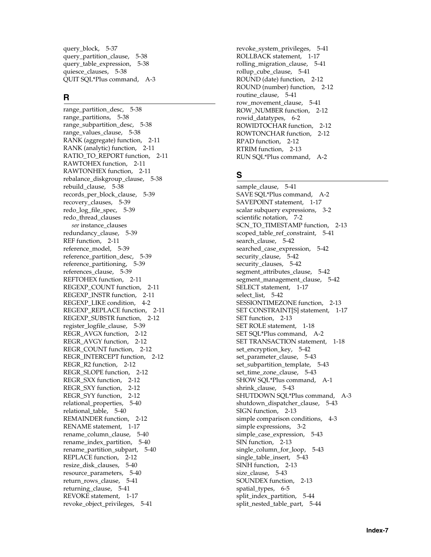[query\\_block, 5-37](#page-88-7) [query\\_partition\\_clause, 5-38](#page-89-0) [query\\_table\\_expression, 5-38](#page-89-1) [quiesce\\_clauses, 5-38](#page-89-2) [QUIT SQL\\*Plus command, A-3](#page-120-2)

# **R**

range partition desc, 5-38 [range\\_partitions, 5-38](#page-89-4) [range\\_subpartition\\_desc, 5-38](#page-89-5) [range\\_values\\_clause, 5-38](#page-89-6) [RANK \(aggregate\) function, 2-11](#page-34-2) [RANK \(analytic\) function, 2-11](#page-34-3) RATIO TO REPORT function, 2-11 [RAWTOHEX function, 2-11](#page-34-5) [RAWTONHEX function, 2-11](#page-34-6) [rebalance\\_diskgroup\\_clause, 5-38](#page-89-7) [rebuild\\_clause, 5-38](#page-89-8) [records\\_per\\_block\\_clause, 5-39](#page-90-0) recovery clauses, 5-39 [redo\\_log\\_file\\_spec, 5-39](#page-90-2) redo\_thread\_clauses *[see](#page-90-2)* instance\_clauses [redundancy\\_clause, 5-39](#page-90-3) [REF function, 2-11](#page-34-7) [reference\\_model, 5-39](#page-90-4) [reference\\_partition\\_desc, 5-39](#page-90-5) [reference\\_partitioning, 5-39](#page-90-6) [references\\_clause, 5-39](#page-90-7) [REFTOHEX function, 2-11](#page-34-8) [REGEXP\\_COUNT function, 2-11](#page-34-9) [REGEXP\\_INSTR function, 2-11](#page-34-10) [REGEXP\\_LIKE condition, 4-2](#page-49-10) [REGEXP\\_REPLACE function, 2-11](#page-34-11) [REGEXP\\_SUBSTR function, 2-12](#page-35-0) [register\\_logfile\\_clause, 5-39](#page-90-8) [REGR\\_AVGX function, 2-12](#page-35-1) [REGR\\_AVGY function, 2-12](#page-35-2) [REGR\\_COUNT function, 2-12](#page-35-3) [REGR\\_INTERCEPT function, 2-12](#page-35-4) [REGR\\_R2 function, 2-12](#page-35-5) [REGR\\_SLOPE function, 2-12](#page-35-6) [REGR\\_SXX function, 2-12](#page-35-7) REGR SXY function, 2-12 [REGR\\_SYY function, 2-12](#page-35-9) [relational\\_properties, 5-40](#page-91-0) [relational\\_table, 5-40](#page-91-1) [REMAINDER function, 2-12](#page-35-10) [RENAME statement, 1-17](#page-22-3) [rename\\_column\\_clause, 5-40](#page-91-2) [rename\\_index\\_partition, 5-40](#page-91-3) [rename\\_partition\\_subpart, 5-40](#page-91-4) [REPLACE function, 2-12](#page-35-11) [resize\\_disk\\_clauses, 5-40](#page-91-5) [resource\\_parameters, 5-40](#page-91-6) return rows clause, 5-41 [returning\\_clause, 5-41](#page-92-1) [REVOKE statement, 1-17](#page-22-4) [revoke\\_object\\_privileges, 5-41](#page-92-2)

[revoke\\_system\\_privileges, 5-41](#page-92-3) [ROLLBACK statement, 1-17](#page-22-5) [rolling\\_migration\\_clause, 5-41](#page-92-4) [rollup\\_cube\\_clause, 5-41](#page-92-5) [ROUND \(date\) function, 2-12](#page-35-12) [ROUND \(number\) function, 2-12](#page-35-13) [routine\\_clause, 5-41](#page-92-6) [row\\_movement\\_clause, 5-41](#page-92-7) [ROW\\_NUMBER function, 2-12](#page-35-14) [rowid\\_datatypes, 6-2](#page-107-7) [ROWIDTOCHAR function, 2-12](#page-35-15) [ROWTONCHAR function, 2-12](#page-35-16) [RPAD function, 2-12](#page-35-17) [RTRIM function, 2-13](#page-36-0) [RUN SQL\\*Plus command, A-2](#page-119-11)

# **S**

[sample\\_clause, 5-41](#page-92-8) [SAVE SQL\\*Plus command, A-2](#page-119-12) [SAVEPOINT statement, 1-17](#page-22-6) [scalar subquery expressions, 3-2](#page-45-6) [scientific notation, 7-2](#page-113-4) [SCN\\_TO\\_TIMESTAMP function, 2-13](#page-36-1) [scoped\\_table\\_ref\\_constraint, 5-41](#page-92-9) [search\\_clause, 5-42](#page-93-0) searched case expression, 5-42 [security\\_clause, 5-42](#page-93-2) [security\\_clauses, 5-42](#page-93-3) [segment\\_attributes\\_clause, 5-42](#page-93-4) [segment\\_management\\_clause, 5-42](#page-93-5) [SELECT statement, 1-17](#page-22-7) select list, 5-42 [SESSIONTIMEZONE function, 2-13](#page-36-2) [SET CONSTRAINT\[S\] statement, 1-17](#page-22-8) [SET function, 2-13](#page-36-3) [SET ROLE statement, 1-18](#page-23-0) [SET SQL\\*Plus command, A-2](#page-119-13) [SET TRANSACTION statement, 1-18](#page-23-1) [set\\_encryption\\_key, 5-42](#page-93-7) [set\\_parameter\\_clause, 5-43](#page-94-0) [set\\_subpartition\\_template, 5-43](#page-94-1) [set\\_time\\_zone\\_clause, 5-43](#page-94-2) [SHOW SQL\\*Plus command, A-1](#page-118-3) [shrink\\_clause, 5-43](#page-94-3) [SHUTDOWN SQL\\*Plus command, A-3](#page-120-3) [shutdown\\_dispatcher\\_clause, 5-43](#page-94-4) [SIGN function, 2-13](#page-36-4) [simple comparison conditions, 4-3](#page-50-0) [simple expressions, 3-2](#page-45-7) simple case expression, 5-43 [SIN function, 2-13](#page-36-5) [single\\_column\\_for\\_loop, 5-43](#page-94-6) [single\\_table\\_insert, 5-43](#page-94-7) [SINH function, 2-13](#page-36-6) [size\\_clause, 5-43](#page-94-8) [SOUNDEX function, 2-13](#page-36-7) [spatial\\_types, 6-5](#page-110-6) [split\\_index\\_partition, 5-44](#page-95-0) [split\\_nested\\_table\\_part, 5-44](#page-95-1)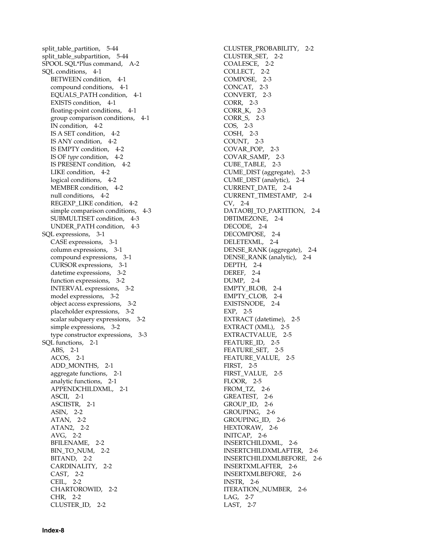[split\\_table\\_partition, 5-44](#page-95-2) [split\\_table\\_subpartition, 5-44](#page-95-3) [SPOOL SQL\\*Plus command, A-2](#page-119-14) [SQL conditions, 4-1](#page-48-2) [BETWEEN condition, 4-1](#page-48-0) [compound conditions, 4-1](#page-48-1) [EQUALS\\_PATH condition, 4-1](#page-48-3) [EXISTS condition, 4-1](#page-48-4) [floating-point conditions, 4-1](#page-48-5) [group comparison conditions, 4-1](#page-48-6) [IN condition, 4-2](#page-49-0) [IS A SET condition, 4-2](#page-49-1) [IS ANY condition, 4-2](#page-49-2) [IS EMPTY condition, 4-2](#page-49-3) IS OF *type* [condition, 4-2](#page-49-4) [IS PRESENT condition, 4-2](#page-49-5) [LIKE condition, 4-2](#page-49-6) [logical conditions, 4-2](#page-49-7) [MEMBER condition, 4-2](#page-49-8) [null conditions, 4-2](#page-49-9) [REGEXP\\_LIKE condition, 4-2](#page-49-10) [simple comparison conditions, 4-3](#page-50-0) [SUBMULTISET condition, 4-3](#page-50-1) [UNDER\\_PATH condition, 4-3](#page-50-2) [SQL expressions, 3-1](#page-44-4) [CASE expressions, 3-1](#page-44-0) [column expressions, 3-1](#page-44-1) [compound expressions, 3-1](#page-44-2) [CURSOR expressions, 3-1](#page-44-3) [datetime expressions, 3-2](#page-45-0) [function expressions, 3-2](#page-45-1) [INTERVAL expressions, 3-2](#page-45-2) [model expressions, 3-2](#page-45-3) [object access expressions, 3-2](#page-45-4) [placeholder expressions, 3-2](#page-45-5) [scalar subquery expressions, 3-2](#page-45-6) [simple expressions, 3-2](#page-45-7) [type constructor expressions, 3-3](#page-46-0) [SQL functions, 2-1](#page-24-8) [ABS, 2-1](#page-24-0) [ACOS, 2-1](#page-24-1) [ADD\\_MONTHS, 2-1](#page-24-2) [aggregate functions, 2-1](#page-24-3) [analytic functions, 2-1](#page-24-4) [APPENDCHILDXML, 2-1](#page-24-5) [ASCII, 2-1](#page-24-6) [ASCIISTR, 2-1](#page-24-7) [ASIN, 2-2](#page-25-0) [ATAN, 2-2](#page-25-1) [ATAN2, 2-2](#page-25-2) [AVG, 2-2](#page-25-3) [BFILENAME, 2-2](#page-25-4) [BIN\\_TO\\_NUM, 2-2](#page-25-5) [BITAND, 2-2](#page-25-6) [CARDINALITY, 2-2](#page-25-7) [CAST, 2-2](#page-25-8) [CEIL, 2-2](#page-25-9) [CHARTOROWID, 2-2](#page-25-10) [CHR, 2-2](#page-25-11) [CLUSTER\\_ID, 2-2](#page-25-12)

[CLUSTER\\_PROBABILITY, 2-2](#page-25-13) [CLUSTER\\_SET, 2-2](#page-25-14) [COALESCE, 2-2](#page-25-15) [COLLECT, 2-2](#page-25-16) [COMPOSE, 2-3](#page-26-0) [CONCAT, 2-3](#page-26-1) [CONVERT, 2-3](#page-26-2) [CORR, 2-3](#page-26-3) [CORR\\_K, 2-3](#page-26-4) [CORR\\_S, 2-3](#page-26-5) [COS, 2-3](#page-26-6) [COSH, 2-3](#page-26-7) [COUNT, 2-3](#page-26-8) [COVAR\\_POP, 2-3](#page-26-9) [COVAR\\_SAMP, 2-3](#page-26-10) [CUBE\\_TABLE, 2-3](#page-26-11) [CUME\\_DIST \(aggregate\), 2-3](#page-26-12) [CUME\\_DIST \(analytic\), 2-4](#page-27-0) [CURRENT\\_DATE, 2-4](#page-27-1) [CURRENT\\_TIMESTAMP, 2-4](#page-27-2) [CV, 2-4](#page-27-3) [DATAOBJ\\_TO\\_PARTITION, 2-4](#page-27-4) [DBTIMEZONE, 2-4](#page-27-5) [DECODE, 2-4](#page-27-6) [DECOMPOSE, 2-4](#page-27-7) [DELETEXML, 2-4](#page-27-8) [DENSE\\_RANK \(aggregate\), 2-4](#page-27-9) [DENSE\\_RANK \(analytic\), 2-4](#page-27-10) [DEPTH, 2-4](#page-27-11) [DEREF, 2-4](#page-27-12) [DUMP, 2-4](#page-27-13) [EMPTY\\_BLOB, 2-4](#page-27-14) [EMPTY\\_CLOB, 2-4](#page-27-15) [EXISTSNODE, 2-4](#page-27-16) [EXP, 2-5](#page-28-0) [EXTRACT \(datetime\), 2-5](#page-28-1) [EXTRACT \(XML\), 2-5](#page-28-2) [EXTRACTVALUE, 2-5](#page-28-3) [FEATURE\\_ID, 2-5](#page-28-4) [FEATURE\\_SET, 2-5](#page-28-5) [FEATURE\\_VALUE, 2-5](#page-28-6) [FIRST, 2-5](#page-28-7) [FIRST\\_VALUE, 2-5](#page-28-8) [FLOOR, 2-5](#page-28-9) [FROM\\_TZ, 2-6](#page-29-0) [GREATEST, 2-6](#page-29-1) [GROUP\\_ID, 2-6](#page-29-2) [GROUPING, 2-6](#page-29-3) [GROUPING\\_ID, 2-6](#page-29-4) [HEXTORAW, 2-6](#page-29-5) [INITCAP, 2-6](#page-29-6) [INSERTCHILDXML, 2-6](#page-29-7) [INSERTCHILDXMLAFTER, 2-6](#page-29-8) [INSERTCHILDXMLBEFORE, 2-6](#page-29-9) [INSERTXMLAFTER, 2-6](#page-29-10) [INSERTXMLBEFORE, 2-6](#page-29-11) [INSTR, 2-6](#page-29-12) [ITERATION\\_NUMBER, 2-6](#page-29-13) [LAG, 2-7](#page-30-0) [LAST, 2-7](#page-30-1)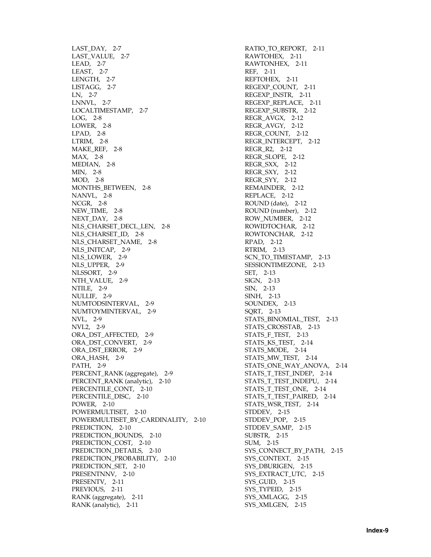[LAST\\_DAY, 2-7](#page-30-2) [LAST\\_VALUE, 2-7](#page-30-3) [LEAD, 2-7](#page-30-4) [LEAST, 2-7](#page-30-5) [LENGTH, 2-7](#page-30-6) [LISTAGG, 2-7](#page-30-7) [LN, 2-7](#page-30-8) [LNNVL, 2-7](#page-30-9) [LOCALTIMESTAMP, 2-7](#page-30-10) [LOG, 2-8](#page-31-0) [LOWER, 2-8](#page-31-1) [LPAD, 2-8](#page-31-2) [LTRIM, 2-8](#page-31-3) [MAKE\\_REF, 2-8](#page-31-4) [MAX, 2-8](#page-31-5) [MEDIAN, 2-8](#page-31-6) [MIN, 2-8](#page-31-7) [MOD, 2-8](#page-31-8) [MONTHS\\_BETWEEN, 2-8](#page-31-9) [NANVL, 2-8](#page-31-10) [NCGR, 2-8](#page-31-11) [NEW\\_TIME, 2-8](#page-31-12) [NEXT\\_DAY, 2-8](#page-31-13) NLS CHARSET DECL LEN, 2-8 [NLS\\_CHARSET\\_ID, 2-8](#page-31-15) [NLS\\_CHARSET\\_NAME, 2-8](#page-31-16) [NLS\\_INITCAP, 2-9](#page-32-0) [NLS\\_LOWER, 2-9](#page-32-1) [NLS\\_UPPER, 2-9](#page-32-2) [NLSSORT, 2-9](#page-32-3) [NTH\\_VALUE, 2-9](#page-32-4) [NTILE, 2-9](#page-32-5) [NULLIF, 2-9](#page-32-6) [NUMTODSINTERVAL, 2-9](#page-32-7) [NUMTOYMINTERVAL, 2-9](#page-32-8) [NVL, 2-9](#page-32-9) [NVL2, 2-9](#page-32-10) [ORA\\_DST\\_AFFECTED, 2-9](#page-32-11) [ORA\\_DST\\_CONVERT, 2-9](#page-32-12) [ORA\\_DST\\_ERROR, 2-9](#page-32-13) [ORA\\_HASH, 2-9](#page-32-14) [PATH, 2-9](#page-32-15) [PERCENT\\_RANK \(aggregate\), 2-9](#page-32-16) [PERCENT\\_RANK \(analytic\), 2-10](#page-33-0) [PERCENTILE\\_CONT, 2-10](#page-33-1) [PERCENTILE\\_DISC, 2-10](#page-33-2) [POWER, 2-10](#page-33-3) [POWERMULTISET, 2-10](#page-33-4) [POWERMULTISET\\_BY\\_CARDINALITY, 2-10](#page-33-5) [PREDICTION, 2-10](#page-33-6) [PREDICTION\\_BOUNDS, 2-10](#page-33-7) [PREDICTION\\_COST, 2-10](#page-33-8) [PREDICTION\\_DETAILS, 2-10](#page-33-9) [PREDICTION\\_PROBABILITY, 2-10](#page-33-10) [PREDICTION\\_SET, 2-10](#page-33-11) [PRESENTNNV, 2-10](#page-33-12) [PRESENTV, 2-11](#page-34-0) [PREVIOUS, 2-11](#page-34-1) [RANK \(aggregate\), 2-11](#page-34-2) [RANK \(analytic\), 2-11](#page-34-3)

[RATIO\\_TO\\_REPORT, 2-11](#page-34-4) [RAWTOHEX, 2-11](#page-34-5) [RAWTONHEX, 2-11](#page-34-6) [REF, 2-11](#page-34-7) [REFTOHEX, 2-11](#page-34-8) [REGEXP\\_COUNT, 2-11](#page-34-9) [REGEXP\\_INSTR, 2-11](#page-34-10) [REGEXP\\_REPLACE, 2-11](#page-34-11) [REGEXP\\_SUBSTR, 2-12](#page-35-0) [REGR\\_AVGX, 2-12](#page-35-1) [REGR\\_AVGY, 2-12](#page-35-2) [REGR\\_COUNT, 2-12](#page-35-3) [REGR\\_INTERCEPT, 2-12](#page-35-4) [REGR\\_R2, 2-12](#page-35-5) [REGR\\_SLOPE, 2-12](#page-35-6) [REGR\\_SXX, 2-12](#page-35-7) [REGR\\_SXY, 2-12](#page-35-8) [REGR\\_SYY, 2-12](#page-35-9) [REMAINDER, 2-12](#page-35-10) [REPLACE, 2-12](#page-35-11) [ROUND \(date\), 2-12](#page-35-12) [ROUND \(number\), 2-12](#page-35-13) [ROW\\_NUMBER, 2-12](#page-35-14) [ROWIDTOCHAR, 2-12](#page-35-15) [ROWTONCHAR, 2-12](#page-35-16) [RPAD, 2-12](#page-35-17) [RTRIM, 2-13](#page-36-0) [SCN\\_TO\\_TIMESTAMP, 2-13](#page-36-1) [SESSIONTIMEZONE, 2-13](#page-36-2) [SET, 2-13](#page-36-3) [SIGN, 2-13](#page-36-4) [SIN, 2-13](#page-36-5) [SINH, 2-13](#page-36-6) [SOUNDEX, 2-13](#page-36-7) [SQRT, 2-13](#page-36-8) [STATS\\_BINOMIAL\\_TEST, 2-13](#page-36-9) [STATS\\_CROSSTAB, 2-13](#page-36-10) [STATS\\_F\\_TEST, 2-13](#page-36-11) [STATS\\_KS\\_TEST, 2-14](#page-37-0) [STATS\\_MODE, 2-14](#page-37-1) [STATS\\_MW\\_TEST, 2-14](#page-37-2) [STATS\\_ONE\\_WAY\\_ANOVA, 2-14](#page-37-3) [STATS\\_T\\_TEST\\_INDEP, 2-14](#page-37-4) [STATS\\_T\\_TEST\\_INDEPU, 2-14](#page-37-5) [STATS\\_T\\_TEST\\_ONE, 2-14](#page-37-6) [STATS\\_T\\_TEST\\_PAIRED, 2-14](#page-37-7) [STATS\\_WSR\\_TEST, 2-14](#page-37-8) [STDDEV, 2-15](#page-38-0) [STDDEV\\_POP, 2-15](#page-38-1) [STDDEV\\_SAMP, 2-15](#page-38-2) [SUBSTR, 2-15](#page-38-3) [SUM, 2-15](#page-38-4) [SYS\\_CONNECT\\_BY\\_PATH, 2-15](#page-38-5) SYS CONTEXT, 2-15 [SYS\\_DBURIGEN, 2-15](#page-38-7) [SYS\\_EXTRACT\\_UTC, 2-15](#page-38-8) [SYS\\_GUID, 2-15](#page-38-9) [SYS\\_TYPEID, 2-15](#page-38-10) [SYS\\_XMLAGG, 2-15](#page-38-11) SYS XMLGEN, 2-15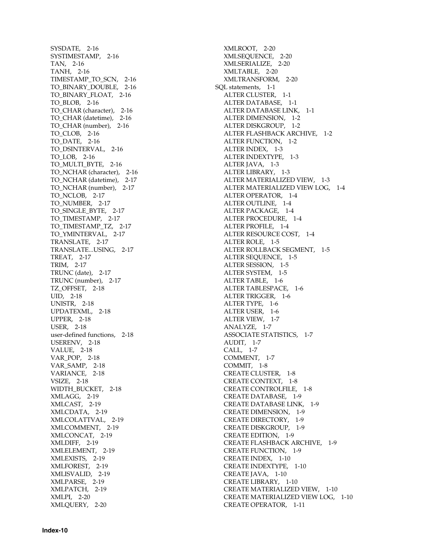[SYSDATE, 2-16](#page-39-0) [SYSTIMESTAMP, 2-16](#page-39-1) [TAN, 2-16](#page-39-2) [TANH, 2-16](#page-39-3) [TIMESTAMP\\_TO\\_SCN, 2-16](#page-39-4) [TO\\_BINARY\\_DOUBLE, 2-16](#page-39-5) [TO\\_BINARY\\_FLOAT, 2-16](#page-39-6) [TO\\_BLOB, 2-16](#page-39-7) [TO\\_CHAR \(character\), 2-16](#page-39-8) [TO\\_CHAR \(datetime\), 2-16](#page-39-9) [TO\\_CHAR \(number\), 2-16](#page-39-10) [TO\\_CLOB, 2-16](#page-39-11) [TO\\_DATE, 2-16](#page-39-12) [TO\\_DSINTERVAL, 2-16](#page-39-13) [TO\\_LOB, 2-16](#page-39-14) [TO\\_MULTI\\_BYTE, 2-16](#page-39-15) [TO\\_NCHAR \(character\), 2-16](#page-39-16) [TO\\_NCHAR \(datetime\), 2-17](#page-40-0) [TO\\_NCHAR \(number\), 2-17](#page-40-1) [TO\\_NCLOB, 2-17](#page-40-2) [TO\\_NUMBER, 2-17](#page-40-3) [TO\\_SINGLE\\_BYTE, 2-17](#page-40-4) [TO\\_TIMESTAMP, 2-17](#page-40-5) [TO\\_TIMESTAMP\\_TZ, 2-17](#page-40-6) [TO\\_YMINTERVAL, 2-17](#page-40-7) [TRANSLATE, 2-17](#page-40-8) [TRANSLATE...USING, 2-17](#page-40-9) [TREAT, 2-17](#page-40-10) [TRIM, 2-17](#page-40-11) [TRUNC \(date\), 2-17](#page-40-12) [TRUNC \(number\), 2-17](#page-40-13) [TZ\\_OFFSET, 2-18](#page-41-0) [UID, 2-18](#page-41-1) [UNISTR, 2-18](#page-41-2) [UPDATEXML, 2-18](#page-41-3) [UPPER, 2-18](#page-41-4) [USER, 2-18](#page-41-5) [user-defined functions, 2-18](#page-41-6) [USERENV, 2-18](#page-41-7) [VALUE, 2-18](#page-41-8) [VAR\\_POP, 2-18](#page-41-9) [VAR\\_SAMP, 2-18](#page-41-10) [VARIANCE, 2-18](#page-41-11) [VSIZE, 2-18](#page-41-12) [WIDTH\\_BUCKET, 2-18](#page-41-13) [XMLAGG, 2-19](#page-42-0) [XMLCAST, 2-19](#page-42-1) [XMLCDATA, 2-19](#page-42-2) [XMLCOLATTVAL, 2-19](#page-42-3) [XMLCOMMENT, 2-19](#page-42-4) [XMLCONCAT, 2-19](#page-42-5) [XMLDIFF, 2-19](#page-42-6) [XMLELEMENT, 2-19](#page-42-7) [XMLEXISTS, 2-19](#page-42-8) [XMLFOREST, 2-19](#page-42-9) [XMLISVALID, 2-19](#page-42-10) [XMLPARSE, 2-19](#page-42-11) [XMLPATCH, 2-19](#page-42-12) [XMLPI, 2-20](#page-43-0) [XMLQUERY, 2-20](#page-43-1)

[XMLROOT, 2-20](#page-43-2) [XMLSEQUENCE, 2-20](#page-43-3) [XMLSERIALIZE, 2-20](#page-43-4) [XMLTABLE, 2-20](#page-43-5) [XMLTRANSFORM, 2-20](#page-43-6) [SQL statements, 1-1](#page-6-3) [ALTER CLUSTER, 1-1](#page-6-0) [ALTER DATABASE, 1-1](#page-6-2) [ALTER DATABASE LINK, 1-1](#page-6-1) [ALTER DIMENSION, 1-2](#page-7-0) [ALTER DISKGROUP, 1-2](#page-7-1) [ALTER FLASHBACK ARCHIVE, 1-2](#page-7-2) [ALTER FUNCTION, 1-2](#page-7-3) [ALTER INDEX, 1-3](#page-8-0) [ALTER INDEXTYPE, 1-3](#page-8-1) [ALTER JAVA, 1-3](#page-8-2) [ALTER LIBRARY, 1-3](#page-8-3) [ALTER MATERIALIZED VIEW, 1-3](#page-8-4) [ALTER MATERIALIZED VIEW LOG, 1-4](#page-9-0) [ALTER OPERATOR, 1-4](#page-9-1) [ALTER OUTLINE, 1-4](#page-9-2) [ALTER PACKAGE, 1-4](#page-9-3) [ALTER PROCEDURE, 1-4](#page-9-4) [ALTER PROFILE, 1-4](#page-9-5) [ALTER RESOURCE COST, 1-4](#page-9-6) [ALTER ROLE, 1-5](#page-10-0) [ALTER ROLLBACK SEGMENT, 1-5](#page-10-1) [ALTER SEQUENCE, 1-5](#page-10-2) [ALTER SESSION, 1-5](#page-10-3) [ALTER SYSTEM, 1-5](#page-10-4) [ALTER TABLE, 1-6](#page-11-0) [ALTER TABLESPACE, 1-6](#page-11-1) [ALTER TRIGGER, 1-6](#page-11-2) [ALTER TYPE, 1-6](#page-11-3) [ALTER USER, 1-6](#page-11-4) [ALTER VIEW, 1-7](#page-12-0) [ANALYZE, 1-7](#page-12-1) [ASSOCIATE STATISTICS, 1-7](#page-12-2) [AUDIT, 1-7](#page-12-3) [CALL, 1-7](#page-12-4) [COMMENT, 1-7](#page-12-5) [COMMIT, 1-8](#page-13-0) [CREATE CLUSTER, 1-8](#page-13-1) [CREATE CONTEXT, 1-8](#page-13-2) [CREATE CONTROLFILE, 1-8](#page-13-3) [CREATE DATABASE, 1-9](#page-14-1) [CREATE DATABASE LINK, 1-9](#page-14-0) [CREATE DIMENSION, 1-9](#page-14-2) [CREATE DIRECTORY, 1-9](#page-14-3) [CREATE DISKGROUP, 1-9](#page-14-4) [CREATE EDITION, 1-9](#page-14-5) [CREATE FLASHBACK ARCHIVE, 1-9](#page-14-6) [CREATE FUNCTION, 1-9](#page-14-7) [CREATE INDEX, 1-10](#page-15-0) [CREATE INDEXTYPE, 1-10](#page-15-1) [CREATE JAVA, 1-10](#page-15-2) [CREATE LIBRARY, 1-10](#page-15-3) [CREATE MATERIALIZED VIEW, 1-10](#page-15-5) [CREATE MATERIALIZED VIEW LOG, 1-10](#page-15-4) [CREATE OPERATOR, 1-11](#page-16-0)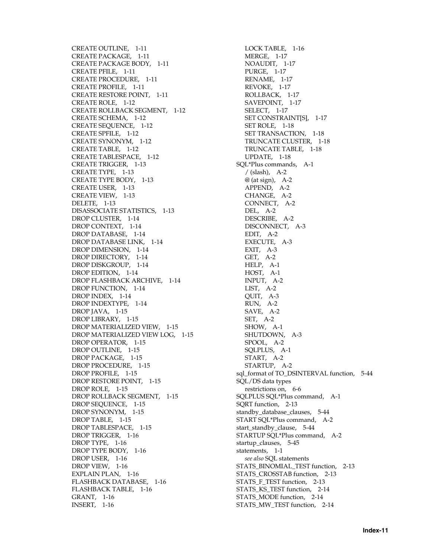[CREATE OUTLINE, 1-11](#page-16-1) [CREATE PACKAGE, 1-11](#page-16-3) [CREATE PACKAGE BODY, 1-11](#page-16-2) [CREATE PFILE, 1-11](#page-16-4) [CREATE PROCEDURE, 1-11](#page-16-5) [CREATE PROFILE, 1-11](#page-16-6) [CREATE RESTORE POINT, 1-11](#page-16-7) [CREATE ROLE, 1-12](#page-17-0) [CREATE ROLLBACK SEGMENT, 1-12](#page-17-1) [CREATE SCHEMA, 1-12](#page-17-2) [CREATE SEQUENCE, 1-12](#page-17-3) [CREATE SPFILE, 1-12](#page-17-4) [CREATE SYNONYM, 1-12](#page-17-5) [CREATE TABLE, 1-12](#page-17-6) [CREATE TABLESPACE, 1-12](#page-17-7) [CREATE TRIGGER, 1-13](#page-18-0) [CREATE TYPE, 1-13](#page-18-2) [CREATE TYPE BODY, 1-13](#page-18-1) [CREATE USER, 1-13](#page-18-3) [CREATE VIEW, 1-13](#page-18-4) [DELETE, 1-13](#page-18-5) [DISASSOCIATE STATISTICS, 1-13](#page-18-6) [DROP CLUSTER, 1-14](#page-19-0) [DROP CONTEXT, 1-14](#page-19-1) [DROP DATABASE, 1-14](#page-19-3) [DROP DATABASE LINK, 1-14](#page-19-2) [DROP DIMENSION, 1-14](#page-19-4) [DROP DIRECTORY, 1-14](#page-19-5) [DROP DISKGROUP, 1-14](#page-19-6) [DROP EDITION, 1-14](#page-19-7) [DROP FLASHBACK ARCHIVE, 1-14](#page-19-8) [DROP FUNCTION, 1-14](#page-19-9) [DROP INDEX, 1-14](#page-19-10) [DROP INDEXTYPE, 1-14](#page-19-11) [DROP JAVA, 1-15](#page-20-0) [DROP LIBRARY, 1-15](#page-20-1) [DROP MATERIALIZED VIEW, 1-15](#page-20-3) [DROP MATERIALIZED VIEW LOG, 1-15](#page-20-2) [DROP OPERATOR, 1-15](#page-20-4) [DROP OUTLINE, 1-15](#page-20-5) [DROP PACKAGE, 1-15](#page-20-6) [DROP PROCEDURE, 1-15](#page-20-7) [DROP PROFILE, 1-15](#page-20-8) [DROP RESTORE POINT, 1-15](#page-20-9) [DROP ROLE, 1-15](#page-20-10) [DROP ROLLBACK SEGMENT, 1-15](#page-20-11) [DROP SEQUENCE, 1-15](#page-20-12) [DROP SYNONYM, 1-15](#page-20-13) [DROP TABLE, 1-15](#page-20-14) [DROP TABLESPACE, 1-15](#page-20-15) [DROP TRIGGER, 1-16](#page-21-0) [DROP TYPE, 1-16](#page-21-2) [DROP TYPE BODY, 1-16](#page-21-1) [DROP USER, 1-16](#page-21-3) [DROP VIEW, 1-16](#page-21-4) [EXPLAIN PLAN, 1-16](#page-21-5) [FLASHBACK DATABASE, 1-16](#page-21-6) [FLASHBACK TABLE, 1-16](#page-21-7) [GRANT, 1-16](#page-21-8) [INSERT, 1-16](#page-21-9)

[LOCK TABLE, 1-16](#page-21-10) [MERGE, 1-17](#page-22-0) [NOAUDIT, 1-17](#page-22-1) [PURGE, 1-17](#page-22-2) [RENAME, 1-17](#page-22-3) [REVOKE, 1-17](#page-22-4) [ROLLBACK, 1-17](#page-22-5) [SAVEPOINT, 1-17](#page-22-6) [SELECT, 1-17](#page-22-7) [SET CONSTRAINT\[S\], 1-17](#page-22-8) [SET ROLE, 1-18](#page-23-0) [SET TRANSACTION, 1-18](#page-23-1) [TRUNCATE CLUSTER, 1-18](#page-23-2) [TRUNCATE TABLE, 1-18](#page-23-3) [UPDATE, 1-18](#page-23-4) [SQL\\*Plus commands, A-1](#page-118-4)  $/$  (slash), A-2  $@$  (at sign), A-2 [APPEND, A-2](#page-119-2) [CHANGE, A-2](#page-119-3) [CONNECT, A-2](#page-119-4) [DEL, A-2](#page-119-5) [DESCRIBE, A-2](#page-119-6) [DISCONNECT, A-3](#page-120-0) [EDIT, A-2](#page-119-7) [EXECUTE, A-3](#page-120-1) [EXIT, A-3](#page-120-2) [GET, A-2](#page-119-8) [HELP, A-1](#page-118-1) [HOST, A-1](#page-118-2) [INPUT, A-2](#page-119-9) [LIST, A-2](#page-119-10) [QUIT, A-3](#page-120-2) [RUN, A-2](#page-119-11) [SAVE, A-2](#page-119-12) [SET, A-2](#page-119-13) [SHOW, A-1](#page-118-3) [SHUTDOWN, A-3](#page-120-3) [SPOOL, A-2](#page-119-14) [SQLPLUS, A-1](#page-118-5) [START, A-2](#page-119-0) [STARTUP, A-2](#page-119-15) [sql\\_format of TO\\_DSINTERVAL function, 5-44](#page-95-4) SQL/DS data types [restrictions on, 6-6](#page-111-0) [SQLPLUS SQL\\*Plus command, A-1](#page-118-5) [SQRT function, 2-13](#page-36-8) standby database clauses, 5-44 [START SQL\\*Plus command, A-2](#page-119-0) [start\\_standby\\_clause, 5-44](#page-95-6) [STARTUP SQL\\*Plus command, A-2](#page-119-15) [startup\\_clauses, 5-45](#page-96-0) [statements, 1-1](#page-6-3) *[see also](#page-6-3)* SQL statements [STATS\\_BINOMIAL\\_TEST function, 2-13](#page-36-9) [STATS\\_CROSSTAB function, 2-13](#page-36-10) [STATS\\_F\\_TEST function, 2-13](#page-36-11) [STATS\\_KS\\_TEST function, 2-14](#page-37-0) [STATS\\_MODE function, 2-14](#page-37-1) [STATS\\_MW\\_TEST function, 2-14](#page-37-2)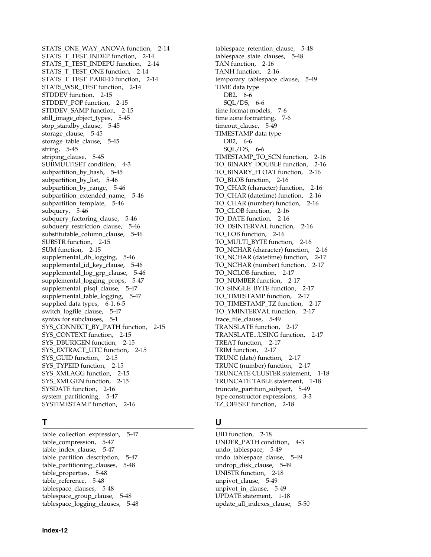[STATS\\_ONE\\_WAY\\_ANOVA function, 2-14](#page-37-3) [STATS\\_T\\_TEST\\_INDEP function, 2-14](#page-37-4) [STATS\\_T\\_TEST\\_INDEPU function, 2-14](#page-37-5) [STATS\\_T\\_TEST\\_ONE function, 2-14](#page-37-6) [STATS\\_T\\_TEST\\_PAIRED function, 2-14](#page-37-7) STATS WSR TEST function, 2-14 [STDDEV function, 2-15](#page-38-0) [STDDEV\\_POP function, 2-15](#page-38-1) [STDDEV\\_SAMP function, 2-15](#page-38-2) [still\\_image\\_object\\_types, 5-45](#page-96-1) [stop\\_standby\\_clause, 5-45](#page-96-2) [storage\\_clause, 5-45](#page-96-3) [storage\\_table\\_clause, 5-45](#page-96-4) [string, 5-45](#page-96-5) [striping\\_clause, 5-45](#page-96-6) [SUBMULTISET condition, 4-3](#page-50-1) [subpartition\\_by\\_hash, 5-45](#page-96-7) [subpartition\\_by\\_list, 5-46](#page-97-0) [subpartition\\_by\\_range, 5-46](#page-97-1) [subpartition\\_extended\\_name, 5-46](#page-97-2) [subpartition\\_template, 5-46](#page-97-3) [subquery, 5-46](#page-97-4) [subquery\\_factoring\\_clause, 5-46](#page-97-5) [subquery\\_restriction\\_clause, 5-46](#page-97-6) [substitutable\\_column\\_clause, 5-46](#page-97-7) [SUBSTR function, 2-15](#page-38-3) [SUM function, 2-15](#page-38-4) [supplemental\\_db\\_logging, 5-46](#page-97-8) [supplemental\\_id\\_key\\_clause, 5-46](#page-97-9) [supplemental\\_log\\_grp\\_clause, 5-46](#page-97-10) [supplemental\\_logging\\_props, 5-47](#page-98-0) [supplemental\\_plsql\\_clause, 5-47](#page-98-1) [supplemental\\_table\\_logging, 5-47](#page-98-2) [supplied data types, 6-1,](#page-106-2) [6-5](#page-110-3) [switch\\_logfile\\_clause, 5-47](#page-98-3) [syntax for subclauses, 5-1](#page-52-4) [SYS\\_CONNECT\\_BY\\_PATH function, 2-15](#page-38-5) [SYS\\_CONTEXT function, 2-15](#page-38-6) [SYS\\_DBURIGEN function, 2-15](#page-38-7) [SYS\\_EXTRACT\\_UTC function, 2-15](#page-38-8) [SYS\\_GUID function, 2-15](#page-38-9) SYS TYPEID function, 2-15 [SYS\\_XMLAGG function, 2-15](#page-38-11) [SYS\\_XMLGEN function, 2-15](#page-38-12) [SYSDATE function, 2-16](#page-39-0) [system\\_partitioning, 5-47](#page-98-4) [SYSTIMESTAMP function, 2-16](#page-39-1)

# **T**

[table\\_collection\\_expression, 5-47](#page-98-5) [table\\_compression, 5-47](#page-98-6) [table\\_index\\_clause, 5-47](#page-98-7) [table\\_partition\\_description, 5-47](#page-98-8) [table\\_partitioning\\_clauses, 5-48](#page-99-0) [table\\_properties, 5-48](#page-99-1) table reference, 5-48 [tablespace\\_clauses, 5-48](#page-99-3) [tablespace\\_group\\_clause, 5-48](#page-99-4) [tablespace\\_logging\\_clauses, 5-48](#page-99-5)

[tablespace\\_retention\\_clause, 5-48](#page-99-6) [tablespace\\_state\\_clauses, 5-48](#page-99-7) [TAN function, 2-16](#page-39-2) [TANH function, 2-16](#page-39-3) [temporary\\_tablespace\\_clause, 5-49](#page-100-0) TIME data type [DB2, 6-6](#page-111-1) [SQL/DS, 6-6](#page-111-1) [time format models, 7-6](#page-117-0) [time zone formatting, 7-6](#page-117-1) [timeout\\_clause, 5-49](#page-100-1) TIMESTAMP data type [DB2, 6-6](#page-111-1) [SQL/DS, 6-6](#page-111-1) [TIMESTAMP\\_TO\\_SCN function, 2-16](#page-39-4) [TO\\_BINARY\\_DOUBLE function, 2-16](#page-39-5) [TO\\_BINARY\\_FLOAT function, 2-16](#page-39-6) [TO\\_BLOB function, 2-16](#page-39-7) [TO\\_CHAR \(character\) function, 2-16](#page-39-8) [TO\\_CHAR \(datetime\) function, 2-16](#page-39-9) [TO\\_CHAR \(number\) function, 2-16](#page-39-10) [TO\\_CLOB function, 2-16](#page-39-11) [TO\\_DATE function, 2-16](#page-39-12) [TO\\_DSINTERVAL function, 2-16](#page-39-13) [TO\\_LOB function, 2-16](#page-39-14) [TO\\_MULTI\\_BYTE function, 2-16](#page-39-15) [TO\\_NCHAR \(character\) function, 2-16](#page-39-16) [TO\\_NCHAR \(datetime\) function, 2-17](#page-40-0) [TO\\_NCHAR \(number\) function, 2-17](#page-40-1) [TO\\_NCLOB function, 2-17](#page-40-2) [TO\\_NUMBER function, 2-17](#page-40-3) [TO\\_SINGLE\\_BYTE function, 2-17](#page-40-4) [TO\\_TIMESTAMP function, 2-17](#page-40-5) [TO\\_TIMESTAMP\\_TZ function, 2-17](#page-40-6) [TO\\_YMINTERVAL function, 2-17](#page-40-7) [trace\\_file\\_clause, 5-49](#page-100-2) [TRANSLATE function, 2-17](#page-40-8) [TRANSLATE...USING function, 2-17](#page-40-9) [TREAT function, 2-17](#page-40-10) [TRIM function, 2-17](#page-40-11) [TRUNC \(date\) function, 2-17](#page-40-12) [TRUNC \(number\) function, 2-17](#page-40-13) [TRUNCATE CLUSTER statement, 1-18](#page-23-2) [TRUNCATE TABLE statement, 1-18](#page-23-3) [truncate\\_partition\\_subpart, 5-49](#page-100-3) [type constructor expressions, 3-3](#page-46-0) [TZ\\_OFFSET function, 2-18](#page-41-0)

# **U**

[UID function, 2-18](#page-41-1) [UNDER\\_PATH condition, 4-3](#page-50-2) [undo\\_tablespace, 5-49](#page-100-4) [undo\\_tablespace\\_clause, 5-49](#page-100-5) [undrop\\_disk\\_clause, 5-49](#page-100-6) [UNISTR function, 2-18](#page-41-2) unpivot clause, 5-49 [unpivot\\_in\\_clause, 5-49](#page-100-8) [UPDATE statement, 1-18](#page-23-4) [update\\_all\\_indexes\\_clause, 5-50](#page-101-0)